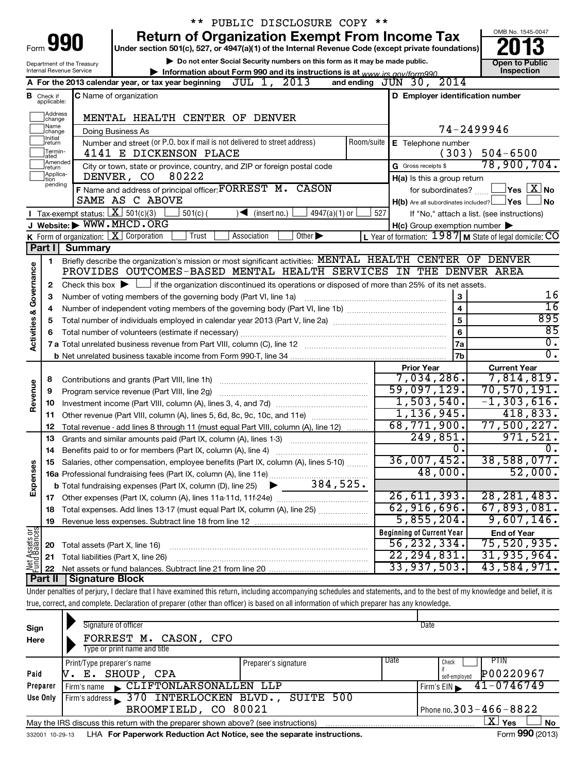|                         |                             |                                                        | ** PUBLIC DISCLOSURE COPY **                                                                                                                                               |                                                         |                                                          |
|-------------------------|-----------------------------|--------------------------------------------------------|----------------------------------------------------------------------------------------------------------------------------------------------------------------------------|---------------------------------------------------------|----------------------------------------------------------|
|                         |                             | Form <b>990</b>                                        | <b>Return of Organization Exempt From Income Tax</b>                                                                                                                       |                                                         | OMB No. 1545-0047                                        |
|                         |                             |                                                        | Under section 501(c), 527, or 4947(a)(1) of the Internal Revenue Code (except private foundations)                                                                         |                                                         |                                                          |
|                         |                             | Department of the Treasury<br>Internal Revenue Service | Do not enter Social Security numbers on this form as it may be made public.                                                                                                |                                                         | <b>Open to Public</b><br><b>Inspection</b>               |
|                         |                             |                                                        | Information about Form 990 and its instructions is at www irs gov/form990<br>JUL 1, 2013<br>A For the 2013 calendar year, or tax year beginning                            | 2014<br>and ending $JUN$ 30,                            |                                                          |
|                         | <b>B</b> Check if           |                                                        | <b>C</b> Name of organization                                                                                                                                              | D Employer identification number                        |                                                          |
|                         | applicable:                 |                                                        |                                                                                                                                                                            |                                                         |                                                          |
|                         | Address<br>change           |                                                        | MENTAL HEALTH CENTER OF DENVER                                                                                                                                             |                                                         |                                                          |
|                         | Name<br>change              |                                                        | Doing Business As                                                                                                                                                          | 74-2499946                                              |                                                          |
|                         | Ilnitial<br> return         |                                                        | Number and street (or P.O. box if mail is not delivered to street address)<br>Room/suite                                                                                   | E Telephone number                                      |                                                          |
|                         | Termin-<br>ated             | 4141 E DICKENSON PLACE                                 | (303)                                                                                                                                                                      | $504 - 6500$                                            |                                                          |
|                         | Amended<br>Ireturn          |                                                        | City or town, state or province, country, and ZIP or foreign postal code                                                                                                   | G Gross receipts \$                                     | 78,900,704.                                              |
|                         | Applica-<br>tion<br>pending |                                                        | 80222<br>DENVER, CO                                                                                                                                                        | H(a) Is this a group return                             |                                                          |
|                         |                             |                                                        | F Name and address of principal officer: FORREST M. CASON                                                                                                                  | for subordinates?                                       | $\mathsf{l}$ Yes $\mathsf{l}$ $\mathsf{X} \mathsf{l}$ No |
|                         |                             |                                                        | SAME AS C ABOVE                                                                                                                                                            | $H(b)$ Are all subordinates included? $\Box$ Yes $\Box$ | ⊥No                                                      |
|                         |                             |                                                        | Tax-exempt status: $X \over 301(c)(3)$<br>$501(c)$ (<br>4947(a)(1) or<br>$\sqrt{\bullet}$ (insert no.)                                                                     | 527                                                     | If "No," attach a list. (see instructions)               |
|                         |                             |                                                        | J Website: WWW.MHCD.ORG                                                                                                                                                    | $H(c)$ Group exemption number $\blacktriangleright$     |                                                          |
|                         | Part I                      | <b>Summary</b>                                         | <b>K</b> Form of organization: $X$ Corporation<br>Trust<br>Association<br>Other $\blacktriangleright$                                                                      | L Year of formation: 1987 M State of legal domicile: CO |                                                          |
|                         |                             |                                                        | Briefly describe the organization's mission or most significant activities: MENTAL HEALTH CENTER OF DENVER                                                                 |                                                         |                                                          |
|                         | 1                           |                                                        | PROVIDES OUTCOMES-BASED MENTAL HEALTH SERVICES IN THE DENVER AREA                                                                                                          |                                                         |                                                          |
|                         | 2                           |                                                        | Check this box $\blacktriangleright$ $\Box$ if the organization discontinued its operations or disposed of more than 25% of its net assets.                                |                                                         |                                                          |
|                         | 3                           |                                                        | Number of voting members of the governing body (Part VI, line 1a)                                                                                                          | 3                                                       | 16                                                       |
|                         | 4                           |                                                        |                                                                                                                                                                            | $\overline{\mathbf{4}}$                                 | $\overline{16}$                                          |
|                         | 5                           |                                                        |                                                                                                                                                                            | 5                                                       | 895                                                      |
| Activities & Governance | 6                           |                                                        |                                                                                                                                                                            | 6                                                       | 85                                                       |
|                         |                             |                                                        |                                                                                                                                                                            | 7a                                                      | $\overline{0}$ .                                         |
|                         |                             |                                                        |                                                                                                                                                                            | 7b                                                      | 0.                                                       |
|                         |                             |                                                        |                                                                                                                                                                            | <b>Prior Year</b>                                       | <b>Current Year</b>                                      |
|                         | 8                           |                                                        |                                                                                                                                                                            | 7,034,286.                                              | 7,814,819.                                               |
|                         | 9                           |                                                        | Program service revenue (Part VIII, line 2g)                                                                                                                               | 59,097,129.                                             | 70, 570, 191.                                            |
| Revenue                 | 10                          |                                                        |                                                                                                                                                                            | 1,503,540.                                              | $-1, 303, 616.$                                          |
|                         | 11                          |                                                        | Other revenue (Part VIII, column (A), lines 5, 6d, 8c, 9c, 10c, and 11e) <i></i>                                                                                           | 1, 136, 945.                                            | 418,833.                                                 |
|                         | 12                          |                                                        | Total revenue - add lines 8 through 11 (must equal Part VIII, column (A), line 12)                                                                                         | 68,771,900.                                             | 77,500,227.                                              |
|                         | 13                          |                                                        | Grants and similar amounts paid (Part IX, column (A), lines 1-3)                                                                                                           | 249,851.                                                | 971,521.                                                 |
|                         | 14                          |                                                        |                                                                                                                                                                            | 0.                                                      | 0.                                                       |
|                         | 15                          |                                                        | Salaries, other compensation, employee benefits (Part IX, column (A), lines 5-10)                                                                                          | 36,007,452 <b>.</b><br>48,000.                          | 38,588,077.<br>52,000.                                   |
| Expenses                |                             |                                                        | 384,525.                                                                                                                                                                   |                                                         |                                                          |
|                         |                             |                                                        | <b>b</b> Total fundraising expenses (Part IX, column (D), line 25)                                                                                                         | 26,611,393.                                             | 28, 281, 483.                                            |
|                         | 17<br>18                    |                                                        | Total expenses. Add lines 13-17 (must equal Part IX, column (A), line 25)                                                                                                  | 62,916,696.                                             | 67,893,081.                                              |
|                         | 19                          |                                                        |                                                                                                                                                                            | 5,855,204.                                              | 9,607,146.                                               |
|                         |                             |                                                        |                                                                                                                                                                            | <b>Beginning of Current Year</b>                        | <b>End of Year</b>                                       |
| Net Assets or           | 20                          | Total assets (Part X, line 16)                         |                                                                                                                                                                            | 56,232,334.                                             | 75,520,935.                                              |
|                         | 21                          |                                                        | Total liabilities (Part X, line 26)                                                                                                                                        | 22, 294, 831.                                           | 31,935,964.                                              |
|                         | 22                          |                                                        |                                                                                                                                                                            | 33,937,503.                                             | 43,584,971.                                              |
|                         | <b>Part II</b>              | <b>Signature Block</b>                                 |                                                                                                                                                                            |                                                         |                                                          |
|                         |                             |                                                        | Under penalties of perjury, I declare that I have examined this return, including accompanying schedules and statements, and to the best of my knowledge and belief, it is |                                                         |                                                          |
|                         |                             |                                                        | true, correct, and complete. Declaration of preparer (other than officer) is based on all information of which preparer has any knowledge.                                 |                                                         |                                                          |

| Sign            | Signature of officer                                                              |                      |                              | Date                                        |  |  |
|-----------------|-----------------------------------------------------------------------------------|----------------------|------------------------------|---------------------------------------------|--|--|
| Here            | FORREST M. CASON, CFO<br>Type or print name and title                             |                      |                              |                                             |  |  |
| Paid            | Print/Type preparer's name<br>SHOUP, CPA<br>Е.                                    | Preparer's signature | Date                         | PTIN<br>Check<br>P00220967<br>self-emploved |  |  |
| Preparer        | CLIFTONLARSONALLEN LLP<br>Firm's name                                             |                      |                              | $41 - 0746749$<br>Firm's $EIN$              |  |  |
| Use Only        | Firm's address 370 INTERLOCKEN BLVD., SUITE 500                                   |                      |                              |                                             |  |  |
|                 | BROOMFIELD, CO 80021                                                              |                      | Phone no. $303 - 466 - 8822$ |                                             |  |  |
|                 | May the IRS discuss this return with the preparer shown above? (see instructions) |                      |                              | ΧI<br>Yes<br><b>No</b>                      |  |  |
| 332001 10-29-13 | LHA For Paperwork Reduction Act Notice, see the separate instructions.            |                      |                              | Form 990 (2013)                             |  |  |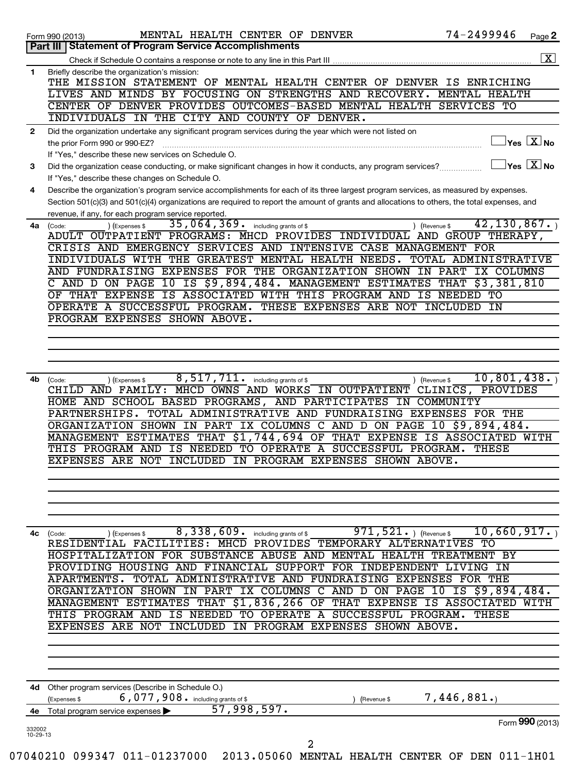|              | MENTAL HEALTH CENTER OF DENVER<br>Form 990 (2013)                                                                                            | 74-2499946                          | Page 2                                           |
|--------------|----------------------------------------------------------------------------------------------------------------------------------------------|-------------------------------------|--------------------------------------------------|
|              | Part III   Statement of Program Service Accomplishments                                                                                      |                                     |                                                  |
|              |                                                                                                                                              |                                     |                                                  |
| 1            | Briefly describe the organization's mission:<br>THE MISSION STATEMENT OF MENTAL HEALTH CENTER OF DENVER IS ENRICHING                         |                                     |                                                  |
|              | LIVES AND MINDS BY FOCUSING ON STRENGTHS AND RECOVERY.<br>CENTER OF DENVER PROVIDES OUTCOMES-BASED MENTAL HEALTH SERVICES TO                 | MENTAL HEALTH                       |                                                  |
|              | INDIVIDUALS IN THE CITY AND COUNTY OF DENVER.                                                                                                |                                     |                                                  |
| $\mathbf{2}$ | Did the organization undertake any significant program services during the year which were not listed on                                     |                                     |                                                  |
|              | the prior Form 990 or 990-EZ?                                                                                                                |                                     | $\overline{\ }$ Yes $\overline{\phantom{a}X}$ No |
|              | If "Yes," describe these new services on Schedule O.                                                                                         |                                     |                                                  |
| 3            | Did the organization cease conducting, or make significant changes in how it conducts, any program services?                                 | $\exists$ Yes $\boxed{\text{X}}$ No |                                                  |
|              | If "Yes," describe these changes on Schedule O.                                                                                              |                                     |                                                  |
| 4            | Describe the organization's program service accomplishments for each of its three largest program services, as measured by expenses.         |                                     |                                                  |
|              | Section 501(c)(3) and 501(c)(4) organizations are required to report the amount of grants and allocations to others, the total expenses, and |                                     |                                                  |
| 4a           | revenue, if any, for each program service reported.<br>35,064,369. including grants of \$<br>) (Expenses \$<br>) (Revenue \$<br>(Code:       | 42, 130, 867.                       |                                                  |
|              | ADULT OUTPATIENT PROGRAMS: MHCD PROVIDES INDIVIDUAL AND GROUP THERAPY,                                                                       |                                     |                                                  |
|              | CRISIS AND EMERGENCY SERVICES AND INTENSIVE CASE MANAGEMENT FOR                                                                              |                                     |                                                  |
|              | INDIVIDUALS WITH THE GREATEST MENTAL HEALTH NEEDS.                                                                                           | TOTAL ADMINISTRATIVE                |                                                  |
|              | AND FUNDRAISING EXPENSES FOR THE ORGANIZATION SHOWN IN PART                                                                                  | IX COLUMNS                          |                                                  |
|              | C AND D ON PAGE 10 IS \$9,894,484. MANAGEMENT ESTIMATES THAT                                                                                 | 53,381,810                          |                                                  |
|              | OF THAT EXPENSE IS ASSOCIATED WITH THIS PROGRAM AND IS NEEDED<br>OPERATE A SUCCESSFUL PROGRAM. THESE EXPENSES ARE NOT INCLUDED               | TO<br>IN                            |                                                  |
|              | PROGRAM EXPENSES SHOWN ABOVE.                                                                                                                |                                     |                                                  |
|              |                                                                                                                                              |                                     |                                                  |
|              |                                                                                                                                              |                                     |                                                  |
|              |                                                                                                                                              |                                     |                                                  |
|              |                                                                                                                                              |                                     |                                                  |
| 4b l         | 8,517,711.<br>including grants of \$<br>) (Revenue \$<br>) (Expenses \$<br>(Code:                                                            | 10,801,438.                         |                                                  |
|              | CHILD AND FAMILY:<br>MHCD OWNS AND WORKS IN OUTPATIENT                                                                                       | PROVIDES<br>CLINICS,                |                                                  |
|              | HOME AND SCHOOL BASED PROGRAMS, AND PARTICIPATES IN COMMUNITY                                                                                |                                     |                                                  |
|              | PARTNERSHIPS. TOTAL ADMINISTRATIVE AND FUNDRAISING EXPENSES FOR THE<br>ORGANIZATION SHOWN IN PART IX COLUMNS C AND D ON PAGE 10 \$9,894,484. |                                     |                                                  |
|              | MANAGEMENT ESTIMATES THAT \$1,744,694 OF THAT EXPENSE IS ASSOCIATED WITH                                                                     |                                     |                                                  |
|              | THIS PROGRAM AND IS NEEDED TO OPERATE A SUCCESSFUL PROGRAM.                                                                                  | THESE                               |                                                  |
|              | EXPENSES ARE NOT INCLUDED IN PROGRAM EXPENSES SHOWN ABOVE.                                                                                   |                                     |                                                  |
|              |                                                                                                                                              |                                     |                                                  |
|              |                                                                                                                                              |                                     |                                                  |
|              |                                                                                                                                              |                                     |                                                  |
|              |                                                                                                                                              |                                     |                                                  |
|              |                                                                                                                                              |                                     |                                                  |
|              |                                                                                                                                              |                                     |                                                  |
|              | 8,338,609.<br>$971, 521.$ (Revenue \$)<br>including grants of \$<br>(Code:<br>) (Expenses \$                                                 | 10,660,917.                         |                                                  |
|              | RESIDENTIAL FACILITIES: MHCD PROVIDES TEMPORARY ALTERNATIVES TO                                                                              |                                     |                                                  |
|              | HOSPITALIZATION FOR SUBSTANCE ABUSE AND<br>MENTAL HEALTH TREATMENT BY                                                                        |                                     |                                                  |
|              | PROVIDING HOUSING AND FINANCIAL SUPPORT FOR INDEPENDENT<br>APARTMENTS.                                                                       | LIVING<br>IN                        |                                                  |
|              | TOTAL ADMINISTRATIVE AND FUNDRAISING EXPENSES FOR THE<br>ORGANIZATION SHOWN                                                                  |                                     |                                                  |
|              | IN PART IX COLUMNS C AND D ON PAGE 10 IS \$9,894,484.<br>MANAGEMENT ESTIMATES THAT \$1,836,266 OF THAT EXPENSE IS ASSOCIATED                 |                                     |                                                  |
|              | IS NEEDED TO OPERATE A<br>SUCCESSFUL PROGRAM.<br>THIS PROGRAM AND                                                                            | THESE                               |                                                  |
|              | IN PROGRAM EXPENSES SHOWN ABOVE.<br>EXPENSES ARE NOT<br>INCLUDED                                                                             |                                     |                                                  |
|              |                                                                                                                                              |                                     |                                                  |
|              |                                                                                                                                              |                                     |                                                  |
|              |                                                                                                                                              |                                     |                                                  |
| 4с           |                                                                                                                                              |                                     |                                                  |
|              | 4d Other program services (Describe in Schedule O.)<br>(Expenses \$<br>(Revenue \$                                                           | 7,446,881.                          |                                                  |
|              | 6,077,908. including grants of \$<br>57,998,597.<br>Total program service expenses                                                           |                                     |                                                  |
| 4е<br>332002 |                                                                                                                                              | Form 990 (2013)                     | WITH                                             |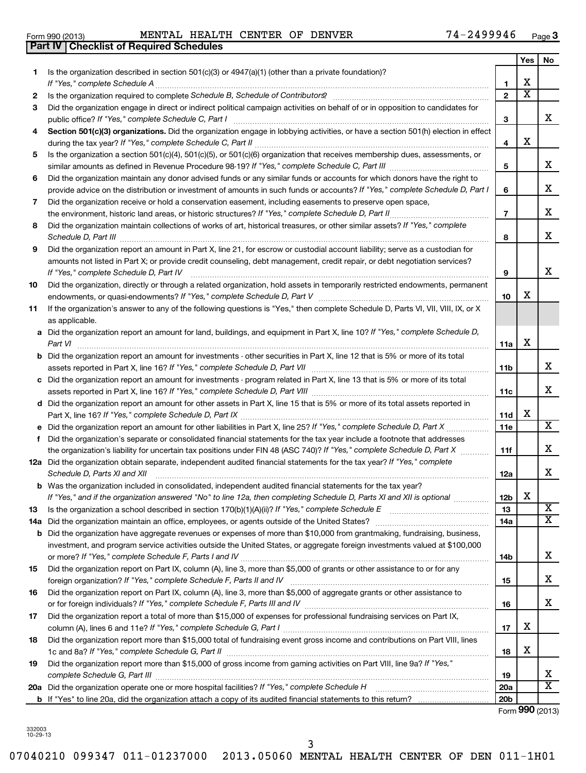**1**

**2 3**

# 332003 10-29-13

3

07040210 099347 011-01237000 2013.05060 MENTAL HEALTH CENTER OF DEN 011-1H01

|    |                                                                                                                                                      | 3               |   | x                       |
|----|------------------------------------------------------------------------------------------------------------------------------------------------------|-----------------|---|-------------------------|
| 4  | Section 501(c)(3) organizations. Did the organization engage in lobbying activities, or have a section 501(h) election in effect                     |                 |   |                         |
|    |                                                                                                                                                      | 4               | х |                         |
| 5  | Is the organization a section 501(c)(4), 501(c)(5), or 501(c)(6) organization that receives membership dues, assessments, or                         |                 |   |                         |
|    |                                                                                                                                                      | 5               |   | х                       |
| 6  | Did the organization maintain any donor advised funds or any similar funds or accounts for which donors have the right to                            |                 |   |                         |
|    | provide advice on the distribution or investment of amounts in such funds or accounts? If "Yes," complete Schedule D, Part I                         | 6               |   | X                       |
| 7  | Did the organization receive or hold a conservation easement, including easements to preserve open space,                                            |                 |   |                         |
|    | the environment, historic land areas, or historic structures? If "Yes," complete Schedule D, Part II                                                 | $\overline{7}$  |   | X                       |
| 8  | Did the organization maintain collections of works of art, historical treasures, or other similar assets? If "Yes," complete<br>Schedule D, Part III | 8               |   | X                       |
| 9  | Did the organization report an amount in Part X, line 21, for escrow or custodial account liability; serve as a custodian for                        |                 |   |                         |
|    | amounts not listed in Part X; or provide credit counseling, debt management, credit repair, or debt negotiation services?                            |                 |   |                         |
|    | If "Yes," complete Schedule D, Part IV                                                                                                               | 9               |   | x                       |
| 10 | Did the organization, directly or through a related organization, hold assets in temporarily restricted endowments, permanent                        |                 |   |                         |
|    |                                                                                                                                                      | 10              | х |                         |
| 11 | If the organization's answer to any of the following questions is "Yes," then complete Schedule D, Parts VI, VII, VIII, IX, or X                     |                 |   |                         |
|    | as applicable.                                                                                                                                       |                 |   |                         |
| а  | Did the organization report an amount for land, buildings, and equipment in Part X, line 10? If "Yes," complete Schedule D,                          |                 |   |                         |
|    | Part VI                                                                                                                                              | 11a             | х |                         |
| b  | Did the organization report an amount for investments - other securities in Part X, line 12 that is 5% or more of its total                          |                 |   |                         |
|    |                                                                                                                                                      | 11b             |   | X                       |
| с  | Did the organization report an amount for investments - program related in Part X, line 13 that is 5% or more of its total                           |                 |   |                         |
|    | assets reported in Part X, line 16? If "Yes," complete Schedule D, Part VIII [111] [11] [11] [11] [11] [11] [1                                       | 11c             |   | X                       |
| d  | Did the organization report an amount for other assets in Part X, line 15 that is 5% or more of its total assets reported in                         | 11d             | х |                         |
|    | Did the organization report an amount for other liabilities in Part X, line 25? If "Yes," complete Schedule D, Part X                                | <b>11e</b>      |   | $\overline{\mathbf{X}}$ |
| f  | Did the organization's separate or consolidated financial statements for the tax year include a footnote that addresses                              |                 |   |                         |
|    | the organization's liability for uncertain tax positions under FIN 48 (ASC 740)? If "Yes," complete Schedule D, Part X                               | 11f             |   | х                       |
|    | 12a Did the organization obtain separate, independent audited financial statements for the tax year? If "Yes," complete                              |                 |   |                         |
|    | Schedule D, Parts XI and XII                                                                                                                         | 12a             |   | х                       |
| b  | Was the organization included in consolidated, independent audited financial statements for the tax year?                                            |                 |   |                         |
|    | If "Yes," and if the organization answered "No" to line 12a, then completing Schedule D, Parts XI and XII is optional                                | 12 <sub>b</sub> | Х |                         |
| 13 | Is the organization a school described in section 170(b)(1)(A)(ii)? If "Yes," complete Schedule E                                                    | 13              |   | х                       |
|    | 14a Did the organization maintain an office, employees, or agents outside of the United States?                                                      | 14a             |   | $\overline{\textbf{x}}$ |
| b  | Did the organization have aggregate revenues or expenses of more than \$10,000 from grantmaking, fundraising, business,                              |                 |   |                         |
|    | investment, and program service activities outside the United States, or aggregate foreign investments valued at \$100,000                           |                 |   | Χ                       |
|    |                                                                                                                                                      | 14D             |   |                         |
| 15 | Did the organization report on Part IX, column (A), line 3, more than \$5,000 of grants or other assistance to or for any                            |                 |   | х                       |
|    | Did the organization report on Part IX, column (A), line 3, more than \$5,000 of aggregate grants or other assistance to                             | 15              |   |                         |
| 16 |                                                                                                                                                      | 16              |   | x                       |
| 17 | Did the organization report a total of more than \$15,000 of expenses for professional fundraising services on Part IX,                              |                 |   |                         |
|    |                                                                                                                                                      | 17              | х |                         |
| 18 | Did the organization report more than \$15,000 total of fundraising event gross income and contributions on Part VIII, lines                         |                 |   |                         |
|    |                                                                                                                                                      | 18              | х |                         |
| 19 | Did the organization report more than \$15,000 of gross income from gaming activities on Part VIII, line 9a? If "Yes,"                               |                 |   |                         |
|    |                                                                                                                                                      | 19              |   | x                       |
|    | 20a Did the organization operate one or more hospital facilities? If "Yes," complete Schedule H                                                      | 20a             |   | x                       |
|    |                                                                                                                                                      | 20 <sub>b</sub> |   |                         |
|    |                                                                                                                                                      | Form 990 (2013) |   |                         |

| Form 990 (2013) | MENTAL HEALTH CENTER OF |  | <b>DENVER</b> | 2499946 | $\overline{\phantom{0}}$<br>Page |
|-----------------|-------------------------|--|---------------|---------|----------------------------------|
|                 |                         |  |               |         |                                  |

Is the organization described in section 501(c)(3) or  $4947(a)(1)$  (other than a private foundation)?

**Part IV Checklist of Required Schedules**

*If "Yes," complete Schedule A* ~~~~~~~~~~~~~~~~~~~~~~~~~~~~~~~~~~~~~~~~~~~~~~~ *Schedule B, Schedule of Contributors* Is the organization required to complete ? ~~~~~~~~~~~~~~~~~~~~~~

Did the organization engage in direct or indirect political campaign activities on behalf of or in opposition to candidates for

|  |  | $4 - 2499946$ | Page $3$ |
|--|--|---------------|----------|
|--|--|---------------|----------|

**1 2** **Yes No**

X  $\overline{\textbf{x}}$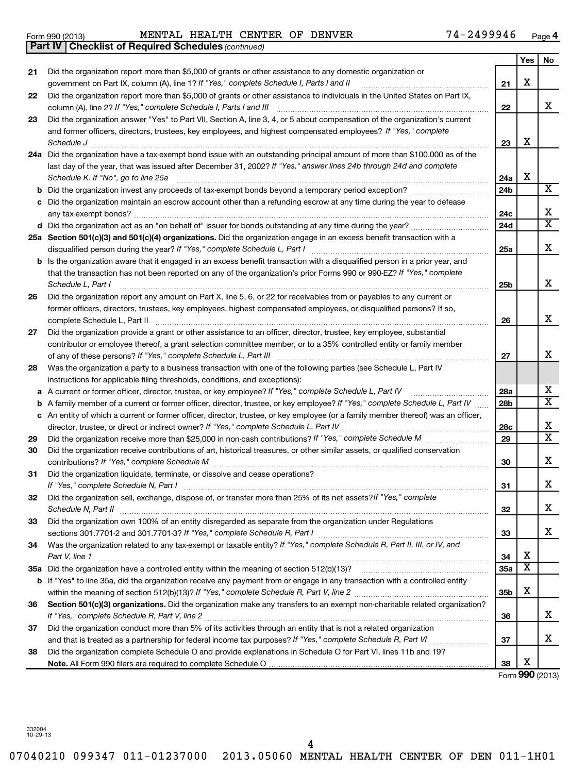| Form 990 (2013) | MENTAL HEALTH CENTER OF |  | <b>DENVER</b> | -2499946 | Page |
|-----------------|-------------------------|--|---------------|----------|------|
|                 |                         |  |               |          |      |

*(continued)* **Part IV Checklist of Required Schedules**

|    |                                                                                                                                     |                 | Yes | No                      |
|----|-------------------------------------------------------------------------------------------------------------------------------------|-----------------|-----|-------------------------|
| 21 | Did the organization report more than \$5,000 of grants or other assistance to any domestic organization or                         |                 |     |                         |
|    | government on Part IX, column (A), line 1? If "Yes," complete Schedule I, Parts I and II                                            | 21              | х   |                         |
| 22 | Did the organization report more than \$5,000 of grants or other assistance to individuals in the United States on Part IX,         |                 |     |                         |
|    | column (A), line 2? If "Yes," complete Schedule I, Parts I and III [11] [12] [12] [12] [12] [13] [13] [13] [1                       | 22              |     | x                       |
| 23 | Did the organization answer "Yes" to Part VII, Section A, line 3, 4, or 5 about compensation of the organization's current          |                 |     |                         |
|    | and former officers, directors, trustees, key employees, and highest compensated employees? If "Yes," complete                      |                 |     |                         |
|    | Schedule J                                                                                                                          | 23              | х   |                         |
|    | 24a Did the organization have a tax-exempt bond issue with an outstanding principal amount of more than \$100,000 as of the         |                 |     |                         |
|    | last day of the year, that was issued after December 31, 2002? If "Yes," answer lines 24b through 24d and complete                  |                 |     |                         |
|    | Schedule K. If "No", go to line 25a                                                                                                 | 24a             | Х   |                         |
|    |                                                                                                                                     | 24b             |     | $\overline{\texttt{x}}$ |
|    | c Did the organization maintain an escrow account other than a refunding escrow at any time during the year to defease              |                 |     |                         |
|    |                                                                                                                                     | 24c             |     | х                       |
|    |                                                                                                                                     | 24d             |     | $\overline{\textbf{x}}$ |
|    | 25a Section 501(c)(3) and 501(c)(4) organizations. Did the organization engage in an excess benefit transaction with a              |                 |     |                         |
|    | disqualified person during the year? If "Yes," complete Schedule L, Part I                                                          | 25a             |     | x                       |
|    | <b>b</b> Is the organization aware that it engaged in an excess benefit transaction with a disqualified person in a prior year, and |                 |     |                         |
|    | that the transaction has not been reported on any of the organization's prior Forms 990 or 990-EZ? If "Yes," complete               |                 |     |                         |
|    | Schedule L, Part I                                                                                                                  | 25 <sub>b</sub> |     | x                       |
| 26 | Did the organization report any amount on Part X, line 5, 6, or 22 for receivables from or payables to any current or               |                 |     |                         |
|    | former officers, directors, trustees, key employees, highest compensated employees, or disqualified persons? If so,                 |                 |     | x                       |
|    | complete Schedule L, Part II                                                                                                        | 26              |     |                         |
| 27 | Did the organization provide a grant or other assistance to an officer, director, trustee, key employee, substantial                |                 |     |                         |
|    | contributor or employee thereof, a grant selection committee member, or to a 35% controlled entity or family member                 | 27              |     | х                       |
| 28 | Was the organization a party to a business transaction with one of the following parties (see Schedule L, Part IV                   |                 |     |                         |
|    | instructions for applicable filing thresholds, conditions, and exceptions):                                                         |                 |     |                         |
|    | a A current or former officer, director, trustee, or key employee? If "Yes," complete Schedule L, Part IV                           | 28a             |     | х                       |
|    | <b>b</b> A family member of a current or former officer, director, trustee, or key employee? If "Yes," complete Schedule L, Part IV | 28 <sub>b</sub> |     | X                       |
|    | c An entity of which a current or former officer, director, trustee, or key employee (or a family member thereof) was an officer,   |                 |     |                         |
|    |                                                                                                                                     | 28c             |     | х                       |
| 29 |                                                                                                                                     | 29              |     | $\overline{\textbf{x}}$ |
| 30 | Did the organization receive contributions of art, historical treasures, or other similar assets, or qualified conservation         |                 |     |                         |
|    |                                                                                                                                     | 30              |     | x                       |
| 31 | Did the organization liquidate, terminate, or dissolve and cease operations?                                                        |                 |     |                         |
|    |                                                                                                                                     | 31              |     | x                       |
| 32 | Did the organization sell, exchange, dispose of, or transfer more than 25% of its net assets? If "Yes," complete                    |                 |     |                         |
|    | Schedule N, Part II                                                                                                                 | 32              |     | х                       |
| 33 | Did the organization own 100% of an entity disregarded as separate from the organization under Regulations                          |                 |     |                         |
|    |                                                                                                                                     | 33              |     | x                       |
| 34 | Was the organization related to any tax-exempt or taxable entity? If "Yes," complete Schedule R, Part II, III, or IV, and           |                 |     |                         |
|    | Part V, line 1                                                                                                                      | 34              | х   |                         |
|    |                                                                                                                                     | <b>35a</b>      | х   |                         |
|    | b If "Yes" to line 35a, did the organization receive any payment from or engage in any transaction with a controlled entity         |                 |     |                         |
|    |                                                                                                                                     | 35b             | х   |                         |
| 36 | Section 501(c)(3) organizations. Did the organization make any transfers to an exempt non-charitable related organization?          |                 |     |                         |
|    |                                                                                                                                     | 36              |     | х                       |
| 37 | Did the organization conduct more than 5% of its activities through an entity that is not a related organization                    |                 |     |                         |
|    |                                                                                                                                     | 37              |     | х                       |
| 38 | Did the organization complete Schedule O and provide explanations in Schedule O for Part VI, lines 11b and 19?                      |                 | х   |                         |
|    |                                                                                                                                     | 38              |     |                         |

Form (2013) **990**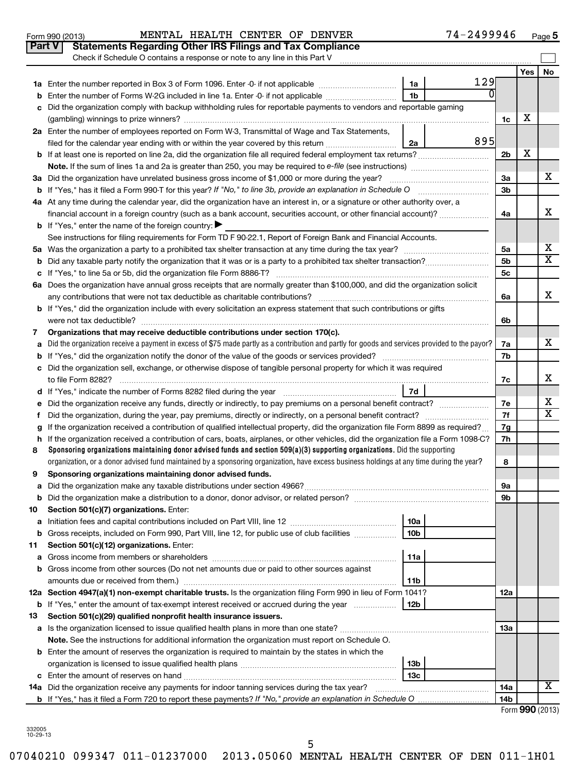|    | 74-2499946<br>MENTAL HEALTH CENTER OF DENVER<br>Form 990 (2013)                                                                                 |                |            | $Page$ <sup>5</sup>     |  |  |  |  |  |  |
|----|-------------------------------------------------------------------------------------------------------------------------------------------------|----------------|------------|-------------------------|--|--|--|--|--|--|
|    | <b>Statements Regarding Other IRS Filings and Tax Compliance</b><br>Part V                                                                      |                |            |                         |  |  |  |  |  |  |
|    | Check if Schedule O contains a response or note to any line in this Part V                                                                      |                |            |                         |  |  |  |  |  |  |
|    |                                                                                                                                                 |                | <b>Yes</b> | No                      |  |  |  |  |  |  |
|    | 129<br>1a                                                                                                                                       |                |            |                         |  |  |  |  |  |  |
| b  | ŋ<br>1 <sub>b</sub><br>Enter the number of Forms W-2G included in line 1a. Enter -0- if not applicable                                          |                |            |                         |  |  |  |  |  |  |
| c  | Did the organization comply with backup withholding rules for reportable payments to vendors and reportable gaming                              |                |            |                         |  |  |  |  |  |  |
|    |                                                                                                                                                 | 1c             | х          |                         |  |  |  |  |  |  |
|    | 2a Enter the number of employees reported on Form W-3, Transmittal of Wage and Tax Statements,                                                  |                |            |                         |  |  |  |  |  |  |
|    | 895<br>filed for the calendar year ending with or within the year covered by this return<br>2a                                                  |                |            |                         |  |  |  |  |  |  |
|    |                                                                                                                                                 | 2 <sub>b</sub> | х          |                         |  |  |  |  |  |  |
|    |                                                                                                                                                 |                |            |                         |  |  |  |  |  |  |
|    | 3a Did the organization have unrelated business gross income of \$1,000 or more during the year?                                                | 3a             |            | x                       |  |  |  |  |  |  |
|    |                                                                                                                                                 | 3 <sub>b</sub> |            |                         |  |  |  |  |  |  |
|    | 4a At any time during the calendar year, did the organization have an interest in, or a signature or other authority over, a                    |                |            |                         |  |  |  |  |  |  |
|    | financial account in a foreign country (such as a bank account, securities account, or other financial account)?                                | 4a             |            | х                       |  |  |  |  |  |  |
|    | <b>b</b> If "Yes," enter the name of the foreign country:                                                                                       |                |            |                         |  |  |  |  |  |  |
|    | See instructions for filing requirements for Form TD F 90-22.1, Report of Foreign Bank and Financial Accounts.                                  |                |            |                         |  |  |  |  |  |  |
|    |                                                                                                                                                 | 5a             |            | X                       |  |  |  |  |  |  |
|    |                                                                                                                                                 | 5 <sub>b</sub> |            | $\overline{\textbf{x}}$ |  |  |  |  |  |  |
|    |                                                                                                                                                 | 5 <sub>c</sub> |            |                         |  |  |  |  |  |  |
|    | 6a Does the organization have annual gross receipts that are normally greater than \$100,000, and did the organization solicit                  |                |            |                         |  |  |  |  |  |  |
|    |                                                                                                                                                 | 6а             |            | x                       |  |  |  |  |  |  |
|    | <b>b</b> If "Yes," did the organization include with every solicitation an express statement that such contributions or gifts                   |                |            |                         |  |  |  |  |  |  |
|    | were not tax deductible?                                                                                                                        | 6b             |            |                         |  |  |  |  |  |  |
| 7  | Organizations that may receive deductible contributions under section 170(c).                                                                   |                |            |                         |  |  |  |  |  |  |
| a  | Did the organization receive a payment in excess of \$75 made partly as a contribution and partly for goods and services provided to the payor? | 7a             |            | x                       |  |  |  |  |  |  |
| b  |                                                                                                                                                 |                |            |                         |  |  |  |  |  |  |
|    | c Did the organization sell, exchange, or otherwise dispose of tangible personal property for which it was required                             |                |            |                         |  |  |  |  |  |  |
|    |                                                                                                                                                 | 7c             |            | x                       |  |  |  |  |  |  |
|    | 7d                                                                                                                                              |                |            |                         |  |  |  |  |  |  |
|    | e Did the organization receive any funds, directly or indirectly, to pay premiums on a personal benefit contract?                               | 7е             |            | х                       |  |  |  |  |  |  |
| f. | Did the organization, during the year, pay premiums, directly or indirectly, on a personal benefit contract?                                    | 7f             |            | $\overline{\textbf{x}}$ |  |  |  |  |  |  |
|    | If the organization received a contribution of qualified intellectual property, did the organization file Form 8899 as required?                | 7g             |            |                         |  |  |  |  |  |  |
|    | h If the organization received a contribution of cars, boats, airplanes, or other vehicles, did the organization file a Form 1098-C?            | 7h             |            |                         |  |  |  |  |  |  |
| 8  | Sponsoring organizations maintaining donor advised funds and section $509(a)(3)$ supporting organizations. Did the supporting                   |                |            |                         |  |  |  |  |  |  |
|    | organization, or a donor advised fund maintained by a sponsoring organization, have excess business holdings at any time during the year?       | 8              |            |                         |  |  |  |  |  |  |
| 9  | Sponsoring organizations maintaining donor advised funds.                                                                                       |                |            |                         |  |  |  |  |  |  |
| а  |                                                                                                                                                 | 9а             |            |                         |  |  |  |  |  |  |
| b  |                                                                                                                                                 | 9b             |            |                         |  |  |  |  |  |  |
| 10 | Section 501(c)(7) organizations. Enter:                                                                                                         |                |            |                         |  |  |  |  |  |  |
| а  | 10a                                                                                                                                             |                |            |                         |  |  |  |  |  |  |
| b  | Gross receipts, included on Form 990, Part VIII, line 12, for public use of club facilities<br>10 <sub>b</sub>                                  |                |            |                         |  |  |  |  |  |  |
| 11 | Section 501(c)(12) organizations. Enter:                                                                                                        |                |            |                         |  |  |  |  |  |  |
| а  | 11a                                                                                                                                             |                |            |                         |  |  |  |  |  |  |
| b  | Gross income from other sources (Do not net amounts due or paid to other sources against                                                        |                |            |                         |  |  |  |  |  |  |
|    | amounts due or received from them.)<br>11b                                                                                                      |                |            |                         |  |  |  |  |  |  |
|    | 12a Section 4947(a)(1) non-exempt charitable trusts. Is the organization filing Form 990 in lieu of Form 1041?                                  | 12a            |            |                         |  |  |  |  |  |  |
| b  | If "Yes," enter the amount of tax-exempt interest received or accrued during the year<br>12b                                                    |                |            |                         |  |  |  |  |  |  |
| 13 | Section 501(c)(29) qualified nonprofit health insurance issuers.                                                                                |                |            |                         |  |  |  |  |  |  |
|    |                                                                                                                                                 | 13a            |            |                         |  |  |  |  |  |  |
|    | Note. See the instructions for additional information the organization must report on Schedule O.                                               |                |            |                         |  |  |  |  |  |  |
|    | <b>b</b> Enter the amount of reserves the organization is required to maintain by the states in which the                                       |                |            |                         |  |  |  |  |  |  |
|    | 13b                                                                                                                                             |                |            |                         |  |  |  |  |  |  |
|    | 13с                                                                                                                                             |                |            | x                       |  |  |  |  |  |  |
|    | 14a Did the organization receive any payments for indoor tanning services during the tax year?                                                  | 14a            |            |                         |  |  |  |  |  |  |
|    | <b>b</b> If "Yes," has it filed a Form 720 to report these payments? If "No," provide an explanation in Schedule O                              | 14b            |            |                         |  |  |  |  |  |  |

Form **990** (2013)

**5**

332005 10-29-13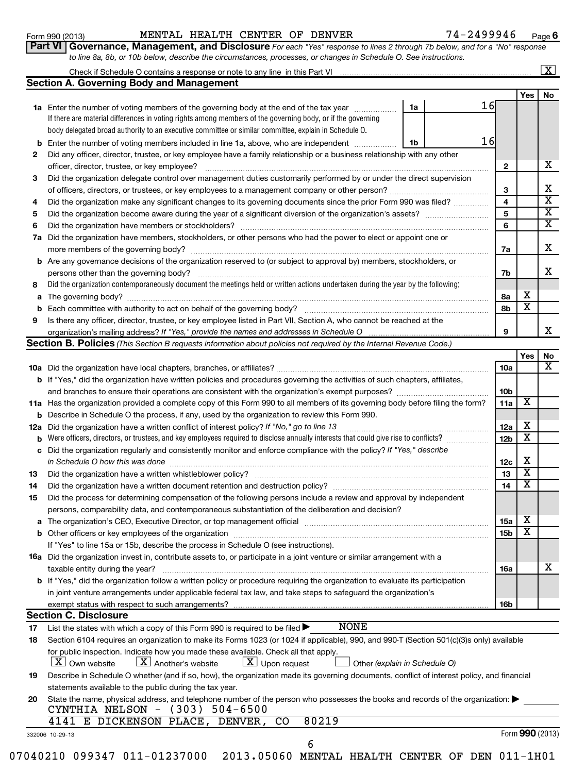**Section B. Policies** 

332006 10-29-13

#### Form 990 (2013) MENTAL HEALTH CENTER OF DENVER 74-2499946 <sub>Page</sub>

**6**

|                                                                                                                  | Part VI   Governance, Management, and Disclosure For each "Yes" response to lines 2 through 7b below, and for a "No" respons |
|------------------------------------------------------------------------------------------------------------------|------------------------------------------------------------------------------------------------------------------------------|
| to line 8a, 8b, or 10b below, describe the circumstances, processes, or changes in Schedule O. See instructions. |                                                                                                                              |

| Check if Schedule O contains a response or note to any line in this Part VI |  |  |  |  |  |  |  |  |     | ▵  |  |
|-----------------------------------------------------------------------------|--|--|--|--|--|--|--|--|-----|----|--|
| <b>Section A. Governing Body and Management</b>                             |  |  |  |  |  |  |  |  |     |    |  |
|                                                                             |  |  |  |  |  |  |  |  | Yes | No |  |
|                                                                             |  |  |  |  |  |  |  |  |     |    |  |

| <b>1a</b> Enter the number of voting members of the governing body at the end of the tax year                              | 16                                                                                                                                |  |  |    |  |   |  |  |  |
|----------------------------------------------------------------------------------------------------------------------------|-----------------------------------------------------------------------------------------------------------------------------------|--|--|----|--|---|--|--|--|
|                                                                                                                            | If there are material differences in voting rights among members of the governing body, or if the governing                       |  |  |    |  |   |  |  |  |
|                                                                                                                            | body delegated broad authority to an executive committee or similar committee, explain in Schedule O.                             |  |  |    |  |   |  |  |  |
|                                                                                                                            | <b>b</b> Enter the number of voting members included in line 1a, above, who are independent<br>1b                                 |  |  |    |  |   |  |  |  |
| 2                                                                                                                          | Did any officer, director, trustee, or key employee have a family relationship or a business relationship with any other          |  |  |    |  |   |  |  |  |
| officer, director, trustee, or key employee?                                                                               |                                                                                                                                   |  |  |    |  |   |  |  |  |
| Did the organization delegate control over management duties customarily performed by or under the direct supervision<br>3 |                                                                                                                                   |  |  |    |  |   |  |  |  |
| of officers, directors, or trustees, or key employees to a management company or other person?                             |                                                                                                                                   |  |  |    |  |   |  |  |  |
| Did the organization make any significant changes to its governing documents since the prior Form 990 was filed?<br>4      |                                                                                                                                   |  |  |    |  |   |  |  |  |
| Did the organization become aware during the year of a significant diversion of the organization's assets?<br>5            |                                                                                                                                   |  |  |    |  |   |  |  |  |
| 6                                                                                                                          | Did the organization have members or stockholders?                                                                                |  |  |    |  |   |  |  |  |
|                                                                                                                            | 7a Did the organization have members, stockholders, or other persons who had the power to elect or appoint one or                 |  |  |    |  |   |  |  |  |
|                                                                                                                            | more members of the governing body?                                                                                               |  |  | 7a |  | x |  |  |  |
|                                                                                                                            | <b>b</b> Are any governance decisions of the organization reserved to (or subject to approval by) members, stockholders, or       |  |  |    |  |   |  |  |  |
|                                                                                                                            | persons other than the governing body?                                                                                            |  |  |    |  |   |  |  |  |
| 8                                                                                                                          | Did the organization contemporaneously document the meetings held or written actions undertaken during the year by the following: |  |  |    |  |   |  |  |  |
|                                                                                                                            | <b>a</b> The governing body?                                                                                                      |  |  |    |  |   |  |  |  |
| <b>b</b> Each committee with authority to act on behalf of the governing body?                                             |                                                                                                                                   |  |  |    |  |   |  |  |  |
| Is there any officer, director, trustee, or key employee listed in Part VII, Section A, who cannot be reached at the<br>9  |                                                                                                                                   |  |  |    |  |   |  |  |  |
| organization's mailing address? If "Yes," provide the names and addresses in Schedule O                                    |                                                                                                                                   |  |  |    |  |   |  |  |  |

*(This Section B requests information about policies not required by the Internal Revenue Code.)*

|     |                                                                                                                                                                                                                                          |                 | Yes                          | No |  |  |  |
|-----|------------------------------------------------------------------------------------------------------------------------------------------------------------------------------------------------------------------------------------------|-----------------|------------------------------|----|--|--|--|
|     |                                                                                                                                                                                                                                          | 10a             |                              | X  |  |  |  |
|     | <b>b</b> If "Yes," did the organization have written policies and procedures governing the activities of such chapters, affiliates,                                                                                                      |                 |                              |    |  |  |  |
|     | and branches to ensure their operations are consistent with the organization's exempt purposes?                                                                                                                                          | 10 <sub>b</sub> |                              |    |  |  |  |
|     | 11a Has the organization provided a complete copy of this Form 990 to all members of its governing body before filing the form?                                                                                                          | 11a             | $\overline{\textbf{x}}$      |    |  |  |  |
|     | Describe in Schedule O the process, if any, used by the organization to review this Form 990.<br>b                                                                                                                                       |                 |                              |    |  |  |  |
| 12a | Did the organization have a written conflict of interest policy? If "No," go to line 13                                                                                                                                                  | 12a             | х<br>$\overline{\text{x}}$   |    |  |  |  |
| b   | Were officers, directors, or trustees, and key employees required to disclose annually interests that could give rise to conflicts?                                                                                                      |                 |                              |    |  |  |  |
| c   | Did the organization regularly and consistently monitor and enforce compliance with the policy? If "Yes," describe<br>in Schedule O how this was done                                                                                    | 12 <sub>c</sub> | х                            |    |  |  |  |
| 13  | Did the organization have a written whistleblower policy?                                                                                                                                                                                | 13              | $\overline{\texttt{x}}$<br>X |    |  |  |  |
| 14  | Did the organization have a written document retention and destruction policy? [11] manufaction in the organization have a written document retention and destruction policy?                                                            |                 |                              |    |  |  |  |
| 15  | Did the process for determining compensation of the following persons include a review and approval by independent                                                                                                                       |                 |                              |    |  |  |  |
|     | persons, comparability data, and contemporaneous substantiation of the deliberation and decision?                                                                                                                                        |                 | х                            |    |  |  |  |
| a   | The organization's CEO, Executive Director, or top management official manufactured content of the organization's CEO, Executive Director, or top management official manufactured content of the state of the state of the st           |                 |                              |    |  |  |  |
|     | Other officers or key employees of the organization<br>b                                                                                                                                                                                 |                 |                              |    |  |  |  |
|     | If "Yes" to line 15a or 15b, describe the process in Schedule O (see instructions).                                                                                                                                                      |                 |                              |    |  |  |  |
|     | 16a Did the organization invest in, contribute assets to, or participate in a joint venture or similar arrangement with a                                                                                                                |                 |                              |    |  |  |  |
|     | taxable entity during the year?                                                                                                                                                                                                          | <b>16a</b>      |                              | x  |  |  |  |
|     | <b>b</b> If "Yes," did the organization follow a written policy or procedure requiring the organization to evaluate its participation                                                                                                    |                 |                              |    |  |  |  |
|     | in joint venture arrangements under applicable federal tax law, and take steps to safeguard the organization's                                                                                                                           |                 |                              |    |  |  |  |
|     | exempt status with respect to such arrangements?                                                                                                                                                                                         | 16 <sub>b</sub> |                              |    |  |  |  |
|     | <b>Section C. Disclosure</b>                                                                                                                                                                                                             |                 |                              |    |  |  |  |
| 17  | <b>NONE</b><br>List the states with which a copy of this Form 990 is required to be filed $\blacktriangleright$                                                                                                                          |                 |                              |    |  |  |  |
| 18  | Section 6104 requires an organization to make its Forms 1023 (or 1024 if applicable), 990, and 990-T (Section 501(c)(3)s only) available                                                                                                 |                 |                              |    |  |  |  |
|     | for public inspection. Indicate how you made these available. Check all that apply.<br>$\lfloor x \rfloor$ Upon request<br>$ \mathbf{X} $ Own website<br>$\lfloor \mathbf{X} \rfloor$ Another's website<br>Other (explain in Schedule O) |                 |                              |    |  |  |  |
| 19  | Describe in Schedule O whether (and if so, how), the organization made its governing documents, conflict of interest policy, and financial                                                                                               |                 |                              |    |  |  |  |
|     | statements available to the public during the tax year.                                                                                                                                                                                  |                 |                              |    |  |  |  |
| 20  | State the name, physical address, and telephone number of the person who possesses the books and records of the organization:<br>CYNTHIA NELSON - (303) 504-6500                                                                         |                 |                              |    |  |  |  |
|     | 80219<br>4141 E DICKENSON PLACE, DENVER, CO                                                                                                                                                                                              |                 |                              |    |  |  |  |

Form **990** (2013)

| ---------------- |                                                                              |  |  |  | - - - - - |
|------------------|------------------------------------------------------------------------------|--|--|--|-----------|
|                  |                                                                              |  |  |  |           |
|                  | 07040210 099347 011-01237000 2013.05060 MENTAL HEALTH CENTER OF DEN 011-1H01 |  |  |  |           |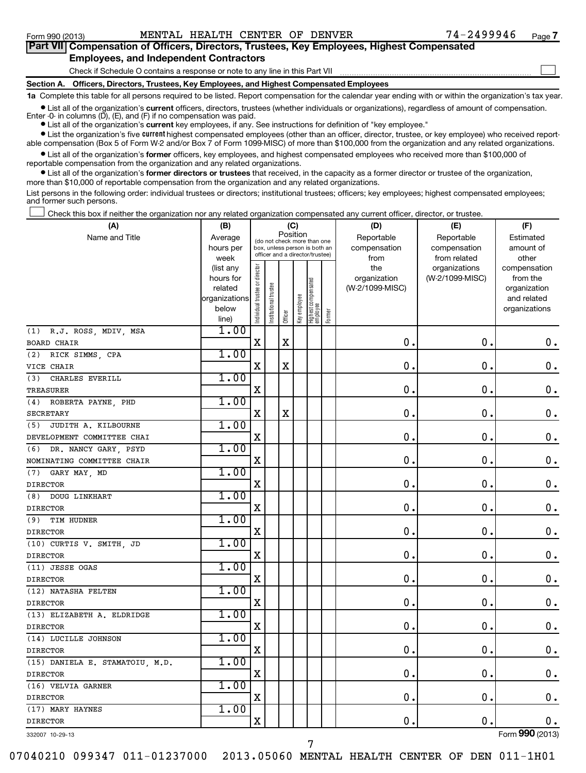| Part VII Compensation of Officers, Directors, Trustees, Key Employees, Highest Compensated                                                                 |  |
|------------------------------------------------------------------------------------------------------------------------------------------------------------|--|
| <b>Employees, and Independent Contractors</b>                                                                                                              |  |
| Check if Schedule O contains a response or note to any line in this Part VII                                                                               |  |
| Section A. Officers, Directors, Trustees, Key Employees, and Highest Compensated Employees                                                                 |  |
| 1a Complete this table for all persons required to be listed. Report compensation for the calendar year ending with or within the organization's tax year. |  |

**•** List all of the organization's current officers, directors, trustees (whether individuals or organizations), regardless of amount of compensation. Enter -0- in columns  $(D)$ ,  $(E)$ , and  $(F)$  if no compensation was paid.

**•** List all of the organization's **current** key employees, if any. See instructions for definition of "key employee."

**•** List the organization's five *current* highest compensated employees (other than an officer, director, trustee, or key employee) who received reportable compensation (Box 5 of Form W-2 and/or Box 7 of Form 1099-MISC) of more than \$100,000 from the organization and any related organizations.

 $\bullet$  List all of the organization's former officers, key employees, and highest compensated employees who received more than \$100,000 of reportable compensation from the organization and any related organizations.

**•** List all of the organization's former directors or trustees that received, in the capacity as a former director or trustee of the organization, more than \$10,000 of reportable compensation from the organization and any related organizations.

List persons in the following order: individual trustees or directors; institutional trustees; officers; key employees; highest compensated employees; and former such persons.

Check this box if neither the organization nor any related organization compensated any current officer, director, or trustee.  $\left\vert \cdot\right\vert$ 

| (A)                                   | (B)                  |                                |                                                              | (C)         |              |                                 |        | (D)                        | (E)                        | (F)                    |
|---------------------------------------|----------------------|--------------------------------|--------------------------------------------------------------|-------------|--------------|---------------------------------|--------|----------------------------|----------------------------|------------------------|
| Name and Title                        | Average<br>hours per |                                | (do not check more than one<br>box, unless person is both an | Position    |              |                                 |        | Reportable<br>compensation | Reportable<br>compensation | Estimated<br>amount of |
|                                       | week                 |                                | officer and a director/trustee)                              |             |              |                                 |        | from                       | from related               | other                  |
|                                       | (list any            |                                |                                                              |             |              |                                 |        | the                        | organizations              | compensation           |
|                                       | hours for            |                                |                                                              |             |              |                                 |        | organization               | (W-2/1099-MISC)            | from the               |
|                                       | related              |                                |                                                              |             |              |                                 |        | (W-2/1099-MISC)            |                            | organization           |
|                                       | organizations        |                                |                                                              |             |              |                                 |        |                            |                            | and related            |
|                                       | below<br>line)       | Individual trustee or director | Institutional trustee                                        | Officer     | Key employee | Highest compensated<br>employee | Former |                            |                            | organizations          |
| (1) R.J. ROSS, MDIV, MSA              | 1.00                 |                                |                                                              |             |              |                                 |        |                            |                            |                        |
| <b>BOARD CHAIR</b>                    |                      | $\mathbf X$                    |                                                              | $\mathbf X$ |              |                                 |        | 0.                         | 0.                         | $\mathbf 0$ .          |
| (2) RICK SIMMS, CPA                   | 1.00                 |                                |                                                              |             |              |                                 |        |                            |                            |                        |
| VICE CHAIR                            |                      | $\mathbf X$                    |                                                              | $\mathbf X$ |              |                                 |        | $\mathbf 0$ .              | 0                          | $\mathbf 0$ .          |
| CHARLES EVERILL<br>(3)                | 1.00                 |                                |                                                              |             |              |                                 |        |                            |                            |                        |
| <b>TREASURER</b>                      |                      | X                              |                                                              |             |              |                                 |        | $\mathbf 0$                | 0                          | $\mathbf 0$ .          |
| (4) ROBERTA PAYNE, PHD                | 1.00                 |                                |                                                              |             |              |                                 |        |                            |                            |                        |
| SECRETARY                             |                      | $\mathbf x$                    |                                                              | $\mathbf X$ |              |                                 |        | $\mathbf 0$ .              | $\mathbf 0$                | $\mathbf 0$ .          |
| (5) JUDITH A. KILBOURNE               | 1.00                 |                                |                                                              |             |              |                                 |        |                            |                            |                        |
| DEVELOPMENT COMMITTEE CHAI            |                      | $\mathbf x$                    |                                                              |             |              |                                 |        | $\mathbf 0$ .              | 0                          | $\mathbf 0$ .          |
| DR. NANCY GARY, PSYD<br>(6)           | 1.00                 |                                |                                                              |             |              |                                 |        |                            |                            |                        |
| NOMINATING COMMITTEE CHAIR            |                      | X                              |                                                              |             |              |                                 |        | $\mathbf 0$ .              | 0                          | $\mathbf 0$ .          |
| GARY MAY, MD<br>(7)                   | 1.00                 |                                |                                                              |             |              |                                 |        |                            |                            |                        |
| <b>DIRECTOR</b>                       |                      | X                              |                                                              |             |              |                                 |        | $\mathbf 0$ .              | 0                          | $\mathbf 0$ .          |
| DOUG LINKHART<br>(8)                  | 1.00                 |                                |                                                              |             |              |                                 |        |                            |                            |                        |
| <b>DIRECTOR</b>                       |                      | $\mathbf x$                    |                                                              |             |              |                                 |        | 0.                         | 0                          | $\mathbf 0$ .          |
| (9)<br>TIM HUDNER                     | 1.00                 |                                |                                                              |             |              |                                 |        |                            |                            |                        |
| <b>DIRECTOR</b>                       |                      | X                              |                                                              |             |              |                                 |        | $\mathbf 0$ .              | 0                          | $\mathbf 0$ .          |
| (10) CURTIS V. SMITH, JD              | 1.00                 |                                |                                                              |             |              |                                 |        |                            |                            |                        |
| <b>DIRECTOR</b>                       |                      | X                              |                                                              |             |              |                                 |        | $\mathbf 0$                | 0                          | $\mathbf 0$ .          |
| (11) JESSE OGAS                       | 1.00                 |                                |                                                              |             |              |                                 |        |                            |                            |                        |
| <b>DIRECTOR</b>                       |                      | X                              |                                                              |             |              |                                 |        | $\mathbf 0$                | 0                          | $\mathbf 0$ .          |
| (12) NATASHA FELTEN                   | 1.00                 |                                |                                                              |             |              |                                 |        |                            |                            |                        |
| <b>DIRECTOR</b>                       |                      | X                              |                                                              |             |              |                                 |        | 0.                         | $\mathbf 0$                | $\mathbf 0$ .          |
| (13) ELIZABETH A. ELDRIDGE            | 1.00                 |                                |                                                              |             |              |                                 |        |                            |                            |                        |
| <b>DIRECTOR</b>                       |                      | X                              |                                                              |             |              |                                 |        | $\mathbf 0$ .              | $\mathbf 0$                | $\mathbf 0$ .          |
| (14) LUCILLE JOHNSON                  | 1.00                 |                                |                                                              |             |              |                                 |        |                            |                            |                        |
| <b>DIRECTOR</b>                       |                      | X                              |                                                              |             |              |                                 |        | 0.                         | 0.                         | $\mathbf 0$ .          |
| (15) DANIELA E. STAMATOIU, M.D.       | 1.00                 |                                |                                                              |             |              |                                 |        | 0.                         | 0.                         |                        |
| <b>DIRECTOR</b>                       | 1.00                 | X                              |                                                              |             |              |                                 |        |                            |                            | $\mathbf 0$ .          |
| (16) VELVIA GARNER<br><b>DIRECTOR</b> |                      | X                              |                                                              |             |              |                                 |        | 0.                         | $\mathbf 0$ .              | $\mathbf 0$ .          |
| (17) MARY HAYNES                      | 1.00                 |                                |                                                              |             |              |                                 |        |                            |                            |                        |
| <b>DIRECTOR</b>                       |                      | $\rm X$                        |                                                              |             |              |                                 |        | $\mathbf 0$ .              | 0.                         | $0$ .                  |
|                                       |                      |                                |                                                              |             |              |                                 |        |                            |                            |                        |

332007 10-29-13

07040210 099347 011-01237000 2013.05060 MENTAL HEALTH CENTER OF DEN 011-1H01

7

Form (2013) **990**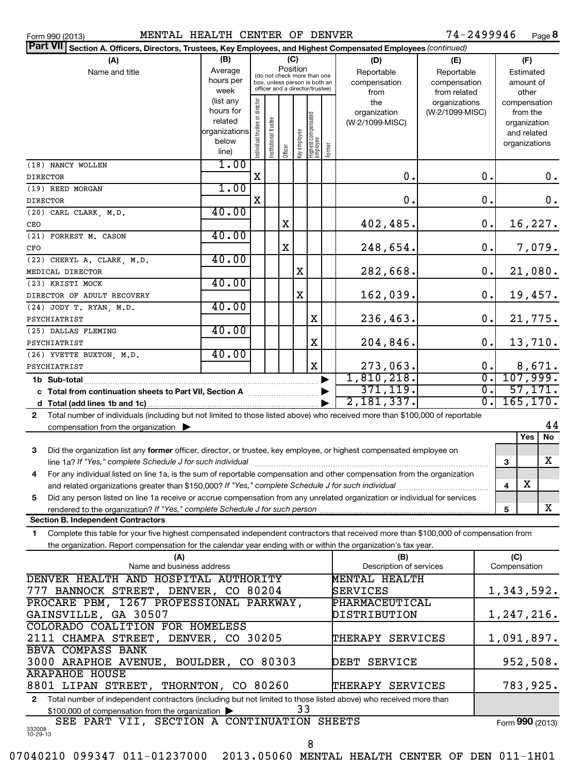| (B)<br>(C)<br>(A)<br>(D)<br>(E)<br>(F)<br>Position<br>(do not check more than one<br>Average<br>Name and title<br>Reportable<br>Reportable<br>Estimated<br>hours per<br>box, unless person is both an<br>compensation<br>compensation<br>amount of<br>officer and a director/trustee)<br>week<br>from related<br>other<br>from<br>(list any<br>Individual trustee or director<br>the<br>organizations<br>compensation<br>hours for<br>(W-2/1099-MISC)<br>organization<br>from the<br>Highest compensated<br>employee<br>Institutional trustee<br>related<br>(W-2/1099-MISC)<br>organization<br>organizations<br>Key employee<br>and related<br>below<br>organizations<br>Former<br>Officer<br>line)<br>1.00<br>$\mathbf 0$ .<br>$\mathbf 0$ .<br>$\mathbf X$<br>0.<br>1.00<br>$\mathbf X$<br>$\mathbf 0$ .<br>$\mathbf 0$ .<br>0.<br>40.00<br>$\mathbf 0$ .<br>16,227.<br>402,485.<br>X<br>40.00<br>$\mathbf X$<br>248,654.<br>$\mathbf 0$ .<br>7,079.<br>40.00<br>(22) CHERYL A. CLARK, M.D.<br>282,668.<br>0.<br>21,080.<br>X<br>40.00<br>$\mathbf 0$ .<br>19,457.<br>X<br>162,039.<br>40.00<br>(24) JODY T. RYAN, M.D.<br>0.<br>21,775.<br>X<br>236,463.<br>40.00<br>13,710.<br>204,846.<br>$\mathbf 0$ .<br>X<br>40.00<br>273,063.<br>X<br>0.<br>8,671.<br>107,999.<br>1,810,218.<br>$\overline{0}$ .<br>371,119.<br>σ.<br>57,171.<br>165, 170.<br>2,181,337.<br>σ.<br>Total number of individuals (including but not limited to those listed above) who received more than \$100,000 of reportable<br>$\mathbf{2}$<br>44<br>compensation from the organization $\blacktriangleright$<br>Yes<br>No<br>3<br>Did the organization list any former officer, director, or trustee, key employee, or highest compensated employee on<br>X<br>line 1a? If "Yes," complete Schedule J for such individual<br>3<br>For any individual listed on line 1a, is the sum of reportable compensation and other compensation from the organization<br>4<br>х<br>4<br>Did any person listed on line 1a receive or accrue compensation from any unrelated organization or individual for services<br>5<br>X<br>rendered to the organization? If "Yes," complete Schedule J for such person<br>5<br><b>Section B. Independent Contractors</b> | Part VII Section A. Officers, Directors, Trustees, Key Employees, and Highest Compensated Employees (continued) |  |  |  |  |  |  |  |  |  |  |
|---------------------------------------------------------------------------------------------------------------------------------------------------------------------------------------------------------------------------------------------------------------------------------------------------------------------------------------------------------------------------------------------------------------------------------------------------------------------------------------------------------------------------------------------------------------------------------------------------------------------------------------------------------------------------------------------------------------------------------------------------------------------------------------------------------------------------------------------------------------------------------------------------------------------------------------------------------------------------------------------------------------------------------------------------------------------------------------------------------------------------------------------------------------------------------------------------------------------------------------------------------------------------------------------------------------------------------------------------------------------------------------------------------------------------------------------------------------------------------------------------------------------------------------------------------------------------------------------------------------------------------------------------------------------------------------------------------------------------------------------------------------------------------------------------------------------------------------------------------------------------------------------------------------------------------------------------------------------------------------------------------------------------------------------------------------------------------------------------------------------------------------------------------------------------------------------------------------------------------|-----------------------------------------------------------------------------------------------------------------|--|--|--|--|--|--|--|--|--|--|
|                                                                                                                                                                                                                                                                                                                                                                                                                                                                                                                                                                                                                                                                                                                                                                                                                                                                                                                                                                                                                                                                                                                                                                                                                                                                                                                                                                                                                                                                                                                                                                                                                                                                                                                                                                                                                                                                                                                                                                                                                                                                                                                                                                                                                                 |                                                                                                                 |  |  |  |  |  |  |  |  |  |  |
|                                                                                                                                                                                                                                                                                                                                                                                                                                                                                                                                                                                                                                                                                                                                                                                                                                                                                                                                                                                                                                                                                                                                                                                                                                                                                                                                                                                                                                                                                                                                                                                                                                                                                                                                                                                                                                                                                                                                                                                                                                                                                                                                                                                                                                 |                                                                                                                 |  |  |  |  |  |  |  |  |  |  |
|                                                                                                                                                                                                                                                                                                                                                                                                                                                                                                                                                                                                                                                                                                                                                                                                                                                                                                                                                                                                                                                                                                                                                                                                                                                                                                                                                                                                                                                                                                                                                                                                                                                                                                                                                                                                                                                                                                                                                                                                                                                                                                                                                                                                                                 |                                                                                                                 |  |  |  |  |  |  |  |  |  |  |
|                                                                                                                                                                                                                                                                                                                                                                                                                                                                                                                                                                                                                                                                                                                                                                                                                                                                                                                                                                                                                                                                                                                                                                                                                                                                                                                                                                                                                                                                                                                                                                                                                                                                                                                                                                                                                                                                                                                                                                                                                                                                                                                                                                                                                                 |                                                                                                                 |  |  |  |  |  |  |  |  |  |  |
|                                                                                                                                                                                                                                                                                                                                                                                                                                                                                                                                                                                                                                                                                                                                                                                                                                                                                                                                                                                                                                                                                                                                                                                                                                                                                                                                                                                                                                                                                                                                                                                                                                                                                                                                                                                                                                                                                                                                                                                                                                                                                                                                                                                                                                 |                                                                                                                 |  |  |  |  |  |  |  |  |  |  |
|                                                                                                                                                                                                                                                                                                                                                                                                                                                                                                                                                                                                                                                                                                                                                                                                                                                                                                                                                                                                                                                                                                                                                                                                                                                                                                                                                                                                                                                                                                                                                                                                                                                                                                                                                                                                                                                                                                                                                                                                                                                                                                                                                                                                                                 |                                                                                                                 |  |  |  |  |  |  |  |  |  |  |
|                                                                                                                                                                                                                                                                                                                                                                                                                                                                                                                                                                                                                                                                                                                                                                                                                                                                                                                                                                                                                                                                                                                                                                                                                                                                                                                                                                                                                                                                                                                                                                                                                                                                                                                                                                                                                                                                                                                                                                                                                                                                                                                                                                                                                                 |                                                                                                                 |  |  |  |  |  |  |  |  |  |  |
|                                                                                                                                                                                                                                                                                                                                                                                                                                                                                                                                                                                                                                                                                                                                                                                                                                                                                                                                                                                                                                                                                                                                                                                                                                                                                                                                                                                                                                                                                                                                                                                                                                                                                                                                                                                                                                                                                                                                                                                                                                                                                                                                                                                                                                 |                                                                                                                 |  |  |  |  |  |  |  |  |  |  |
|                                                                                                                                                                                                                                                                                                                                                                                                                                                                                                                                                                                                                                                                                                                                                                                                                                                                                                                                                                                                                                                                                                                                                                                                                                                                                                                                                                                                                                                                                                                                                                                                                                                                                                                                                                                                                                                                                                                                                                                                                                                                                                                                                                                                                                 |                                                                                                                 |  |  |  |  |  |  |  |  |  |  |
|                                                                                                                                                                                                                                                                                                                                                                                                                                                                                                                                                                                                                                                                                                                                                                                                                                                                                                                                                                                                                                                                                                                                                                                                                                                                                                                                                                                                                                                                                                                                                                                                                                                                                                                                                                                                                                                                                                                                                                                                                                                                                                                                                                                                                                 | (18) NANCY WOLLEN                                                                                               |  |  |  |  |  |  |  |  |  |  |
|                                                                                                                                                                                                                                                                                                                                                                                                                                                                                                                                                                                                                                                                                                                                                                                                                                                                                                                                                                                                                                                                                                                                                                                                                                                                                                                                                                                                                                                                                                                                                                                                                                                                                                                                                                                                                                                                                                                                                                                                                                                                                                                                                                                                                                 | <b>DIRECTOR</b>                                                                                                 |  |  |  |  |  |  |  |  |  |  |
|                                                                                                                                                                                                                                                                                                                                                                                                                                                                                                                                                                                                                                                                                                                                                                                                                                                                                                                                                                                                                                                                                                                                                                                                                                                                                                                                                                                                                                                                                                                                                                                                                                                                                                                                                                                                                                                                                                                                                                                                                                                                                                                                                                                                                                 | (19) REED MORGAN                                                                                                |  |  |  |  |  |  |  |  |  |  |
|                                                                                                                                                                                                                                                                                                                                                                                                                                                                                                                                                                                                                                                                                                                                                                                                                                                                                                                                                                                                                                                                                                                                                                                                                                                                                                                                                                                                                                                                                                                                                                                                                                                                                                                                                                                                                                                                                                                                                                                                                                                                                                                                                                                                                                 | <b>DIRECTOR</b>                                                                                                 |  |  |  |  |  |  |  |  |  |  |
|                                                                                                                                                                                                                                                                                                                                                                                                                                                                                                                                                                                                                                                                                                                                                                                                                                                                                                                                                                                                                                                                                                                                                                                                                                                                                                                                                                                                                                                                                                                                                                                                                                                                                                                                                                                                                                                                                                                                                                                                                                                                                                                                                                                                                                 | (20) CARL CLARK, M.D.                                                                                           |  |  |  |  |  |  |  |  |  |  |
|                                                                                                                                                                                                                                                                                                                                                                                                                                                                                                                                                                                                                                                                                                                                                                                                                                                                                                                                                                                                                                                                                                                                                                                                                                                                                                                                                                                                                                                                                                                                                                                                                                                                                                                                                                                                                                                                                                                                                                                                                                                                                                                                                                                                                                 | CEO                                                                                                             |  |  |  |  |  |  |  |  |  |  |
|                                                                                                                                                                                                                                                                                                                                                                                                                                                                                                                                                                                                                                                                                                                                                                                                                                                                                                                                                                                                                                                                                                                                                                                                                                                                                                                                                                                                                                                                                                                                                                                                                                                                                                                                                                                                                                                                                                                                                                                                                                                                                                                                                                                                                                 | (21) FORREST M. CASON                                                                                           |  |  |  |  |  |  |  |  |  |  |
|                                                                                                                                                                                                                                                                                                                                                                                                                                                                                                                                                                                                                                                                                                                                                                                                                                                                                                                                                                                                                                                                                                                                                                                                                                                                                                                                                                                                                                                                                                                                                                                                                                                                                                                                                                                                                                                                                                                                                                                                                                                                                                                                                                                                                                 | CFO                                                                                                             |  |  |  |  |  |  |  |  |  |  |
|                                                                                                                                                                                                                                                                                                                                                                                                                                                                                                                                                                                                                                                                                                                                                                                                                                                                                                                                                                                                                                                                                                                                                                                                                                                                                                                                                                                                                                                                                                                                                                                                                                                                                                                                                                                                                                                                                                                                                                                                                                                                                                                                                                                                                                 |                                                                                                                 |  |  |  |  |  |  |  |  |  |  |
|                                                                                                                                                                                                                                                                                                                                                                                                                                                                                                                                                                                                                                                                                                                                                                                                                                                                                                                                                                                                                                                                                                                                                                                                                                                                                                                                                                                                                                                                                                                                                                                                                                                                                                                                                                                                                                                                                                                                                                                                                                                                                                                                                                                                                                 | MEDICAL DIRECTOR                                                                                                |  |  |  |  |  |  |  |  |  |  |
|                                                                                                                                                                                                                                                                                                                                                                                                                                                                                                                                                                                                                                                                                                                                                                                                                                                                                                                                                                                                                                                                                                                                                                                                                                                                                                                                                                                                                                                                                                                                                                                                                                                                                                                                                                                                                                                                                                                                                                                                                                                                                                                                                                                                                                 | (23) KRISTI MOCK                                                                                                |  |  |  |  |  |  |  |  |  |  |
|                                                                                                                                                                                                                                                                                                                                                                                                                                                                                                                                                                                                                                                                                                                                                                                                                                                                                                                                                                                                                                                                                                                                                                                                                                                                                                                                                                                                                                                                                                                                                                                                                                                                                                                                                                                                                                                                                                                                                                                                                                                                                                                                                                                                                                 | DIRECTOR OF ADULT RECOVERY                                                                                      |  |  |  |  |  |  |  |  |  |  |
|                                                                                                                                                                                                                                                                                                                                                                                                                                                                                                                                                                                                                                                                                                                                                                                                                                                                                                                                                                                                                                                                                                                                                                                                                                                                                                                                                                                                                                                                                                                                                                                                                                                                                                                                                                                                                                                                                                                                                                                                                                                                                                                                                                                                                                 |                                                                                                                 |  |  |  |  |  |  |  |  |  |  |
|                                                                                                                                                                                                                                                                                                                                                                                                                                                                                                                                                                                                                                                                                                                                                                                                                                                                                                                                                                                                                                                                                                                                                                                                                                                                                                                                                                                                                                                                                                                                                                                                                                                                                                                                                                                                                                                                                                                                                                                                                                                                                                                                                                                                                                 | PSYCHIATRIST                                                                                                    |  |  |  |  |  |  |  |  |  |  |
|                                                                                                                                                                                                                                                                                                                                                                                                                                                                                                                                                                                                                                                                                                                                                                                                                                                                                                                                                                                                                                                                                                                                                                                                                                                                                                                                                                                                                                                                                                                                                                                                                                                                                                                                                                                                                                                                                                                                                                                                                                                                                                                                                                                                                                 | (25) DALLAS FLEMING                                                                                             |  |  |  |  |  |  |  |  |  |  |
|                                                                                                                                                                                                                                                                                                                                                                                                                                                                                                                                                                                                                                                                                                                                                                                                                                                                                                                                                                                                                                                                                                                                                                                                                                                                                                                                                                                                                                                                                                                                                                                                                                                                                                                                                                                                                                                                                                                                                                                                                                                                                                                                                                                                                                 | PSYCHIATRIST                                                                                                    |  |  |  |  |  |  |  |  |  |  |
|                                                                                                                                                                                                                                                                                                                                                                                                                                                                                                                                                                                                                                                                                                                                                                                                                                                                                                                                                                                                                                                                                                                                                                                                                                                                                                                                                                                                                                                                                                                                                                                                                                                                                                                                                                                                                                                                                                                                                                                                                                                                                                                                                                                                                                 | (26) YVETTE BUXTON, M.D.                                                                                        |  |  |  |  |  |  |  |  |  |  |
|                                                                                                                                                                                                                                                                                                                                                                                                                                                                                                                                                                                                                                                                                                                                                                                                                                                                                                                                                                                                                                                                                                                                                                                                                                                                                                                                                                                                                                                                                                                                                                                                                                                                                                                                                                                                                                                                                                                                                                                                                                                                                                                                                                                                                                 | PSYCHIATRIST                                                                                                    |  |  |  |  |  |  |  |  |  |  |
|                                                                                                                                                                                                                                                                                                                                                                                                                                                                                                                                                                                                                                                                                                                                                                                                                                                                                                                                                                                                                                                                                                                                                                                                                                                                                                                                                                                                                                                                                                                                                                                                                                                                                                                                                                                                                                                                                                                                                                                                                                                                                                                                                                                                                                 |                                                                                                                 |  |  |  |  |  |  |  |  |  |  |
|                                                                                                                                                                                                                                                                                                                                                                                                                                                                                                                                                                                                                                                                                                                                                                                                                                                                                                                                                                                                                                                                                                                                                                                                                                                                                                                                                                                                                                                                                                                                                                                                                                                                                                                                                                                                                                                                                                                                                                                                                                                                                                                                                                                                                                 |                                                                                                                 |  |  |  |  |  |  |  |  |  |  |
|                                                                                                                                                                                                                                                                                                                                                                                                                                                                                                                                                                                                                                                                                                                                                                                                                                                                                                                                                                                                                                                                                                                                                                                                                                                                                                                                                                                                                                                                                                                                                                                                                                                                                                                                                                                                                                                                                                                                                                                                                                                                                                                                                                                                                                 |                                                                                                                 |  |  |  |  |  |  |  |  |  |  |
|                                                                                                                                                                                                                                                                                                                                                                                                                                                                                                                                                                                                                                                                                                                                                                                                                                                                                                                                                                                                                                                                                                                                                                                                                                                                                                                                                                                                                                                                                                                                                                                                                                                                                                                                                                                                                                                                                                                                                                                                                                                                                                                                                                                                                                 |                                                                                                                 |  |  |  |  |  |  |  |  |  |  |
|                                                                                                                                                                                                                                                                                                                                                                                                                                                                                                                                                                                                                                                                                                                                                                                                                                                                                                                                                                                                                                                                                                                                                                                                                                                                                                                                                                                                                                                                                                                                                                                                                                                                                                                                                                                                                                                                                                                                                                                                                                                                                                                                                                                                                                 |                                                                                                                 |  |  |  |  |  |  |  |  |  |  |
|                                                                                                                                                                                                                                                                                                                                                                                                                                                                                                                                                                                                                                                                                                                                                                                                                                                                                                                                                                                                                                                                                                                                                                                                                                                                                                                                                                                                                                                                                                                                                                                                                                                                                                                                                                                                                                                                                                                                                                                                                                                                                                                                                                                                                                 |                                                                                                                 |  |  |  |  |  |  |  |  |  |  |
|                                                                                                                                                                                                                                                                                                                                                                                                                                                                                                                                                                                                                                                                                                                                                                                                                                                                                                                                                                                                                                                                                                                                                                                                                                                                                                                                                                                                                                                                                                                                                                                                                                                                                                                                                                                                                                                                                                                                                                                                                                                                                                                                                                                                                                 |                                                                                                                 |  |  |  |  |  |  |  |  |  |  |
|                                                                                                                                                                                                                                                                                                                                                                                                                                                                                                                                                                                                                                                                                                                                                                                                                                                                                                                                                                                                                                                                                                                                                                                                                                                                                                                                                                                                                                                                                                                                                                                                                                                                                                                                                                                                                                                                                                                                                                                                                                                                                                                                                                                                                                 |                                                                                                                 |  |  |  |  |  |  |  |  |  |  |
|                                                                                                                                                                                                                                                                                                                                                                                                                                                                                                                                                                                                                                                                                                                                                                                                                                                                                                                                                                                                                                                                                                                                                                                                                                                                                                                                                                                                                                                                                                                                                                                                                                                                                                                                                                                                                                                                                                                                                                                                                                                                                                                                                                                                                                 |                                                                                                                 |  |  |  |  |  |  |  |  |  |  |
|                                                                                                                                                                                                                                                                                                                                                                                                                                                                                                                                                                                                                                                                                                                                                                                                                                                                                                                                                                                                                                                                                                                                                                                                                                                                                                                                                                                                                                                                                                                                                                                                                                                                                                                                                                                                                                                                                                                                                                                                                                                                                                                                                                                                                                 |                                                                                                                 |  |  |  |  |  |  |  |  |  |  |
|                                                                                                                                                                                                                                                                                                                                                                                                                                                                                                                                                                                                                                                                                                                                                                                                                                                                                                                                                                                                                                                                                                                                                                                                                                                                                                                                                                                                                                                                                                                                                                                                                                                                                                                                                                                                                                                                                                                                                                                                                                                                                                                                                                                                                                 |                                                                                                                 |  |  |  |  |  |  |  |  |  |  |
|                                                                                                                                                                                                                                                                                                                                                                                                                                                                                                                                                                                                                                                                                                                                                                                                                                                                                                                                                                                                                                                                                                                                                                                                                                                                                                                                                                                                                                                                                                                                                                                                                                                                                                                                                                                                                                                                                                                                                                                                                                                                                                                                                                                                                                 |                                                                                                                 |  |  |  |  |  |  |  |  |  |  |
| 1. Complete this table for your five bighest compensated independent contractors that resolved more than 0100.000 of compensation from                                                                                                                                                                                                                                                                                                                                                                                                                                                                                                                                                                                                                                                                                                                                                                                                                                                                                                                                                                                                                                                                                                                                                                                                                                                                                                                                                                                                                                                                                                                                                                                                                                                                                                                                                                                                                                                                                                                                                                                                                                                                                          |                                                                                                                 |  |  |  |  |  |  |  |  |  |  |

**1** Complete this table for your five highest compensated independent contractors that received more than \$100,000 of compensation from the organization. Report compensation for the calendar year ending with or within the organization's tax year.

| (A)                                                                                                                              | (B)                     | (C)             |
|----------------------------------------------------------------------------------------------------------------------------------|-------------------------|-----------------|
| Name and business address                                                                                                        | Description of services | Compensation    |
| DENVER HEALTH AND HOSPITAL AUTHORITY                                                                                             | MENTAL HEALTH           |                 |
| BANNOCK STREET, DENVER, CO 80204<br>777                                                                                          | <b>SERVICES</b>         | 1,343,592.      |
| PROCARE PBM, 1267 PROFESSIONAL PARKWAY,                                                                                          | PHARMACEUTICAL          |                 |
| GAINSVILLE, GA 30507                                                                                                             | DISTRIBUTION            | 1,247,216.      |
| COLORADO COALITION FOR HOMELESS                                                                                                  |                         |                 |
| 2111 CHAMPA STREET, DENVER, CO 30205                                                                                             | THERAPY SERVICES        | 1,091,897.      |
| BBVA COMPASS BANK                                                                                                                |                         |                 |
| 3000 ARAPHOE AVENUE, BOULDER, CO 80303                                                                                           | <b>SERVICE</b><br>DEBT  | 952,508.        |
| ARAPAHOE HOUSE                                                                                                                   |                         |                 |
| 8801 LIPAN STREET, THORNTON, CO 80260                                                                                            | THERAPY SERVICES        | 783,925.        |
| Total number of independent contractors (including but not limited to those listed above) who received more than<br>$\mathbf{2}$ |                         |                 |
| 33<br>$$100,000$ of compensation from the organization $\triangleright$                                                          |                         |                 |
| SEE PART VII, SECTION A CONTINUATION SHEETS                                                                                      |                         | Form 990 (2013) |
| 332008<br>10-29-13                                                                                                               |                         |                 |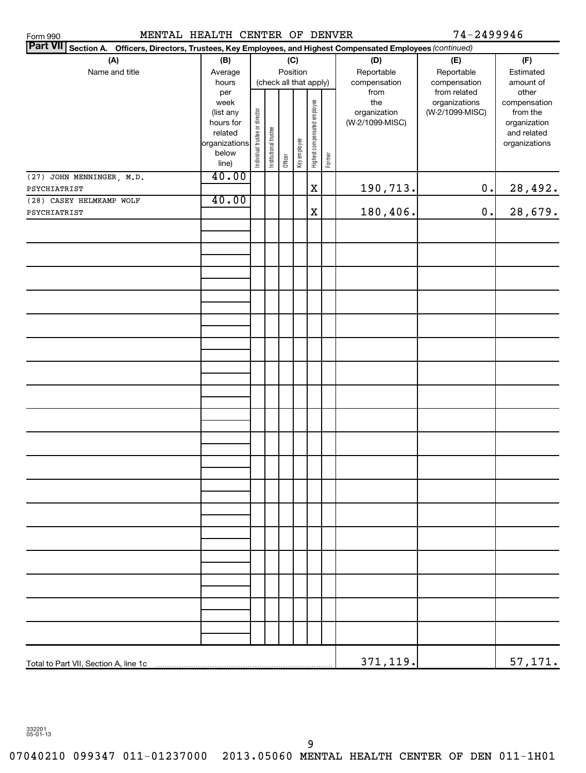MENTAL HEALTH CENTER OF DENVER 74-2499946

| <b>Part VII</b><br>Section A. Officers, Directors, Trustees, Key Employees, and Highest Compensated Employees (continued) |                                                                                     |                                |                       |                 |              |                              |        |                                                |                                                  |                                                                                   |  |  |
|---------------------------------------------------------------------------------------------------------------------------|-------------------------------------------------------------------------------------|--------------------------------|-----------------------|-----------------|--------------|------------------------------|--------|------------------------------------------------|--------------------------------------------------|-----------------------------------------------------------------------------------|--|--|
| (A)<br>Name and title                                                                                                     | (B)<br>Average<br>hours                                                             |                                |                       | (C)<br>Position |              | (check all that apply)       |        | (D)<br>Reportable<br>compensation              | (E)<br>Reportable<br>compensation                | (F)<br>Estimated<br>amount of                                                     |  |  |
|                                                                                                                           | per<br>week<br>(list any<br>hours for<br>related<br>organizations<br>below<br>line) | Individual trustee or director | Institutional trustee | Officer         | Key employee | Highest compensated employee | Former | from<br>the<br>organization<br>(W-2/1099-MISC) | from related<br>organizations<br>(W-2/1099-MISC) | other<br>compensation<br>from the<br>organization<br>and related<br>organizations |  |  |
| (27) JOHN MENNINGER, M.D.<br>PSYCHIATRIST                                                                                 | 40.00                                                                               |                                |                       |                 |              | $\mathbf X$                  |        | 190,713.                                       | $\mathbf 0$ .                                    | 28,492.                                                                           |  |  |
| (28) CASEY HELMKAMP WOLF                                                                                                  | 40.00                                                                               |                                |                       |                 |              |                              |        |                                                |                                                  |                                                                                   |  |  |
| PSYCHIATRIST                                                                                                              |                                                                                     |                                |                       |                 |              | X                            |        | 180,406.                                       | $0$ .                                            | 28,679.                                                                           |  |  |
|                                                                                                                           |                                                                                     |                                |                       |                 |              |                              |        |                                                |                                                  |                                                                                   |  |  |
|                                                                                                                           |                                                                                     |                                |                       |                 |              |                              |        |                                                |                                                  |                                                                                   |  |  |
|                                                                                                                           |                                                                                     |                                |                       |                 |              |                              |        |                                                |                                                  |                                                                                   |  |  |
|                                                                                                                           |                                                                                     |                                |                       |                 |              |                              |        |                                                |                                                  |                                                                                   |  |  |
|                                                                                                                           |                                                                                     |                                |                       |                 |              |                              |        |                                                |                                                  |                                                                                   |  |  |
|                                                                                                                           |                                                                                     |                                |                       |                 |              |                              |        |                                                |                                                  |                                                                                   |  |  |
|                                                                                                                           |                                                                                     |                                |                       |                 |              |                              |        |                                                |                                                  |                                                                                   |  |  |
|                                                                                                                           |                                                                                     |                                |                       |                 |              |                              |        |                                                |                                                  |                                                                                   |  |  |
|                                                                                                                           |                                                                                     |                                |                       |                 |              |                              |        |                                                |                                                  |                                                                                   |  |  |
|                                                                                                                           |                                                                                     |                                |                       |                 |              |                              |        |                                                |                                                  |                                                                                   |  |  |
|                                                                                                                           |                                                                                     |                                |                       |                 |              |                              |        |                                                |                                                  |                                                                                   |  |  |
|                                                                                                                           |                                                                                     |                                |                       |                 |              |                              |        |                                                |                                                  |                                                                                   |  |  |
|                                                                                                                           |                                                                                     |                                |                       |                 |              |                              |        |                                                |                                                  |                                                                                   |  |  |
|                                                                                                                           |                                                                                     |                                |                       |                 |              |                              |        |                                                |                                                  |                                                                                   |  |  |
|                                                                                                                           |                                                                                     |                                |                       |                 |              |                              |        |                                                |                                                  |                                                                                   |  |  |
|                                                                                                                           |                                                                                     |                                |                       |                 |              |                              |        |                                                |                                                  |                                                                                   |  |  |
|                                                                                                                           |                                                                                     |                                |                       |                 |              |                              |        |                                                |                                                  |                                                                                   |  |  |
|                                                                                                                           |                                                                                     |                                |                       |                 |              |                              |        |                                                |                                                  |                                                                                   |  |  |
|                                                                                                                           |                                                                                     |                                |                       |                 |              |                              |        |                                                |                                                  |                                                                                   |  |  |
|                                                                                                                           |                                                                                     |                                |                       |                 |              |                              |        | 371,119.                                       |                                                  | 57,171.                                                                           |  |  |

332201 05-01-13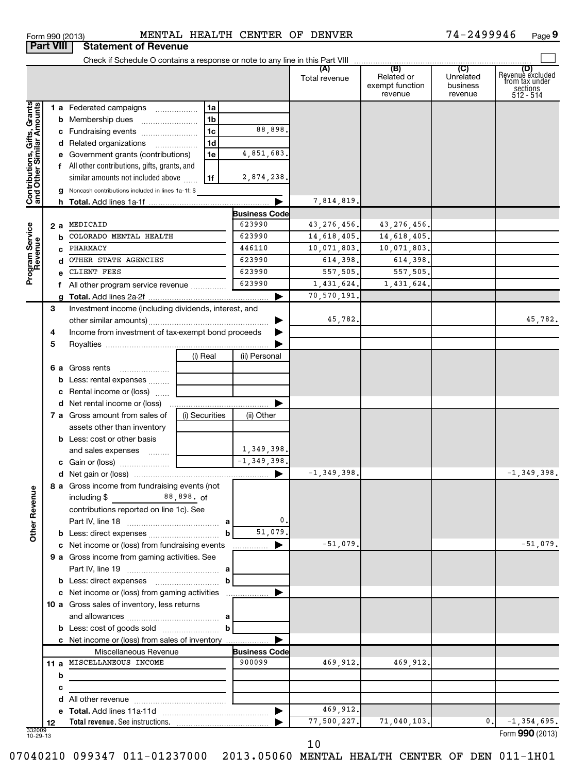| Form 990 (2013)  | MENTAL                      |
|------------------|-----------------------------|
| <b>Part VIII</b> | <b>Statement of Revenue</b> |

### Form 990 (2013) **MENTAL HEALTH CENTER OF DENVER** 7 4-2499946 Page

74-2499946 Page 9

|                                                           |    |                                                            |                |                           | Total revenue  | (B)<br>Related or<br>exempt function<br>revenue | (C)<br>Unrelated<br>business<br>revenue | (D)<br>Revenue excluded<br>from tax under<br>sections<br>512 - 514 |
|-----------------------------------------------------------|----|------------------------------------------------------------|----------------|---------------------------|----------------|-------------------------------------------------|-----------------------------------------|--------------------------------------------------------------------|
|                                                           |    | 1 a Federated campaigns                                    | 1a             |                           |                |                                                 |                                         |                                                                    |
|                                                           |    | <b>b</b> Membership dues                                   | 1 <sub>b</sub> |                           |                |                                                 |                                         |                                                                    |
|                                                           |    | c Fundraising events                                       | 1 <sub>c</sub> | 88,898.                   |                |                                                 |                                         |                                                                    |
|                                                           |    | d Related organizations                                    | 1 <sub>d</sub> |                           |                |                                                 |                                         |                                                                    |
|                                                           |    | e Government grants (contributions)                        | 1e             | 4,851,683.                |                |                                                 |                                         |                                                                    |
|                                                           |    | f All other contributions, gifts, grants, and              |                |                           |                |                                                 |                                         |                                                                    |
|                                                           |    | similar amounts not included above                         | 1f             | 2,874,238.                |                |                                                 |                                         |                                                                    |
|                                                           |    | <b>g</b> Noncash contributions included in lines 1a-1f: \$ |                |                           |                |                                                 |                                         |                                                                    |
| Contributions, Gifts, Grants<br>and Other Similar Amounts |    |                                                            |                | ▶                         | 7,814,819      |                                                 |                                         |                                                                    |
|                                                           |    |                                                            |                | <b>Business Code</b>      |                |                                                 |                                         |                                                                    |
|                                                           |    | 2 a MEDICAID                                               |                | 623990                    | 43, 276, 456.  | 43, 276, 456                                    |                                         |                                                                    |
| Program Service                                           |    | <b>b</b> COLORADO MENTAL HEALTH                            |                | 623990                    | 14,618,405.    | 14,618,405.                                     |                                         |                                                                    |
|                                                           |    | c PHARMACY                                                 |                | 446110                    | 10,071,803.    | 10,071,803.                                     |                                         |                                                                    |
|                                                           |    | d OTHER STATE AGENCIES                                     |                | 623990                    | 614,398.       | 614,398.                                        |                                         |                                                                    |
|                                                           |    | 623990<br>CLIENT FEES                                      |                | 557,505.                  | 557,505.       |                                                 |                                         |                                                                    |
|                                                           |    | f All other program service revenue                        |                | 623990                    | 1,431,624.     | 1,431,624                                       |                                         |                                                                    |
|                                                           |    |                                                            |                | ▶                         | 70,570,191     |                                                 |                                         |                                                                    |
|                                                           | 3  | Investment income (including dividends, interest, and      |                |                           |                |                                                 |                                         |                                                                    |
|                                                           |    |                                                            |                |                           | 45,782.        |                                                 |                                         | 45,782.                                                            |
|                                                           | 4  | Income from investment of tax-exempt bond proceeds         |                |                           |                |                                                 |                                         |                                                                    |
|                                                           | 5  |                                                            |                |                           |                |                                                 |                                         |                                                                    |
|                                                           |    |                                                            | (i) Real       | (ii) Personal             |                |                                                 |                                         |                                                                    |
|                                                           |    | 6 a Gross rents                                            |                |                           |                |                                                 |                                         |                                                                    |
|                                                           |    | <b>b</b> Less: rental expenses                             |                |                           |                |                                                 |                                         |                                                                    |
|                                                           |    | c Rental income or (loss)                                  |                |                           |                |                                                 |                                         |                                                                    |
|                                                           |    |                                                            |                | ▶                         |                |                                                 |                                         |                                                                    |
|                                                           |    | <b>7 a</b> Gross amount from sales of                      | (i) Securities | (ii) Other                |                |                                                 |                                         |                                                                    |
|                                                           |    | assets other than inventory                                |                |                           |                |                                                 |                                         |                                                                    |
|                                                           |    | <b>b</b> Less: cost or other basis                         |                |                           |                |                                                 |                                         |                                                                    |
|                                                           |    | and sales expenses                                         |                | 1,349,398.                |                |                                                 |                                         |                                                                    |
|                                                           |    |                                                            |                | $\overline{-1,349,398}$ . |                |                                                 |                                         |                                                                    |
|                                                           |    |                                                            |                | ▶                         | $-1, 349, 398$ |                                                 |                                         | $-1, 349, 398.$                                                    |
|                                                           |    | 8 a Gross income from fundraising events (not              |                |                           |                |                                                 |                                         |                                                                    |
| 9D                                                        |    |                                                            |                |                           |                |                                                 |                                         |                                                                    |
|                                                           |    | contributions reported on line 1c). See                    |                |                           |                |                                                 |                                         |                                                                    |
|                                                           |    |                                                            |                | 0.                        |                |                                                 |                                         |                                                                    |
| Other Rever                                               |    |                                                            |                | 51,079.<br>b              |                |                                                 |                                         |                                                                    |
|                                                           |    | c Net income or (loss) from fundraising events             |                | ▶<br>.                    | $-51,079.$     |                                                 |                                         | $-51,079.$                                                         |
|                                                           |    | 9 a Gross income from gaming activities. See               |                |                           |                |                                                 |                                         |                                                                    |
|                                                           |    |                                                            |                |                           |                |                                                 |                                         |                                                                    |
|                                                           |    |                                                            |                | b                         |                |                                                 |                                         |                                                                    |
|                                                           |    | c Net income or (loss) from gaming activities              |                |                           |                |                                                 |                                         |                                                                    |
|                                                           |    | 10 a Gross sales of inventory, less returns                |                |                           |                |                                                 |                                         |                                                                    |
|                                                           |    |                                                            |                |                           |                |                                                 |                                         |                                                                    |
|                                                           |    | <b>b</b> Less: cost of goods sold                          |                | b                         |                |                                                 |                                         |                                                                    |
|                                                           |    | c Net income or (loss) from sales of inventory             |                |                           |                |                                                 |                                         |                                                                    |
|                                                           |    | Miscellaneous Revenue                                      |                | <b>Business Code</b>      |                |                                                 |                                         |                                                                    |
|                                                           |    | 11 a MISCELLANEOUS INCOME                                  |                | 900099                    | 469,912.       | 469,912                                         |                                         |                                                                    |
|                                                           | b  |                                                            |                |                           |                |                                                 |                                         |                                                                    |
|                                                           | c  |                                                            |                |                           |                |                                                 |                                         |                                                                    |
|                                                           |    |                                                            |                |                           |                |                                                 |                                         |                                                                    |
|                                                           |    |                                                            |                | ▶                         | 469,912.       |                                                 |                                         |                                                                    |
|                                                           | 12 | Total revenue. See instructions.                           |                |                           | 77,500,227.    | 71,040,103.                                     |                                         | $-1,354,695.$<br>0.                                                |
| 332009<br>10-29-13                                        |    |                                                            |                |                           |                |                                                 |                                         | Form 990 (2013)                                                    |

07040210 099347 011-01237000 2013.05060 MENTAL HEALTH CENTER OF DEN 011-1H01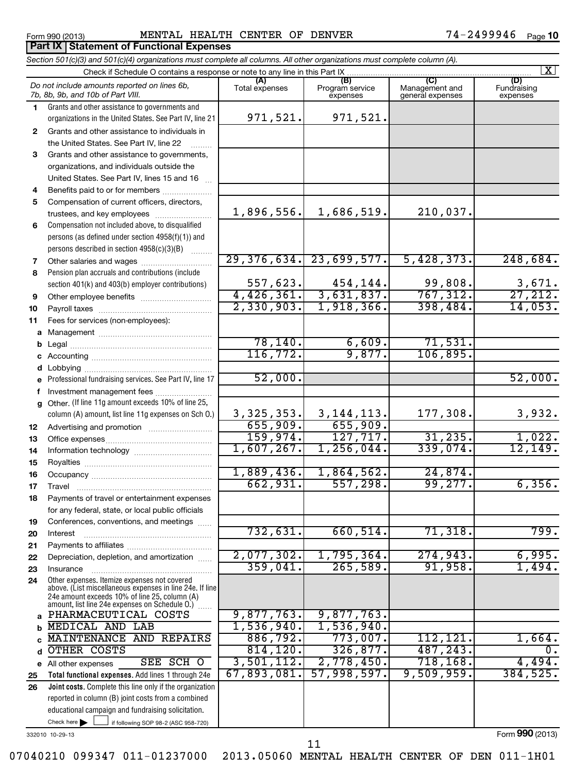#### Form 990 (2013) MENTAL HEALTH CENTER OF DENVER 74-2499946 <sub>Page</sub>

74-2499946 Page 10

|              | Section 501(c)(3) and 501(c)(4) organizations must complete all columns. All other organizations must complete column (A).                                |                           |                             |                                    | $\overline{\mathbf{x}}$ |
|--------------|-----------------------------------------------------------------------------------------------------------------------------------------------------------|---------------------------|-----------------------------|------------------------------------|-------------------------|
|              | Check if Schedule O contains a response or note to any line in this Part IX                                                                               | (A)                       | (B)                         | (C)                                | (D)                     |
|              | Do not include amounts reported on lines 6b,<br>7b, 8b, 9b, and 10b of Part VIII.                                                                         | Total expenses            | Program service<br>expenses | Management and<br>general expenses | Fundraising<br>expenses |
| 1.           | Grants and other assistance to governments and                                                                                                            |                           |                             |                                    |                         |
|              | organizations in the United States. See Part IV, line 21                                                                                                  | 971,521.                  | 971,521.                    |                                    |                         |
| $\mathbf{2}$ | Grants and other assistance to individuals in                                                                                                             |                           |                             |                                    |                         |
|              | the United States. See Part IV, line 22                                                                                                                   |                           |                             |                                    |                         |
| 3            | Grants and other assistance to governments,                                                                                                               |                           |                             |                                    |                         |
|              | organizations, and individuals outside the                                                                                                                |                           |                             |                                    |                         |
|              | United States. See Part IV, lines 15 and 16                                                                                                               |                           |                             |                                    |                         |
| 4            | Benefits paid to or for members                                                                                                                           |                           |                             |                                    |                         |
| 5            | Compensation of current officers, directors,                                                                                                              |                           |                             | 210,037.                           |                         |
|              | trustees, and key employees                                                                                                                               | 1,896,556.                | 1,686,519.                  |                                    |                         |
| 6            | Compensation not included above, to disqualified                                                                                                          |                           |                             |                                    |                         |
|              | persons (as defined under section 4958(f)(1)) and                                                                                                         |                           |                             |                                    |                         |
|              | persons described in section 4958(c)(3)(B)                                                                                                                |                           | $29,376,634.$ $23,699,577.$ | 5,428,373.                         | 248,684.                |
| 7            |                                                                                                                                                           |                           |                             |                                    |                         |
| 8            | Pension plan accruals and contributions (include                                                                                                          | 557,623.                  | 454, 144.                   | 99,808.                            |                         |
| 9            | section 401(k) and 403(b) employer contributions)                                                                                                         |                           | $4,426,361.$ 3,631,837.     | 767, 312.                          | $\frac{3,671}{27,212}$  |
|              |                                                                                                                                                           | 2,330,903.                | 1,918,366.                  | 398,484.                           | 14,053.                 |
| 10<br>11     | Fees for services (non-employees):                                                                                                                        |                           |                             |                                    |                         |
| a            |                                                                                                                                                           |                           |                             |                                    |                         |
| b            |                                                                                                                                                           | 78, 140.                  | 6,609.                      | 71,531.                            |                         |
| с            |                                                                                                                                                           | 116, 772.                 | 9,877.                      | 106,895.                           |                         |
| d            |                                                                                                                                                           |                           |                             |                                    |                         |
| e            | Professional fundraising services. See Part IV, line 17                                                                                                   | 52,000.                   |                             |                                    | 52,000.                 |
| f            | Investment management fees                                                                                                                                |                           |                             |                                    |                         |
| g            | Other. (If line 11g amount exceeds 10% of line 25,                                                                                                        |                           |                             |                                    |                         |
|              | column (A) amount, list line 11g expenses on Sch O.)                                                                                                      |                           | $3,325,353.$ 3, 144, 113.   | 177,308.                           | 3,932.                  |
| 12           |                                                                                                                                                           | 655,909.                  | 655,909.                    |                                    |                         |
| 13           |                                                                                                                                                           | 159,974.                  | 127, 717.                   | 31, 235.                           | 1,022.                  |
| 14           |                                                                                                                                                           | 1,607,267.                | 1,256,044.                  | 339,074.                           | 12, 149.                |
| 15           |                                                                                                                                                           |                           |                             |                                    |                         |
| 16           |                                                                                                                                                           | 1,889,436.                | 1,864,562.                  | $\overline{24,874}$ .              |                         |
| 17           |                                                                                                                                                           | 662,931.                  | 557,298.                    | 99, 277.                           | 6,356.                  |
| 18           | Payments of travel or entertainment expenses                                                                                                              |                           |                             |                                    |                         |
|              | for any federal, state, or local public officials                                                                                                         |                           |                             |                                    |                         |
| 19           | Conferences, conventions, and meetings                                                                                                                    |                           |                             |                                    |                         |
| 20           | Interest                                                                                                                                                  | 732,631.                  | 660,514.                    | 71,318.                            | 799.                    |
| 21           |                                                                                                                                                           |                           |                             |                                    |                         |
| 22           | Depreciation, depletion, and amortization                                                                                                                 | 2,077,302.                | 1,795,364.                  | 274,943.                           | 6,995.                  |
| 23           | Insurance                                                                                                                                                 | 359,041.                  | 265,589.                    | 91,958.                            | 1,494.                  |
| 24           | Other expenses. Itemize expenses not covered<br>above. (List miscellaneous expenses in line 24e. If line<br>24e amount exceeds 10% of line 25, column (A) |                           |                             |                                    |                         |
|              | amount, list line 24e expenses on Schedule 0.)                                                                                                            |                           |                             |                                    |                         |
| a            | PHARMACEUTICAL COSTS                                                                                                                                      | 9,877,763.                | 9,877,763.                  |                                    |                         |
| b            | <b>MEDICAL AND LAB</b>                                                                                                                                    | 1,536,940.                | 1,536,940.                  |                                    |                         |
|              | MAINTENANCE AND REPAIRS                                                                                                                                   | 886,792.                  | 773,007.                    | 112,121.                           | 1,664.                  |
| d            | OTHER COSTS                                                                                                                                               | 814, 120.                 | 326,877.                    | 487,243.                           | Ο.                      |
| е            | SEE SCH O<br>All other expenses                                                                                                                           | 3,501,112.<br>67,893,081. | 2,778,450.<br>57,998,597.   | 718, 168.<br>9,509,959.            | 4,494.<br>384, 525.     |
| 25           | Total functional expenses. Add lines 1 through 24e                                                                                                        |                           |                             |                                    |                         |
| 26           | Joint costs. Complete this line only if the organization                                                                                                  |                           |                             |                                    |                         |
|              | reported in column (B) joint costs from a combined<br>educational campaign and fundraising solicitation.                                                  |                           |                             |                                    |                         |
|              | Check here                                                                                                                                                |                           |                             |                                    |                         |
|              | if following SOP 98-2 (ASC 958-720)                                                                                                                       |                           |                             |                                    | $000 \times 0.10$       |

332010 10-29-13

Form **990** (2013)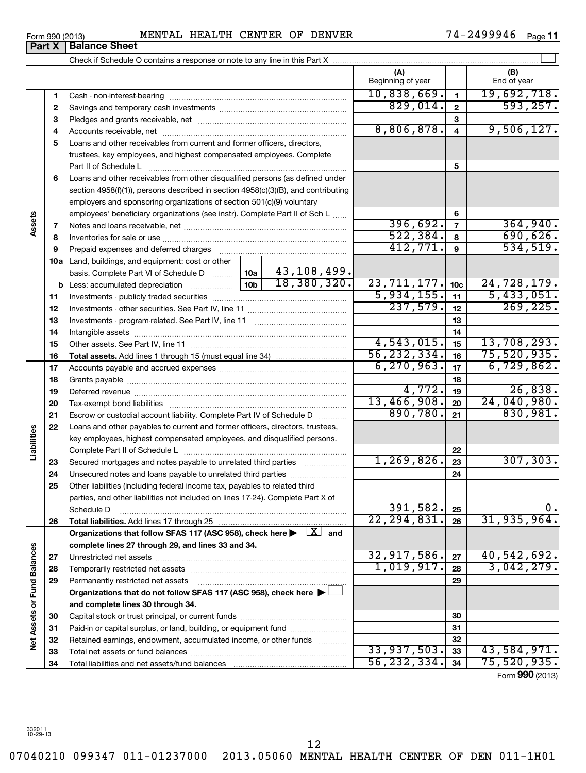**Part X** | Balance Sheet

|                             |    | Check if Schedule O contains a response or note to any line in this Part X                                               |               |              |                          |                 |                    |
|-----------------------------|----|--------------------------------------------------------------------------------------------------------------------------|---------------|--------------|--------------------------|-----------------|--------------------|
|                             |    |                                                                                                                          |               |              | (A)<br>Beginning of year |                 | (B)<br>End of year |
|                             | 1  |                                                                                                                          |               |              | 10,838,669.              | $\mathbf{1}$    | 19,692,718.        |
|                             | 2  |                                                                                                                          | 829,014.      | $\mathbf{2}$ | 593, 257.                |                 |                    |
|                             | З  |                                                                                                                          |               | 3            |                          |                 |                    |
|                             | 4  |                                                                                                                          |               |              | 8,806,878.               | 4               | 9,506,127.         |
|                             | 5  | Loans and other receivables from current and former officers, directors,                                                 |               |              |                          |                 |                    |
|                             |    | trustees, key employees, and highest compensated employees. Complete                                                     |               |              |                          |                 |                    |
|                             |    | Part II of Schedule L                                                                                                    |               |              |                          | 5               |                    |
|                             | 6  | Loans and other receivables from other disqualified persons (as defined under                                            |               |              |                          |                 |                    |
|                             |    | section 4958(f)(1)), persons described in section 4958(c)(3)(B), and contributing                                        |               |              |                          |                 |                    |
|                             |    | employers and sponsoring organizations of section 501(c)(9) voluntary                                                    |               |              |                          |                 |                    |
| Assets                      |    | employees' beneficiary organizations (see instr). Complete Part II of Sch L                                              |               |              | 396,692.                 | 6               | 364,940.           |
|                             | 7  |                                                                                                                          |               |              | 522, 384.                | $\overline{7}$  | 690,626.           |
|                             | 8  |                                                                                                                          |               |              | 412,771.                 | 8<br>9          | 534,519.           |
|                             | 9  |                                                                                                                          |               |              |                          |                 |                    |
|                             |    | <b>10a</b> Land, buildings, and equipment: cost or other<br>basis. Complete Part VI of Schedule D    10a   43, 108, 499. |               |              |                          |                 |                    |
|                             |    | <b>b</b> Less: accumulated depreciation $\frac{10b}{10b}$ 18, 380, 320.                                                  |               |              | 23, 711, 177.            | 10 <sub>c</sub> | 24,728,179.        |
|                             | 11 |                                                                                                                          |               |              | 5,934,155.               | 11              | 5,433,051.         |
|                             | 12 |                                                                                                                          |               |              | 237,579.                 | 12              | 269, 225.          |
|                             | 13 |                                                                                                                          |               |              |                          | 13              |                    |
|                             | 14 |                                                                                                                          |               | 14           |                          |                 |                    |
|                             | 15 |                                                                                                                          |               | 4,543,015.   | 15                       | 13,708,293.     |                    |
|                             | 16 |                                                                                                                          |               |              | 56, 232, 334.            | 16              | 75,520,935.        |
|                             | 17 |                                                                                                                          |               |              | 6, 270, 963.             | 17              | 6,729,862.         |
|                             | 18 |                                                                                                                          |               |              |                          | 18              |                    |
|                             | 19 |                                                                                                                          |               |              | 4,772.                   | 19              | 26,838.            |
|                             | 20 |                                                                                                                          |               |              | 13,466,908.              | 20              | 24,040,980.        |
|                             | 21 | Escrow or custodial account liability. Complete Part IV of Schedule D                                                    |               |              | 890,780.                 | 21              | 830,981.           |
|                             | 22 | Loans and other payables to current and former officers, directors, trustees,                                            |               |              |                          |                 |                    |
|                             |    | key employees, highest compensated employees, and disqualified persons.                                                  |               |              |                          |                 |                    |
| Liabilities                 |    |                                                                                                                          |               |              |                          | 22              |                    |
|                             | 23 |                                                                                                                          |               |              | 1,269,826.               | 23              | 307, 303.          |
|                             | 24 |                                                                                                                          |               |              |                          | 24              |                    |
|                             | 25 | Other liabilities (including federal income tax, payables to related third                                               |               |              |                          |                 |                    |
|                             |    | parties, and other liabilities not included on lines 17-24). Complete Part X of<br>Schedule D                            |               |              | 391,582.                 | 25              | $0$ .              |
|                             | 26 | Total liabilities. Add lines 17 through 25                                                                               |               |              | 22, 294, 831.            | 26              | 31, 935, 964.      |
|                             |    | Organizations that follow SFAS 117 (ASC 958), check here $\blacktriangleright$ $\boxed{X}$ and                           |               |              |                          |                 |                    |
|                             |    | complete lines 27 through 29, and lines 33 and 34.                                                                       |               |              |                          |                 |                    |
|                             | 27 |                                                                                                                          |               |              | 32,917,586.              | 27              | 40,542,692.        |
|                             | 28 | Temporarily restricted net assets                                                                                        |               |              | 1,019,917.               | 28              | 3,042,279.         |
|                             | 29 | Permanently restricted net assets                                                                                        |               |              |                          | 29              |                    |
|                             |    | Organizations that do not follow SFAS 117 (ASC 958), check here $\blacktriangleright\Box$                                |               |              |                          |                 |                    |
| Net Assets or Fund Balances |    | and complete lines 30 through 34.                                                                                        |               |              |                          |                 |                    |
|                             | 30 |                                                                                                                          |               |              |                          | 30              |                    |
|                             | 31 | Paid-in or capital surplus, or land, building, or equipment fund                                                         |               |              |                          | 31              |                    |
|                             | 32 | Retained earnings, endowment, accumulated income, or other funds                                                         |               |              |                          | 32              |                    |
|                             | 33 |                                                                                                                          |               |              | 33,937,503.              | 33              | 43,584,971.        |
|                             | 34 |                                                                                                                          | 56, 232, 334. | 34           | 75,520,935.              |                 |                    |

Form (2013) **990**

12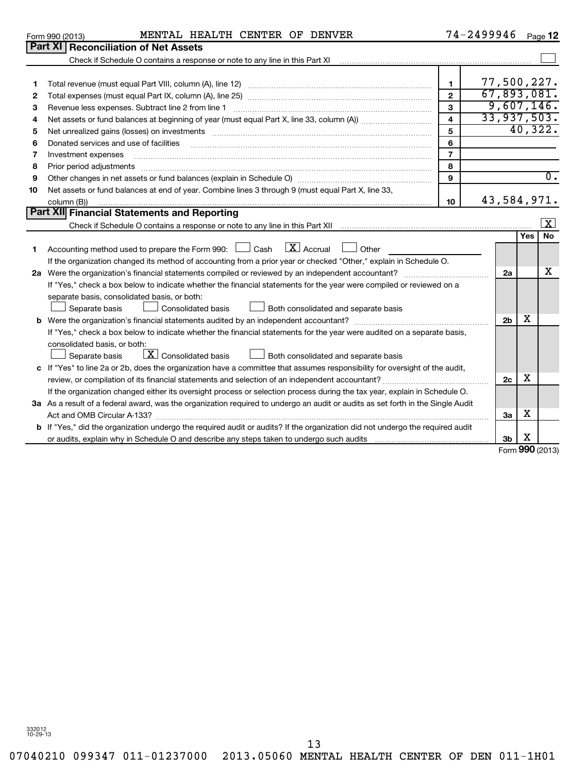**1 2 3**

**Part XI** 

07040210 099347 011-01237000 2013.05060 MENTAL HEALTH CENTER OF DEN 011-1H01 13

| t XI   Reconciliation of Net Assets'                                        |   |         |
|-----------------------------------------------------------------------------|---|---------|
| Check if Schedule O contains a response or note to any line in this Part XI |   |         |
| Total revenue (must equal Part VIII, column (A), line 12)                   |   | 77.500. |
| Total expenses (must equal Part IX, column (A), line 25)                    | ≏ |         |
| Revenue less expenses. Subtract line 2 from line 1                          | з |         |

**3 a** As a result of a federal award, was the organization required to undergo an audit or audits as set forth in the Single Audit

review, or compilation of its financial statements and selection of an independent accountant?  $~~...~~...~~...~~...~~...~~...~~...$ If the organization changed either its oversight process or selection process during the tax year, explain in Schedule O.

Act and OMB Circular A-133? ~~~~~~~~~~~~~~~~~~~~~~~~~~~~~~~~~~~~~~~~~~~~~~~

**b** If "Yes," did the organization undergo the required audit or audits? If the organization did not undergo the required audit

or audits, explain why in Schedule O and describe any steps taken to undergo such audits

**c** If "Yes" to line 2a or 2b, does the organization have a committee that assumes responsibility for oversight of the audit,

| 4  | Net assets or fund balances at beginning of year (must equal Part X, line 33, column (A))                               | 4  | 33,937,503.    |         |           |
|----|-------------------------------------------------------------------------------------------------------------------------|----|----------------|---------|-----------|
| 5  | Net unrealized gains (losses) on investments                                                                            | 5  |                | 40,322. |           |
|    |                                                                                                                         |    |                |         |           |
| 6  | Donated services and use of facilities                                                                                  | 6  |                |         |           |
| 7  | Investment expenses                                                                                                     |    |                |         |           |
| 8  | Prior period adjustments                                                                                                | 8  |                |         |           |
| 9  | Other changes in net assets or fund balances (explain in Schedule O)                                                    | 9  |                |         | 0.        |
| 10 | Net assets or fund balances at end of year. Combine lines 3 through 9 (must equal Part X, line 33,                      |    |                |         |           |
|    | column (B))                                                                                                             | 10 | 43,584,971.    |         |           |
|    | Part XII Financial Statements and Reporting                                                                             |    |                |         |           |
|    | Check if Schedule O contains a response or note to any line in this Part XII                                            |    |                |         | X         |
|    |                                                                                                                         |    |                | Yes     | <b>No</b> |
|    | Accounting method used to prepare the Form 990: $\Box$ Cash $\Box$ Accrual $\Box$<br>Other                              |    |                |         |           |
|    | If the organization changed its method of accounting from a prior year or checked "Other," explain in Schedule O.       |    |                |         |           |
| 2a | Were the organization's financial statements compiled or reviewed by an independent accountant?                         |    | 2a             |         | x         |
|    | If "Yes," check a box below to indicate whether the financial statements for the year were compiled or reviewed on a    |    |                |         |           |
|    |                                                                                                                         |    |                |         |           |
|    | separate basis, consolidated basis, or both:                                                                            |    |                |         |           |
|    | Consolidated basis<br>Separate basis<br>$\Box$<br>Both consolidated and separate basis                                  |    |                |         |           |
|    | <b>b</b> Were the organization's financial statements audited by an independent accountant?                             |    | 2 <sub>b</sub> | х       |           |
|    | If "Yes," check a box below to indicate whether the financial statements for the year were audited on a separate basis, |    |                |         |           |
|    | consolidated basis, or both:                                                                                            |    |                |         |           |
|    | $\lfloor x \rfloor$<br><b>Consolidated basis</b><br>Separate basis<br>Both consolidated and separate basis              |    |                |         |           |

| $\mathbf{r}$ anymph an power. |  |  |  |
|-------------------------------|--|--|--|

Form 990 (2013) MENTAL HEALTH CENTER OF DENVER 74-2499946 <sub>Page</sub> 74-2499946 <sub>Page</sub> 12

> 77,500,227. 67,893,081. 9,607,146.

 $\sim$ 

**2c**

**3a**

**3b**

Form **990** (2013)

X

X

X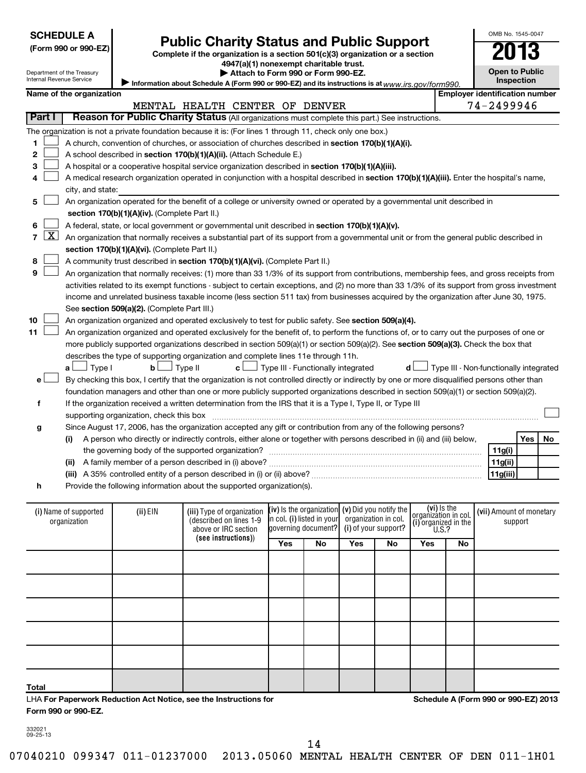| <b>SCHEDULE A</b> |
|-------------------|
|-------------------|

# Public Charity Status and Public Support<br> **Public Charity Status and Public Support**<br> **2013**

**(Form 990 or 990-EZ) Complete if the organization is a section 501(c)(3) organization or a section**

**4947(a)(1) nonexempt charitable trust.**

**Open to Public**

OMB No. 1545-0047

|  | Name of the organization |  |
|--|--------------------------|--|

**| Attach to Form 990 or Form 990-EZ.** 

| Internal Revenue Service                                          | Department of the Treasury | Attach to Form 990 or Form 990-EZ.<br>Information about Schedule A (Form 990 or 990-EZ) and its instructions is at $www.irs.gov/form990.$     | <b>Open to Public</b><br>Inspection    |     |    |
|-------------------------------------------------------------------|----------------------------|-----------------------------------------------------------------------------------------------------------------------------------------------|----------------------------------------|-----|----|
| <b>Employer identification number</b><br>Name of the organization |                            |                                                                                                                                               |                                        |     |    |
|                                                                   |                            | MENTAL HEALTH CENTER OF DENVER                                                                                                                | 74-2499946                             |     |    |
| <b>Part I</b>                                                     |                            | Reason for Public Charity Status (All organizations must complete this part.) See instructions.                                               |                                        |     |    |
|                                                                   |                            |                                                                                                                                               |                                        |     |    |
|                                                                   |                            | The organization is not a private foundation because it is: (For lines 1 through 11, check only one box.)                                     |                                        |     |    |
| 1                                                                 |                            | A church, convention of churches, or association of churches described in section 170(b)(1)(A)(i).                                            |                                        |     |    |
| $\mathbf{2}$                                                      |                            | A school described in section 170(b)(1)(A)(ii). (Attach Schedule E.)                                                                          |                                        |     |    |
| з                                                                 |                            | A hospital or a cooperative hospital service organization described in section 170(b)(1)(A)(iii).                                             |                                        |     |    |
| 4                                                                 |                            | A medical research organization operated in conjunction with a hospital described in section 170(b)(1)(A)(iii). Enter the hospital's name,    |                                        |     |    |
|                                                                   | city, and state:           |                                                                                                                                               |                                        |     |    |
| 5                                                                 |                            | An organization operated for the benefit of a college or university owned or operated by a governmental unit described in                     |                                        |     |    |
|                                                                   |                            | section 170(b)(1)(A)(iv). (Complete Part II.)                                                                                                 |                                        |     |    |
| 6                                                                 |                            | A federal, state, or local government or governmental unit described in section 170(b)(1)(A)(v).                                              |                                        |     |    |
| $\lfloor x \rfloor$<br>$\overline{7}$                             |                            | An organization that normally receives a substantial part of its support from a governmental unit or from the general public described in     |                                        |     |    |
|                                                                   |                            | section 170(b)(1)(A)(vi). (Complete Part II.)                                                                                                 |                                        |     |    |
| 8                                                                 |                            | A community trust described in section 170(b)(1)(A)(vi). (Complete Part II.)                                                                  |                                        |     |    |
| 9                                                                 |                            | An organization that normally receives: (1) more than 33 1/3% of its support from contributions, membership fees, and gross receipts from     |                                        |     |    |
|                                                                   |                            | activities related to its exempt functions - subject to certain exceptions, and (2) no more than 33 1/3% of its support from gross investment |                                        |     |    |
|                                                                   |                            | income and unrelated business taxable income (less section 511 tax) from businesses acquired by the organization after June 30, 1975.         |                                        |     |    |
|                                                                   |                            | See section 509(a)(2). (Complete Part III.)                                                                                                   |                                        |     |    |
| 10                                                                |                            | An organization organized and operated exclusively to test for public safety. See section 509(a)(4).                                          |                                        |     |    |
| 11                                                                |                            | An organization organized and operated exclusively for the benefit of, to perform the functions of, or to carry out the purposes of one or    |                                        |     |    |
|                                                                   |                            | more publicly supported organizations described in section 509(a)(1) or section 509(a)(2). See section 509(a)(3). Check the box that          |                                        |     |    |
|                                                                   |                            | describes the type of supporting organization and complete lines 11e through 11h.                                                             |                                        |     |    |
|                                                                   | $a \Box$ Type I            | $\Box$ Type III - Functionally integrated<br>$\Box$ Type II<br>b <sub>l</sub><br>c L<br>d l                                                   | Type III - Non-functionally integrated |     |    |
| e                                                                 |                            | By checking this box, I certify that the organization is not controlled directly or indirectly by one or more disqualified persons other than |                                        |     |    |
|                                                                   |                            | foundation managers and other than one or more publicly supported organizations described in section 509(a)(1) or section 509(a)(2).          |                                        |     |    |
| f                                                                 |                            | If the organization received a written determination from the IRS that it is a Type I, Type II, or Type III                                   |                                        |     |    |
|                                                                   |                            | supporting organization, check this box                                                                                                       |                                        |     |    |
| g                                                                 |                            | Since August 17, 2006, has the organization accepted any gift or contribution from any of the following persons?                              |                                        |     |    |
|                                                                   | (i)                        | A person who directly or indirectly controls, either alone or together with persons described in (ii) and (iii) below,                        |                                        | Yes | No |
|                                                                   |                            | the governing body of the supported organization?                                                                                             | 11g(i)                                 |     |    |
|                                                                   |                            |                                                                                                                                               | 11g(ii)                                |     |    |
|                                                                   |                            |                                                                                                                                               | 11g(iii)                               |     |    |
| h                                                                 |                            | Provide the following information about the supported organization(s).                                                                        |                                        |     |    |
|                                                                   |                            |                                                                                                                                               |                                        |     |    |
|                                                                   |                            | 1.211646                                                                                                                                      |                                        |     |    |

| (i) Name of supported<br>organization                            | (ii) EIN | (iii) Type of organization<br>(described on lines 1-9<br>above or IRC section |     | $(iv)$ is the organization $(v)$ Did you notify the<br>in col. (i) listed in your<br>governing document? | organization in col. | (i) of your support? | (vi) is the<br>$\left[\begin{array}{c} \text{organization in col.}\\ \text{(i) organized in the}\\ \text{U.S.?} \end{array}\right]$ |    | (vii) Amount of monetary<br>support  |
|------------------------------------------------------------------|----------|-------------------------------------------------------------------------------|-----|----------------------------------------------------------------------------------------------------------|----------------------|----------------------|-------------------------------------------------------------------------------------------------------------------------------------|----|--------------------------------------|
|                                                                  |          | (see instructions))                                                           | Yes | No                                                                                                       | Yes                  | No.                  | Yes                                                                                                                                 | No |                                      |
|                                                                  |          |                                                                               |     |                                                                                                          |                      |                      |                                                                                                                                     |    |                                      |
|                                                                  |          |                                                                               |     |                                                                                                          |                      |                      |                                                                                                                                     |    |                                      |
|                                                                  |          |                                                                               |     |                                                                                                          |                      |                      |                                                                                                                                     |    |                                      |
|                                                                  |          |                                                                               |     |                                                                                                          |                      |                      |                                                                                                                                     |    |                                      |
|                                                                  |          |                                                                               |     |                                                                                                          |                      |                      |                                                                                                                                     |    |                                      |
| Total                                                            |          |                                                                               |     |                                                                                                          |                      |                      |                                                                                                                                     |    |                                      |
| LHA For Paperwork Reduction Act Notice, see the Instructions for |          |                                                                               |     |                                                                                                          |                      |                      |                                                                                                                                     |    | Schedule A (Form 990 or 990-EZ) 2013 |

**Form 990 or 990-EZ.**

**Schedule A (Form 990 or 990-EZ) 2013**

332021 09-25-13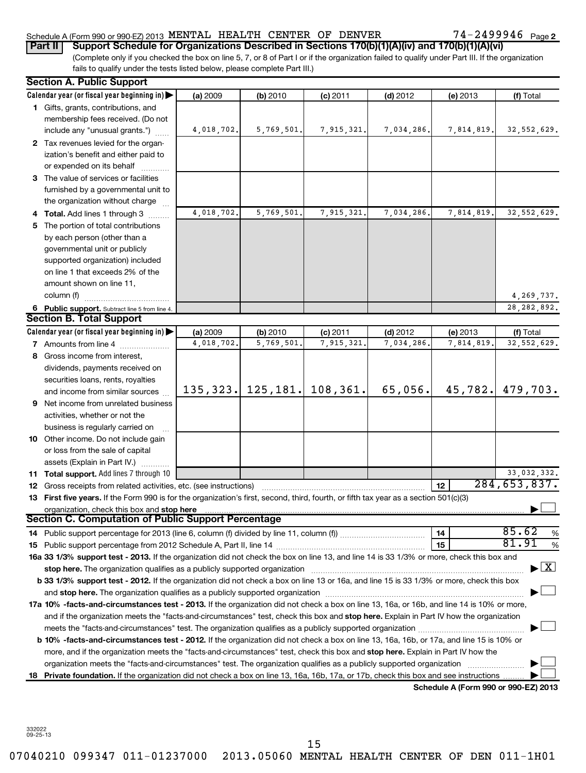### Schedule A (Form 990 or 990-EZ) 2013  $\,$  MENTAL HEALTH CENTER OF DENVER  $\,$  74 - 2499946  $\,$  Page

(Complete only if you checked the box on line 5, 7, or 8 of Part I or if the organization failed to qualify under Part III. If the organization fails to qualify under the tests listed below, please complete Part III.) **Part II Support Schedule for Organizations Described in Sections 170(b)(1)(A)(iv) and 170(b)(1)(A)(vi)**

|    | <b>Section A. Public Support</b>                                                                                                                                                                                               |            |                       |            |            |                                      |                                          |
|----|--------------------------------------------------------------------------------------------------------------------------------------------------------------------------------------------------------------------------------|------------|-----------------------|------------|------------|--------------------------------------|------------------------------------------|
|    | Calendar year (or fiscal year beginning in)                                                                                                                                                                                    | (a) 2009   | (b) 2010              | $(c)$ 2011 | $(d)$ 2012 | (e) 2013                             | (f) Total                                |
|    | 1 Gifts, grants, contributions, and<br>membership fees received. (Do not                                                                                                                                                       |            |                       |            |            |                                      |                                          |
|    | include any "unusual grants.")                                                                                                                                                                                                 | 4,018,702. | 5,769,501.            | 7,915,321. | 7,034,286. | 7,814,819.                           | 32, 552, 629.                            |
|    | 2 Tax revenues levied for the organ-                                                                                                                                                                                           |            |                       |            |            |                                      |                                          |
|    | ization's benefit and either paid to                                                                                                                                                                                           |            |                       |            |            |                                      |                                          |
|    | or expended on its behalf                                                                                                                                                                                                      |            |                       |            |            |                                      |                                          |
|    | 3 The value of services or facilities                                                                                                                                                                                          |            |                       |            |            |                                      |                                          |
|    | furnished by a governmental unit to                                                                                                                                                                                            |            |                       |            |            |                                      |                                          |
|    | the organization without charge                                                                                                                                                                                                |            |                       |            |            |                                      |                                          |
|    | Total. Add lines 1 through 3                                                                                                                                                                                                   | 4,018,702. | 5,769,501.            | 7,915,321. | 7,034,286. | 7,814,819.                           | 32, 552, 629.                            |
| 5. | The portion of total contributions                                                                                                                                                                                             |            |                       |            |            |                                      |                                          |
|    | by each person (other than a                                                                                                                                                                                                   |            |                       |            |            |                                      |                                          |
|    | governmental unit or publicly                                                                                                                                                                                                  |            |                       |            |            |                                      |                                          |
|    | supported organization) included                                                                                                                                                                                               |            |                       |            |            |                                      |                                          |
|    | on line 1 that exceeds 2% of the                                                                                                                                                                                               |            |                       |            |            |                                      |                                          |
|    | amount shown on line 11,                                                                                                                                                                                                       |            |                       |            |            |                                      |                                          |
|    | column (f)                                                                                                                                                                                                                     |            |                       |            |            |                                      | 4,269,737.                               |
|    | 6 Public support. Subtract line 5 from line 4.                                                                                                                                                                                 |            |                       |            |            |                                      | 28, 282, 892.                            |
|    | <b>Section B. Total Support</b>                                                                                                                                                                                                |            |                       |            |            |                                      |                                          |
|    | Calendar year (or fiscal year beginning in)                                                                                                                                                                                    | (a) 2009   | (b) 2010              | $(c)$ 2011 | $(d)$ 2012 | (e) 2013                             | (f) Total                                |
|    | <b>7</b> Amounts from line 4                                                                                                                                                                                                   | 4,018,702. | 5,769,501             | 7,915,321  | 7,034,286. | 7,814,819                            | 32, 552, 629.                            |
|    | 8 Gross income from interest,                                                                                                                                                                                                  |            |                       |            |            |                                      |                                          |
|    | dividends, payments received on                                                                                                                                                                                                |            |                       |            |            |                                      |                                          |
|    | securities loans, rents, royalties                                                                                                                                                                                             |            | $135, 323.$ 125, 181. | 108, 361.  | 65,056.    | 45,782.                              | 479,703.                                 |
|    | and income from similar sources                                                                                                                                                                                                |            |                       |            |            |                                      |                                          |
| 9  | Net income from unrelated business                                                                                                                                                                                             |            |                       |            |            |                                      |                                          |
|    | activities, whether or not the                                                                                                                                                                                                 |            |                       |            |            |                                      |                                          |
|    | business is regularly carried on<br><b>10</b> Other income. Do not include gain                                                                                                                                                |            |                       |            |            |                                      |                                          |
|    |                                                                                                                                                                                                                                |            |                       |            |            |                                      |                                          |
|    | or loss from the sale of capital<br>assets (Explain in Part IV.)                                                                                                                                                               |            |                       |            |            |                                      |                                          |
|    | 11 Total support. Add lines 7 through 10                                                                                                                                                                                       |            |                       |            |            |                                      | 33,032,332.                              |
|    | 12 Gross receipts from related activities, etc. (see instructions)                                                                                                                                                             |            |                       |            |            | 12                                   | 284, 653, 837.                           |
|    | 13 First five years. If the Form 990 is for the organization's first, second, third, fourth, or fifth tax year as a section 501(c)(3)                                                                                          |            |                       |            |            |                                      |                                          |
|    | organization, check this box and stop here manufactured and content to the state of the state of the state of the state of the state of the state of the state of the state of the state of the state of the state of the stat |            |                       |            |            |                                      |                                          |
|    | <b>Section C. Computation of Public Support Percentage</b>                                                                                                                                                                     |            |                       |            |            |                                      |                                          |
|    |                                                                                                                                                                                                                                |            |                       |            |            | 14                                   | 85.62<br>%                               |
|    |                                                                                                                                                                                                                                |            |                       |            |            | 15                                   | 81.91<br>%                               |
|    | 16a 33 1/3% support test - 2013. If the organization did not check the box on line 13, and line 14 is 33 1/3% or more, check this box and                                                                                      |            |                       |            |            |                                      |                                          |
|    |                                                                                                                                                                                                                                |            |                       |            |            |                                      | $\blacktriangleright$ $\boxed{\text{X}}$ |
|    | b 33 1/3% support test - 2012. If the organization did not check a box on line 13 or 16a, and line 15 is 33 1/3% or more, check this box                                                                                       |            |                       |            |            |                                      |                                          |
|    | and stop here. The organization qualifies as a publicly supported organization [11] manuscription manuscription manuscription manuscription manuscription manuscription and starting and starting and starting and starting an |            |                       |            |            |                                      |                                          |
|    | 17a 10% -facts-and-circumstances test - 2013. If the organization did not check a box on line 13, 16a, or 16b, and line 14 is 10% or more,                                                                                     |            |                       |            |            |                                      |                                          |
|    | and if the organization meets the "facts-and-circumstances" test, check this box and stop here. Explain in Part IV how the organization                                                                                        |            |                       |            |            |                                      |                                          |
|    |                                                                                                                                                                                                                                |            |                       |            |            |                                      |                                          |
|    | b 10% -facts-and-circumstances test - 2012. If the organization did not check a box on line 13, 16a, 16b, or 17a, and line 15 is 10% or                                                                                        |            |                       |            |            |                                      |                                          |
|    | more, and if the organization meets the "facts-and-circumstances" test, check this box and stop here. Explain in Part IV how the                                                                                               |            |                       |            |            |                                      |                                          |
|    |                                                                                                                                                                                                                                |            |                       |            |            |                                      |                                          |
|    | 18 Private foundation. If the organization did not check a box on line 13, 16a, 16b, 17a, or 17b, check this box and see instructions                                                                                          |            |                       |            |            |                                      |                                          |
|    |                                                                                                                                                                                                                                |            |                       |            |            | Schedule A (Form 990 or 990-EZ) 2013 |                                          |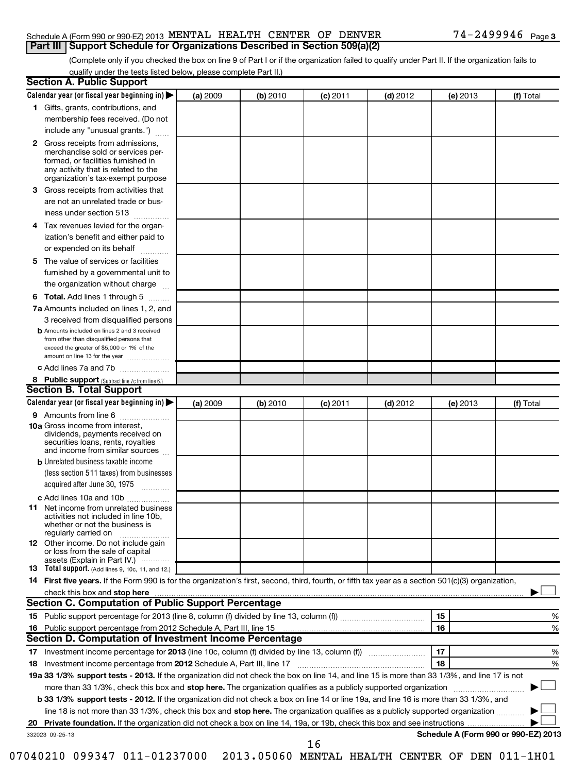#### Schedule A (Form 990 or 990-EZ) 2013  $\,$  MENTAL HEALTH CENTER OF DENVER  $\,$  74 - 2499946  $\,$  Page **Part III Support Schedule for Organizations Described in Section 509(a)(2)**

(Complete only if you checked the box on line 9 of Part I or if the organization failed to qualify under Part II. If the organization fails to qualify under the tests listed below, please complete Part II.)

| <b>Section A. Public Support</b>                                                                                                                                                                                               |          |          |            |            |                                      |           |
|--------------------------------------------------------------------------------------------------------------------------------------------------------------------------------------------------------------------------------|----------|----------|------------|------------|--------------------------------------|-----------|
| Calendar year (or fiscal year beginning in)                                                                                                                                                                                    | (a) 2009 | (b) 2010 | (c) 2011   | $(d)$ 2012 | (e) 2013                             | (f) Total |
| 1 Gifts, grants, contributions, and                                                                                                                                                                                            |          |          |            |            |                                      |           |
| membership fees received. (Do not                                                                                                                                                                                              |          |          |            |            |                                      |           |
| include any "unusual grants.")                                                                                                                                                                                                 |          |          |            |            |                                      |           |
| <b>2</b> Gross receipts from admissions,<br>merchandise sold or services per-<br>formed, or facilities furnished in<br>any activity that is related to the<br>organization's tax-exempt purpose                                |          |          |            |            |                                      |           |
| 3 Gross receipts from activities that<br>are not an unrelated trade or bus-                                                                                                                                                    |          |          |            |            |                                      |           |
| iness under section 513                                                                                                                                                                                                        |          |          |            |            |                                      |           |
| Tax revenues levied for the organ-<br>4<br>ization's benefit and either paid to<br>or expended on its behalf                                                                                                                   |          |          |            |            |                                      |           |
| 5 The value of services or facilities                                                                                                                                                                                          |          |          |            |            |                                      |           |
| furnished by a governmental unit to<br>the organization without charge                                                                                                                                                         |          |          |            |            |                                      |           |
| <b>6 Total.</b> Add lines 1 through 5                                                                                                                                                                                          |          |          |            |            |                                      |           |
| 7a Amounts included on lines 1, 2, and<br>3 received from disqualified persons                                                                                                                                                 |          |          |            |            |                                      |           |
| <b>b</b> Amounts included on lines 2 and 3 received<br>from other than disqualified persons that<br>exceed the greater of \$5,000 or 1% of the<br>amount on line 13 for the year                                               |          |          |            |            |                                      |           |
| c Add lines 7a and 7b                                                                                                                                                                                                          |          |          |            |            |                                      |           |
| 8 Public support (Subtract line 7c from line 6.)                                                                                                                                                                               |          |          |            |            |                                      |           |
| <b>Section B. Total Support</b>                                                                                                                                                                                                |          |          |            |            |                                      |           |
| Calendar year (or fiscal year beginning in)                                                                                                                                                                                    | (a) 2009 | (b) 2010 | $(c)$ 2011 | $(d)$ 2012 | (e) 2013                             | (f) Total |
| 9 Amounts from line 6                                                                                                                                                                                                          |          |          |            |            |                                      |           |
| <b>10a</b> Gross income from interest,<br>dividends, payments received on<br>securities loans, rents, royalties<br>and income from similar sources                                                                             |          |          |            |            |                                      |           |
| <b>b</b> Unrelated business taxable income                                                                                                                                                                                     |          |          |            |            |                                      |           |
| (less section 511 taxes) from businesses<br>acquired after June 30, 1975<br>$\overline{\phantom{a}}$                                                                                                                           |          |          |            |            |                                      |           |
| c Add lines 10a and 10b                                                                                                                                                                                                        |          |          |            |            |                                      |           |
| <b>11</b> Net income from unrelated business<br>activities not included in line 10b,<br>whether or not the business is<br>regularly carried on                                                                                 |          |          |            |            |                                      |           |
| 12 Other income. Do not include gain<br>or loss from the sale of capital<br>assets (Explain in Part IV.)                                                                                                                       |          |          |            |            |                                      |           |
| <b>13</b> Total support. (Add lines 9, 10c, 11, and 12.)                                                                                                                                                                       |          |          |            |            |                                      |           |
| 14 First five years. If the Form 990 is for the organization's first, second, third, fourth, or fifth tax year as a section 501(c)(3) organization,                                                                            |          |          |            |            |                                      |           |
| check this box and stop here manufactured and content to the state of the state of the state of the state of the state of the state of the state of the state of the state of the state of the state of the state of the state |          |          |            |            |                                      |           |
| Section C. Computation of Public Support Percentage                                                                                                                                                                            |          |          |            |            |                                      |           |
|                                                                                                                                                                                                                                |          |          |            |            | 15                                   | %         |
| Section D. Computation of Investment Income Percentage                                                                                                                                                                         |          |          |            |            | 16                                   | %         |
|                                                                                                                                                                                                                                |          |          |            |            | 17                                   |           |
| 18 Investment income percentage from 2012 Schedule A, Part III, line 17                                                                                                                                                        |          |          |            |            | 18                                   | %<br>%    |
| 19a 33 1/3% support tests - 2013. If the organization did not check the box on line 14, and line 15 is more than 33 1/3%, and line 17 is not                                                                                   |          |          |            |            |                                      |           |
| more than 33 1/3%, check this box and stop here. The organization qualifies as a publicly supported organization                                                                                                               |          |          |            |            |                                      |           |
| b 33 1/3% support tests - 2012. If the organization did not check a box on line 14 or line 19a, and line 16 is more than 33 1/3%, and                                                                                          |          |          |            |            |                                      |           |
| line 18 is not more than 33 1/3%, check this box and stop here. The organization qualifies as a publicly supported organization                                                                                                |          |          |            |            |                                      |           |
| 20                                                                                                                                                                                                                             |          |          |            |            |                                      |           |
| 332023 09-25-13                                                                                                                                                                                                                |          |          |            |            | Schedule A (Form 990 or 990-EZ) 2013 |           |
|                                                                                                                                                                                                                                |          |          | 16         |            |                                      |           |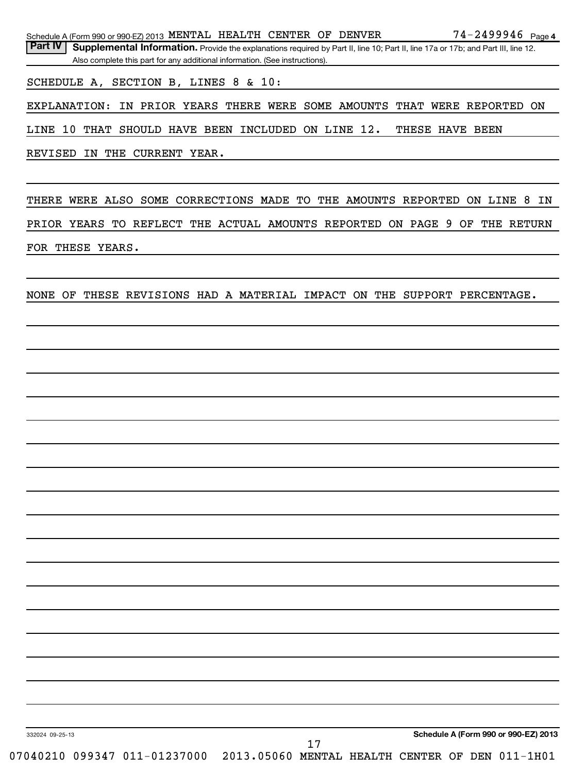Schedule A (Form 990 or 990-EZ) 2013  $\,$  MENTAL HEALTH CENTER OF DENVER  $\,$  74 - 2499946  $\,$  Page

Part IV | Supplemental Information. Provide the explanations required by Part II, line 10; Part II, line 17a or 17b; and Part III, line 12. Also complete this part for any additional information. (See instructions).

SCHEDULE A, SECTION B, LINES 8 & 10:

EXPLANATION: IN PRIOR YEARS THERE WERE SOME AMOUNTS THAT WERE REPORTED ON

LINE 10 THAT SHOULD HAVE BEEN INCLUDED ON LINE 12. THESE HAVE BEEN

REVISED IN THE CURRENT YEAR.

THERE WERE ALSO SOME CORRECTIONS MADE TO THE AMOUNTS REPORTED ON LINE 8 IN PRIOR YEARS TO REFLECT THE ACTUAL AMOUNTS REPORTED ON PAGE 9 OF THE RETURN FOR THESE YEARS.

NONE OF THESE REVISIONS HAD A MATERIAL IMPACT ON THE SUPPORT PERCENTAGE.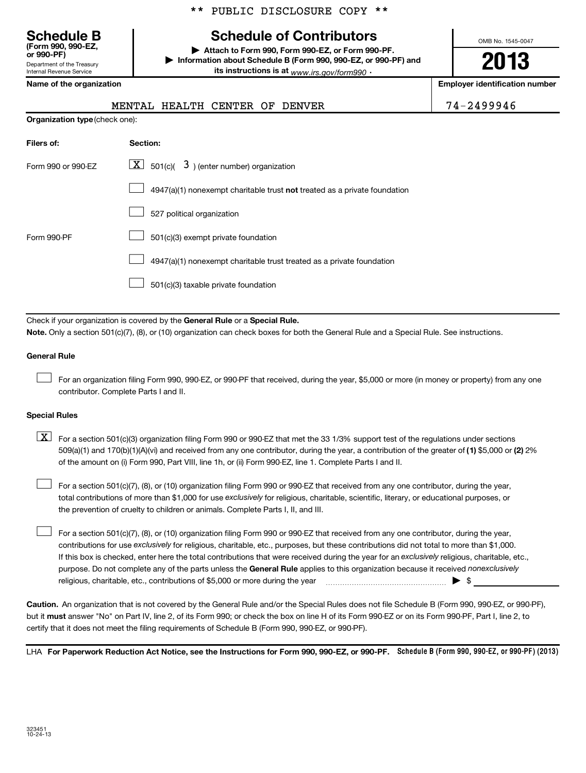# **Schedule B Schedule of Contributors**

**or 990-PF) | Attach to Form 990, Form 990-EZ, or Form 990-PF. | Information about Schedule B (Form 990, 990-EZ, or 990-PF) and its instructions is at** <sub>www.irs.gov/form990  $\cdot$ </sub>

OMB No. 1545-0047

**2013**

|  | Name of the organization |
|--|--------------------------|
|  |                          |

Department of the Treasury Internal Revenue Service

**(Form 990, 990-EZ,**

| Name of the organization              | <b>Employer identification number</b>                                     |            |
|---------------------------------------|---------------------------------------------------------------------------|------------|
|                                       | MENTAL HEALTH CENTER OF<br>DENVER                                         | 74-2499946 |
| <b>Organization type (check one):</b> |                                                                           |            |
| Filers of:                            | Section:                                                                  |            |
| Form 990 or 990-EZ                    | $\lfloor \underline{X} \rfloor$ 501(c)( 3) (enter number) organization    |            |
|                                       | 4947(a)(1) nonexempt charitable trust not treated as a private foundation |            |
|                                       | 527 political organization                                                |            |
| Form 990-PF                           | 501(c)(3) exempt private foundation                                       |            |
|                                       | 4947(a)(1) nonexempt charitable trust treated as a private foundation     |            |
|                                       | 501(c)(3) taxable private foundation                                      |            |
|                                       |                                                                           |            |

Check if your organization is covered by the General Rule or a Special Rule. **Note.**  Only a section 501(c)(7), (8), or (10) organization can check boxes for both the General Rule and a Special Rule. See instructions.

#### **General Rule**

For an organization filing Form 990, 990-EZ, or 990-PF that received, during the year, \$5,000 or more (in money or property) from any one contributor. Complete Parts I and II.  $\left\vert \cdot\right\vert$ 

#### **Special Rules**

509(a)(1) and 170(b)(1)(A)(vi) and received from any one contributor, during the year, a contribution of the greater of (1**)** \$5,000 or (**2**) 2%  $\boxed{\textbf{X}}$  For a section 501(c)(3) organization filing Form 990 or 990-EZ that met the 33 1/3% support test of the regulations under sections of the amount on (i) Form 990, Part VIII, line 1h, or (ii) Form 990-EZ, line 1. Complete Parts I and II.

total contributions of more than \$1,000 for use exclusively for religious, charitable, scientific, literary, or educational purposes, or For a section 501(c)(7), (8), or (10) organization filing Form 990 or 990-EZ that received from any one contributor, during the year, the prevention of cruelty to children or animals. Complete Parts I, II, and III.  $\left\vert \cdot\right\vert$ 

purpose. Do not complete any of the parts unless the General Rule applies to this organization because it received nonexclusively contributions for use exclusively for religious, charitable, etc., purposes, but these contributions did not total to more than \$1,000. If this box is checked, enter here the total contributions that were received during the year for an exclusively religious, charitable, etc., For a section 501(c)(7), (8), or (10) organization filing Form 990 or 990-EZ that received from any one contributor, during the year, religious, charitable, etc., contributions of \$5,000 or more during the year  $\Box$   $\Box$   $\Box$   $\Box$  $\left\vert \cdot\right\vert$ 

**Caution.** An organization that is not covered by the General Rule and/or the Special Rules does not file Schedule B (Form 990, 990-EZ, or 990-PF),  **must** but it answer "No" on Part IV, line 2, of its Form 990; or check the box on line H of its Form 990-EZ or on its Form 990-PF, Part I, line 2, to certify that it does not meet the filing requirements of Schedule B (Form 990, 990-EZ, or 990-PF).

LHA For Paperwork Reduction Act Notice, see the Instructions for Form 990, 990-EZ, or 990-PF. Schedule B (Form 990, 990-EZ, or 990-PF) (2013)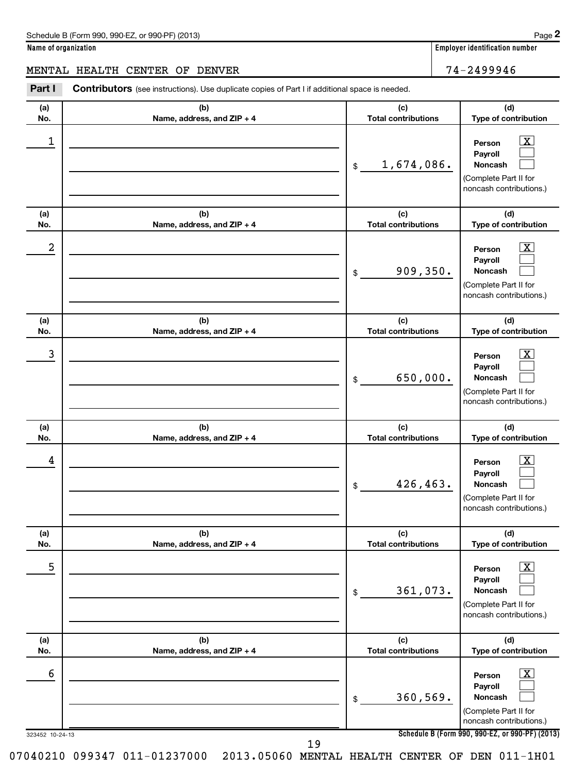**Name of organization Employer identification number**

#### MENTAL HEALTH CENTER OF DENVER 74-2499946

Part I Contributors (see instructions). Use duplicate copies of Part I if additional space is needed.

| (a)<br>No.           | (b)<br>Name, address, and ZIP + 4 | (c)<br><b>Total contributions</b> | (d)<br>Type of contribution                                                                                                                                    |
|----------------------|-----------------------------------|-----------------------------------|----------------------------------------------------------------------------------------------------------------------------------------------------------------|
| 1                    |                                   | 1,674,086.<br>$\frac{1}{2}$       | $\mathbf{X}$<br>Person<br>Payroll<br>Noncash<br>(Complete Part II for<br>noncash contributions.)                                                               |
| (a)<br>No.           | (b)<br>Name, address, and ZIP + 4 | (c)<br><b>Total contributions</b> | (d)<br>Type of contribution                                                                                                                                    |
| 2                    |                                   | 909, 350.<br>\$                   | $\overline{\mathbf{X}}$<br>Person<br>Payroll<br>Noncash<br>(Complete Part II for<br>noncash contributions.)                                                    |
| (a)<br>No.           | (b)<br>Name, address, and ZIP + 4 | (c)<br><b>Total contributions</b> | (d)<br>Type of contribution                                                                                                                                    |
| 3                    |                                   | 650,000.<br>\$                    | $\overline{\text{X}}$<br>Person<br>Payroll<br>Noncash<br>(Complete Part II for<br>noncash contributions.)                                                      |
| (a)<br>No.           | (b)<br>Name, address, and ZIP + 4 | (c)<br><b>Total contributions</b> | (d)<br>Type of contribution                                                                                                                                    |
| 4                    |                                   | 426,463.<br>\$                    | $\mathbf{X}$<br>Person<br>Payroll<br><b>Noncash</b><br>(Complete Part II for<br>noncash contributions.)                                                        |
| (a)<br>No.           | (b)<br>Name, address, and ZIP + 4 | (c)<br><b>Total contributions</b> | (d)<br>Type of contribution                                                                                                                                    |
| 5                    |                                   | 361,073.<br>\$                    | $\overline{\mathbf{X}}$<br>Person<br>Payroll<br>Noncash<br>(Complete Part II for<br>noncash contributions.)                                                    |
| (a)<br>No.           | (b)<br>Name, address, and ZIP + 4 | (c)<br><b>Total contributions</b> | (d)<br>Type of contribution                                                                                                                                    |
| 6<br>323452 10-24-13 |                                   | 360, 569.<br>\$                   | $\overline{\mathbf{X}}$<br>Person<br>Payroll<br>Noncash<br>(Complete Part II for<br>noncash contributions.)<br>Schedule B (Form 990, 990-EZ, or 990-PF) (2013) |
|                      | 19                                |                                   |                                                                                                                                                                |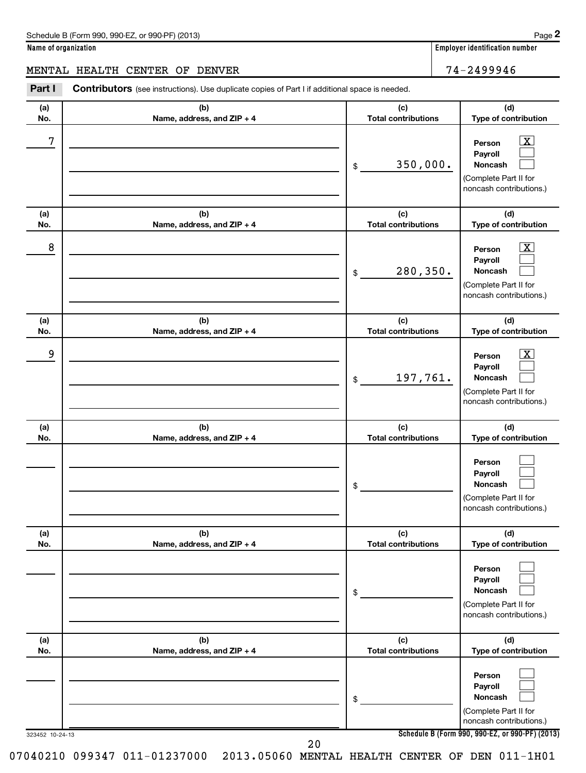**Name of organization Employer identification number**

#### MENTAL HEALTH CENTER OF DENVER 74-2499946

| Part I          | <b>Contributors</b> (see instructions). Use duplicate copies of Part I if additional space is needed. |                                   |                                                                                                             |
|-----------------|-------------------------------------------------------------------------------------------------------|-----------------------------------|-------------------------------------------------------------------------------------------------------------|
| (a)<br>No.      | (b)<br>Name, address, and ZIP + 4                                                                     | (c)<br><b>Total contributions</b> | (d)<br>Type of contribution                                                                                 |
| 7               |                                                                                                       | 350,000.<br>\$                    | $\overline{\mathbf{X}}$<br>Person<br>Payroll<br>Noncash<br>(Complete Part II for<br>noncash contributions.) |
| (a)<br>No.      | (b)<br>Name, address, and ZIP + 4                                                                     | (c)<br><b>Total contributions</b> | (d)<br>Type of contribution                                                                                 |
| 8               |                                                                                                       | 280,350.<br>\$                    | $\overline{\mathbf{X}}$<br>Person<br>Payroll<br>Noncash<br>(Complete Part II for<br>noncash contributions.) |
| (a)<br>No.      | (b)<br>Name, address, and ZIP + 4                                                                     | (c)<br><b>Total contributions</b> | (d)<br>Type of contribution                                                                                 |
| 9               |                                                                                                       | 197,761.<br>\$                    | $\overline{\mathbf{X}}$<br>Person<br>Payroll<br>Noncash<br>(Complete Part II for<br>noncash contributions.) |
| (a)<br>No.      | (b)<br>Name, address, and ZIP + 4                                                                     | (c)<br><b>Total contributions</b> | (d)<br>Type of contribution                                                                                 |
|                 |                                                                                                       | \$                                | Person<br>Payroll<br>Noncash<br>(Complete Part II for<br>noncash contributions.)                            |
| (a)<br>No.      | (b)<br>Name, address, and ZIP + 4                                                                     | (c)<br><b>Total contributions</b> | (d)<br>Type of contribution                                                                                 |
|                 |                                                                                                       | \$                                | Person<br>Payroll<br>Noncash<br>(Complete Part II for<br>noncash contributions.)                            |
| (a)<br>No.      | (b)<br>Name, address, and ZIP + 4                                                                     | (c)<br><b>Total contributions</b> | (d)<br>Type of contribution                                                                                 |
|                 |                                                                                                       | \$                                | Person<br>Payroll<br>Noncash<br>(Complete Part II for<br>noncash contributions.)                            |
| 323452 10-24-13 |                                                                                                       | 20                                | Schedule B (Form 990, 990-EZ, or 990-PF) (2013)                                                             |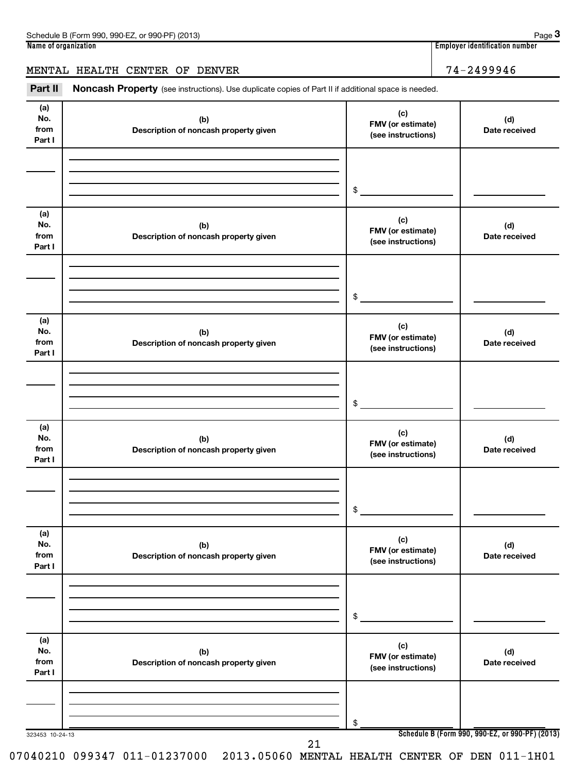| Schedule B (Form 990, 990-EZ, or 990-PF) (2013)                                                                       | Page $3$                              |
|-----------------------------------------------------------------------------------------------------------------------|---------------------------------------|
| Name of organization                                                                                                  | <b>Employer identification number</b> |
| MENTAL HEALTH CENTER OF DENVER                                                                                        | 74-2499946                            |
| Part II<br><b>Noncash Property</b> (see instructions). Use duplicate copies of Part II if additional space is needed. |                                       |

| (a)<br>No.<br>from<br>Part I | (b)<br>Description of noncash property given | (c)<br>FMV (or estimate)<br>(see instructions) | (d)<br>Date received                            |
|------------------------------|----------------------------------------------|------------------------------------------------|-------------------------------------------------|
|                              |                                              | \$                                             |                                                 |
| (a)<br>No.<br>from<br>Part I | (b)<br>Description of noncash property given | (c)<br>FMV (or estimate)<br>(see instructions) | (d)<br>Date received                            |
|                              |                                              | \$                                             |                                                 |
| (a)<br>No.<br>from<br>Part I | (b)<br>Description of noncash property given | (c)<br>FMV (or estimate)<br>(see instructions) | (d)<br>Date received                            |
|                              |                                              | \$                                             |                                                 |
| (a)<br>No.<br>from<br>Part I | (b)<br>Description of noncash property given | (c)<br>FMV (or estimate)<br>(see instructions) | (d)<br>Date received                            |
|                              |                                              | \$                                             |                                                 |
| (a)<br>No.<br>from<br>Part I | (b)<br>Description of noncash property given | (c)<br>FMV (or estimate)<br>(see instructions) | (d)<br>Date received                            |
|                              |                                              | \$                                             |                                                 |
| (a)<br>No.<br>from<br>Part I | (b)<br>Description of noncash property given | (c)<br>FMV (or estimate)<br>(see instructions) | (d)<br>Date received                            |
|                              |                                              | \$                                             |                                                 |
| 323453 10-24-13              | 21                                           |                                                | Schedule B (Form 990, 990-EZ, or 990-PF) (2013) |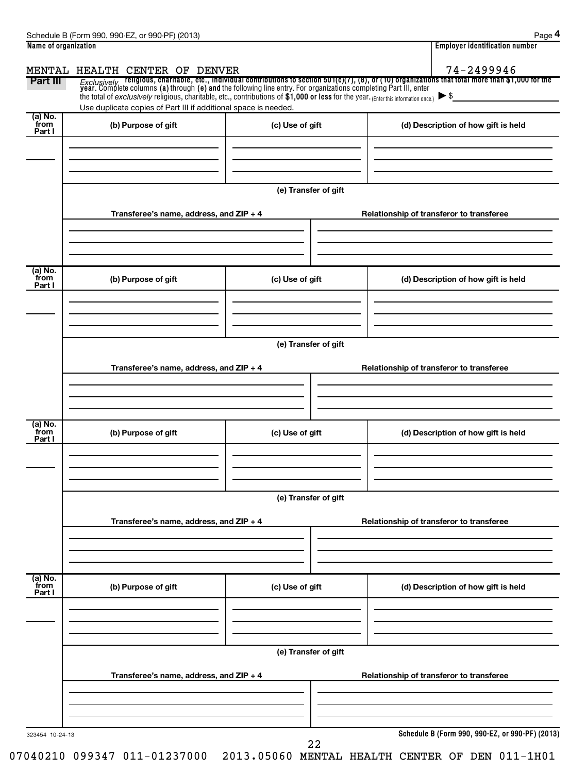| Name of organization |                                                                                                                                     |                      | <b>Employer identification number</b>                                                                                                                                                                                              |
|----------------------|-------------------------------------------------------------------------------------------------------------------------------------|----------------------|------------------------------------------------------------------------------------------------------------------------------------------------------------------------------------------------------------------------------------|
|                      | MENTAL HEALTH CENTER OF DENVER                                                                                                      |                      | 74-2499946                                                                                                                                                                                                                         |
| Part III             |                                                                                                                                     |                      | Exclusively religious, charitable, etc., individual contributions to section 501(c)(7), (8), or (10) organizations that total more than \$1,000 for the<br>year. Complete columns (a) through (e) and the following line entry. Fo |
|                      | the total of exclusively religious, charitable, etc., contributions of \$1,000 or less for the year. (Enter this information once.) |                      |                                                                                                                                                                                                                                    |
| (a) No.              | Use duplicate copies of Part III if additional space is needed.                                                                     |                      |                                                                                                                                                                                                                                    |
| from<br>Part I       | (b) Purpose of gift                                                                                                                 | (c) Use of gift      | (d) Description of how gift is held                                                                                                                                                                                                |
|                      |                                                                                                                                     |                      |                                                                                                                                                                                                                                    |
|                      |                                                                                                                                     |                      |                                                                                                                                                                                                                                    |
|                      |                                                                                                                                     |                      |                                                                                                                                                                                                                                    |
|                      |                                                                                                                                     | (e) Transfer of gift |                                                                                                                                                                                                                                    |
|                      |                                                                                                                                     |                      |                                                                                                                                                                                                                                    |
|                      | Transferee's name, address, and ZIP + 4                                                                                             |                      | Relationship of transferor to transferee                                                                                                                                                                                           |
|                      |                                                                                                                                     |                      |                                                                                                                                                                                                                                    |
|                      |                                                                                                                                     |                      |                                                                                                                                                                                                                                    |
|                      |                                                                                                                                     |                      |                                                                                                                                                                                                                                    |
| (a) No.<br>from      | (b) Purpose of gift                                                                                                                 | (c) Use of gift      | (d) Description of how gift is held                                                                                                                                                                                                |
| Part I               |                                                                                                                                     |                      |                                                                                                                                                                                                                                    |
|                      |                                                                                                                                     |                      |                                                                                                                                                                                                                                    |
|                      |                                                                                                                                     |                      |                                                                                                                                                                                                                                    |
|                      |                                                                                                                                     |                      |                                                                                                                                                                                                                                    |
|                      |                                                                                                                                     | (e) Transfer of gift |                                                                                                                                                                                                                                    |
|                      | Transferee's name, address, and ZIP + 4                                                                                             |                      | Relationship of transferor to transferee                                                                                                                                                                                           |
|                      |                                                                                                                                     |                      |                                                                                                                                                                                                                                    |
|                      |                                                                                                                                     |                      |                                                                                                                                                                                                                                    |
|                      |                                                                                                                                     |                      |                                                                                                                                                                                                                                    |
| (a) No.<br>from      | (b) Purpose of gift                                                                                                                 | (c) Use of gift      | (d) Description of how gift is held                                                                                                                                                                                                |
| Part I               |                                                                                                                                     |                      |                                                                                                                                                                                                                                    |
|                      |                                                                                                                                     |                      |                                                                                                                                                                                                                                    |
|                      |                                                                                                                                     |                      |                                                                                                                                                                                                                                    |
|                      |                                                                                                                                     |                      |                                                                                                                                                                                                                                    |
|                      |                                                                                                                                     | (e) Transfer of gift |                                                                                                                                                                                                                                    |
|                      | Transferee's name, address, and ZIP + 4                                                                                             |                      | Relationship of transferor to transferee                                                                                                                                                                                           |
|                      |                                                                                                                                     |                      |                                                                                                                                                                                                                                    |
|                      |                                                                                                                                     |                      |                                                                                                                                                                                                                                    |
|                      |                                                                                                                                     |                      |                                                                                                                                                                                                                                    |
| (a) No.<br>from      | (b) Purpose of gift                                                                                                                 | (c) Use of gift      | (d) Description of how gift is held                                                                                                                                                                                                |
| Part I               |                                                                                                                                     |                      |                                                                                                                                                                                                                                    |
|                      |                                                                                                                                     |                      |                                                                                                                                                                                                                                    |
|                      |                                                                                                                                     |                      |                                                                                                                                                                                                                                    |
|                      |                                                                                                                                     |                      |                                                                                                                                                                                                                                    |
|                      |                                                                                                                                     | (e) Transfer of gift |                                                                                                                                                                                                                                    |
|                      | Transferee's name, address, and ZIP + 4                                                                                             |                      | Relationship of transferor to transferee                                                                                                                                                                                           |
|                      |                                                                                                                                     |                      |                                                                                                                                                                                                                                    |
|                      |                                                                                                                                     |                      |                                                                                                                                                                                                                                    |
|                      |                                                                                                                                     |                      |                                                                                                                                                                                                                                    |
| 323454 10-24-13      |                                                                                                                                     |                      | Schedule B (Form 990, 990-EZ, or 990-PF) (2013)                                                                                                                                                                                    |
|                      |                                                                                                                                     |                      |                                                                                                                                                                                                                                    |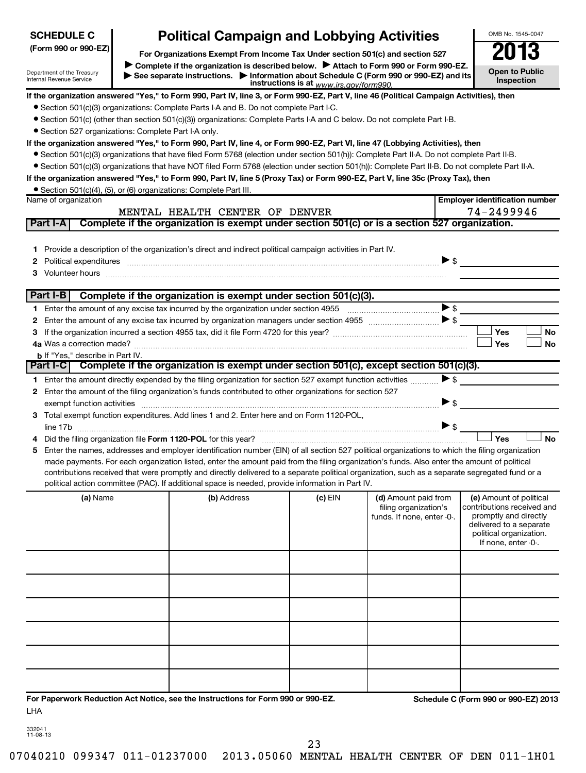| <b>SCHEDULE C</b>                                      |                                                                                                                                                                                                                                                                                                                                                   | <b>Political Campaign and Lobbying Activities</b>                                                                                                                                                                                                                                              |           |                                                                             |                          | OMB No. 1545-0047                                                                                                                                           |  |  |
|--------------------------------------------------------|---------------------------------------------------------------------------------------------------------------------------------------------------------------------------------------------------------------------------------------------------------------------------------------------------------------------------------------------------|------------------------------------------------------------------------------------------------------------------------------------------------------------------------------------------------------------------------------------------------------------------------------------------------|-----------|-----------------------------------------------------------------------------|--------------------------|-------------------------------------------------------------------------------------------------------------------------------------------------------------|--|--|
| (Form 990 or 990-EZ)                                   |                                                                                                                                                                                                                                                                                                                                                   |                                                                                                                                                                                                                                                                                                |           |                                                                             |                          | 2013                                                                                                                                                        |  |  |
| Department of the Treasury<br>Internal Revenue Service | For Organizations Exempt From Income Tax Under section 501(c) and section 527<br>Complete if the organization is described below.<br>Attach to Form 990 or Form 990-EZ.<br><b>Open to Public</b><br>See separate instructions. Information about Schedule C (Form 990 or 990-EZ) and its<br>Inspection<br>instructions is at www.irs.gov/form990. |                                                                                                                                                                                                                                                                                                |           |                                                                             |                          |                                                                                                                                                             |  |  |
|                                                        |                                                                                                                                                                                                                                                                                                                                                   | If the organization answered "Yes," to Form 990, Part IV, line 3, or Form 990-EZ, Part V, line 46 (Political Campaign Activities), then                                                                                                                                                        |           |                                                                             |                          |                                                                                                                                                             |  |  |
|                                                        |                                                                                                                                                                                                                                                                                                                                                   | • Section 501(c)(3) organizations: Complete Parts I-A and B. Do not complete Part I-C.                                                                                                                                                                                                         |           |                                                                             |                          |                                                                                                                                                             |  |  |
|                                                        |                                                                                                                                                                                                                                                                                                                                                   | • Section 501(c) (other than section 501(c)(3)) organizations: Complete Parts I-A and C below. Do not complete Part I-B.                                                                                                                                                                       |           |                                                                             |                          |                                                                                                                                                             |  |  |
| • Section 527 organizations: Complete Part I-A only.   |                                                                                                                                                                                                                                                                                                                                                   |                                                                                                                                                                                                                                                                                                |           |                                                                             |                          |                                                                                                                                                             |  |  |
|                                                        |                                                                                                                                                                                                                                                                                                                                                   | If the organization answered "Yes," to Form 990, Part IV, line 4, or Form 990-EZ, Part VI, line 47 (Lobbying Activities), then                                                                                                                                                                 |           |                                                                             |                          |                                                                                                                                                             |  |  |
|                                                        |                                                                                                                                                                                                                                                                                                                                                   | • Section 501(c)(3) organizations that have filed Form 5768 (election under section 501(h)): Complete Part II-A. Do not complete Part II-B.<br>• Section 501(c)(3) organizations that have NOT filed Form 5768 (election under section 501(h)): Complete Part II-B. Do not complete Part II-A. |           |                                                                             |                          |                                                                                                                                                             |  |  |
|                                                        |                                                                                                                                                                                                                                                                                                                                                   | If the organization answered "Yes," to Form 990, Part IV, line 5 (Proxy Tax) or Form 990-EZ, Part V, line 35c (Proxy Tax), then                                                                                                                                                                |           |                                                                             |                          |                                                                                                                                                             |  |  |
|                                                        |                                                                                                                                                                                                                                                                                                                                                   | • Section 501(c)(4), (5), or (6) organizations: Complete Part III.                                                                                                                                                                                                                             |           |                                                                             |                          |                                                                                                                                                             |  |  |
| Name of organization                                   |                                                                                                                                                                                                                                                                                                                                                   |                                                                                                                                                                                                                                                                                                |           |                                                                             |                          | <b>Employer identification number</b>                                                                                                                       |  |  |
|                                                        |                                                                                                                                                                                                                                                                                                                                                   | MENTAL HEALTH CENTER OF DENVER                                                                                                                                                                                                                                                                 |           |                                                                             |                          | 74-2499946                                                                                                                                                  |  |  |
| Part I-A                                               |                                                                                                                                                                                                                                                                                                                                                   | Complete if the organization is exempt under section 501(c) or is a section 527 organization.                                                                                                                                                                                                  |           |                                                                             |                          |                                                                                                                                                             |  |  |
|                                                        |                                                                                                                                                                                                                                                                                                                                                   |                                                                                                                                                                                                                                                                                                |           |                                                                             |                          |                                                                                                                                                             |  |  |
|                                                        |                                                                                                                                                                                                                                                                                                                                                   | 1 Provide a description of the organization's direct and indirect political campaign activities in Part IV.                                                                                                                                                                                    |           |                                                                             |                          |                                                                                                                                                             |  |  |
| 2                                                      |                                                                                                                                                                                                                                                                                                                                                   |                                                                                                                                                                                                                                                                                                |           |                                                                             | $\blacktriangleright$ \$ |                                                                                                                                                             |  |  |
|                                                        |                                                                                                                                                                                                                                                                                                                                                   |                                                                                                                                                                                                                                                                                                |           |                                                                             |                          |                                                                                                                                                             |  |  |
|                                                        |                                                                                                                                                                                                                                                                                                                                                   |                                                                                                                                                                                                                                                                                                |           |                                                                             |                          |                                                                                                                                                             |  |  |
| Part I-B                                               |                                                                                                                                                                                                                                                                                                                                                   | Complete if the organization is exempt under section 501(c)(3).                                                                                                                                                                                                                                |           |                                                                             |                          |                                                                                                                                                             |  |  |
|                                                        |                                                                                                                                                                                                                                                                                                                                                   |                                                                                                                                                                                                                                                                                                |           |                                                                             |                          |                                                                                                                                                             |  |  |
| 2                                                      |                                                                                                                                                                                                                                                                                                                                                   |                                                                                                                                                                                                                                                                                                |           |                                                                             |                          | <b>Yes</b><br>No                                                                                                                                            |  |  |
|                                                        |                                                                                                                                                                                                                                                                                                                                                   |                                                                                                                                                                                                                                                                                                |           |                                                                             |                          | <b>No</b><br><b>Yes</b>                                                                                                                                     |  |  |
| <b>b</b> If "Yes," describe in Part IV.                |                                                                                                                                                                                                                                                                                                                                                   |                                                                                                                                                                                                                                                                                                |           |                                                                             |                          |                                                                                                                                                             |  |  |
|                                                        |                                                                                                                                                                                                                                                                                                                                                   | Part I-C Complete if the organization is exempt under section 501(c), except section 501(c)(3).                                                                                                                                                                                                |           |                                                                             |                          |                                                                                                                                                             |  |  |
|                                                        |                                                                                                                                                                                                                                                                                                                                                   | 1 Enter the amount directly expended by the filing organization for section 527 exempt function activities                                                                                                                                                                                     |           |                                                                             | $\triangleright$ \$      |                                                                                                                                                             |  |  |
| $\mathbf{2}$                                           |                                                                                                                                                                                                                                                                                                                                                   | Enter the amount of the filing organization's funds contributed to other organizations for section 527                                                                                                                                                                                         |           |                                                                             |                          |                                                                                                                                                             |  |  |
|                                                        |                                                                                                                                                                                                                                                                                                                                                   | exempt function activities encourance and activities entitled activities exempt function activities                                                                                                                                                                                            |           |                                                                             | $\triangleright$ s       |                                                                                                                                                             |  |  |
|                                                        |                                                                                                                                                                                                                                                                                                                                                   | 3 Total exempt function expenditures. Add lines 1 and 2. Enter here and on Form 1120-POL,                                                                                                                                                                                                      |           |                                                                             |                          |                                                                                                                                                             |  |  |
|                                                        |                                                                                                                                                                                                                                                                                                                                                   |                                                                                                                                                                                                                                                                                                |           |                                                                             |                          |                                                                                                                                                             |  |  |
|                                                        |                                                                                                                                                                                                                                                                                                                                                   |                                                                                                                                                                                                                                                                                                |           |                                                                             |                          | Yes<br><b>No</b>                                                                                                                                            |  |  |
| 5                                                      |                                                                                                                                                                                                                                                                                                                                                   | Enter the names, addresses and employer identification number (EIN) of all section 527 political organizations to which the filing organization                                                                                                                                                |           |                                                                             |                          |                                                                                                                                                             |  |  |
|                                                        |                                                                                                                                                                                                                                                                                                                                                   | made payments. For each organization listed, enter the amount paid from the filing organization's funds. Also enter the amount of political                                                                                                                                                    |           |                                                                             |                          |                                                                                                                                                             |  |  |
|                                                        |                                                                                                                                                                                                                                                                                                                                                   | contributions received that were promptly and directly delivered to a separate political organization, such as a separate segregated fund or a<br>political action committee (PAC). If additional space is needed, provide information in Part IV.                                             |           |                                                                             |                          |                                                                                                                                                             |  |  |
|                                                        |                                                                                                                                                                                                                                                                                                                                                   |                                                                                                                                                                                                                                                                                                |           |                                                                             |                          |                                                                                                                                                             |  |  |
| (a) Name                                               |                                                                                                                                                                                                                                                                                                                                                   | (b) Address                                                                                                                                                                                                                                                                                    | $(c)$ EIN | (d) Amount paid from<br>filing organization's<br>funds. If none, enter -0-. |                          | (e) Amount of political<br>contributions received and<br>promptly and directly<br>delivered to a separate<br>political organization.<br>If none, enter -0-. |  |  |
|                                                        |                                                                                                                                                                                                                                                                                                                                                   |                                                                                                                                                                                                                                                                                                |           |                                                                             |                          |                                                                                                                                                             |  |  |
|                                                        |                                                                                                                                                                                                                                                                                                                                                   |                                                                                                                                                                                                                                                                                                |           |                                                                             |                          |                                                                                                                                                             |  |  |
|                                                        |                                                                                                                                                                                                                                                                                                                                                   |                                                                                                                                                                                                                                                                                                |           |                                                                             |                          |                                                                                                                                                             |  |  |
|                                                        |                                                                                                                                                                                                                                                                                                                                                   |                                                                                                                                                                                                                                                                                                |           |                                                                             |                          |                                                                                                                                                             |  |  |
|                                                        |                                                                                                                                                                                                                                                                                                                                                   |                                                                                                                                                                                                                                                                                                |           |                                                                             |                          |                                                                                                                                                             |  |  |
|                                                        |                                                                                                                                                                                                                                                                                                                                                   |                                                                                                                                                                                                                                                                                                |           |                                                                             |                          |                                                                                                                                                             |  |  |
|                                                        |                                                                                                                                                                                                                                                                                                                                                   | For Paperwork Reduction Act Notice, see the Instructions for Form 990 or 990-EZ.                                                                                                                                                                                                               |           |                                                                             |                          | Schedule C (Form 990 or 990-EZ) 2013                                                                                                                        |  |  |
| LHA                                                    |                                                                                                                                                                                                                                                                                                                                                   |                                                                                                                                                                                                                                                                                                |           |                                                                             |                          |                                                                                                                                                             |  |  |

| 332041   |
|----------|
| 11-08-13 |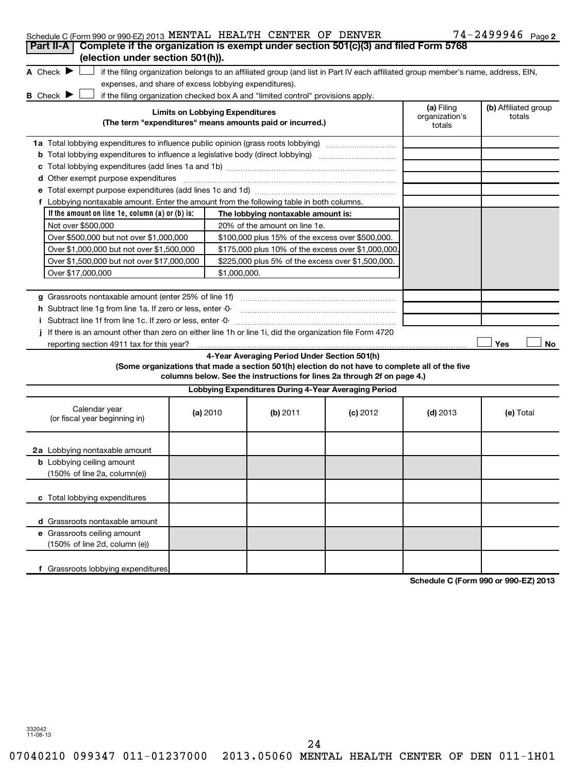|  | Schedule C (Form 990 or 990-EZ) 2013 MENTAL HEALTH CENTER OF DENVER |  |  |  |  | $74 - 2499946$ Page 2 |  |
|--|---------------------------------------------------------------------|--|--|--|--|-----------------------|--|
|--|---------------------------------------------------------------------|--|--|--|--|-----------------------|--|

| Part II-A   Complete if the organization is exempt under section 501(c)(3) and filed Form 5768<br>(election under section 501(h)).                                                                                                              |                                                                                                 |                                                      |                                                                                                                                                                            |            | $\frac{1}{2}$ 2 2 3 3 2 6 $\frac{1}{2}$ 6 $\frac{1}{2}$ 6 $\frac{1}{2}$ |
|-------------------------------------------------------------------------------------------------------------------------------------------------------------------------------------------------------------------------------------------------|-------------------------------------------------------------------------------------------------|------------------------------------------------------|----------------------------------------------------------------------------------------------------------------------------------------------------------------------------|------------|-------------------------------------------------------------------------|
| A Check $\blacktriangleright$<br>if the filing organization belongs to an affiliated group (and list in Part IV each affiliated group member's name, address, EIN,<br>expenses, and share of excess lobbying expenditures).<br><b>B</b> Check ▶ |                                                                                                 |                                                      |                                                                                                                                                                            |            |                                                                         |
| if the filing organization checked box A and "limited control" provisions apply.<br><b>Limits on Lobbying Expenditures</b><br>(The term "expenditures" means amounts paid or incurred.)                                                         |                                                                                                 | (a) Filing<br>organization's<br>totals               | (b) Affiliated group<br>totals                                                                                                                                             |            |                                                                         |
| 1a Total lobbying expenditures to influence public opinion (grass roots lobbying)                                                                                                                                                               |                                                                                                 |                                                      |                                                                                                                                                                            |            |                                                                         |
| <b>b</b> Total lobbying expenditures to influence a legislative body (direct lobbying) <i>manual content</i>                                                                                                                                    |                                                                                                 |                                                      |                                                                                                                                                                            |            |                                                                         |
|                                                                                                                                                                                                                                                 |                                                                                                 |                                                      |                                                                                                                                                                            |            |                                                                         |
| d Other exempt purpose expenditures                                                                                                                                                                                                             |                                                                                                 |                                                      |                                                                                                                                                                            |            |                                                                         |
|                                                                                                                                                                                                                                                 |                                                                                                 |                                                      |                                                                                                                                                                            |            |                                                                         |
| f Lobbying nontaxable amount. Enter the amount from the following table in both columns.                                                                                                                                                        |                                                                                                 |                                                      |                                                                                                                                                                            |            |                                                                         |
| If the amount on line 1e, column $(a)$ or $(b)$ is:                                                                                                                                                                                             |                                                                                                 | The lobbying nontaxable amount is:                   |                                                                                                                                                                            |            |                                                                         |
| Not over \$500,000                                                                                                                                                                                                                              |                                                                                                 | 20% of the amount on line 1e.                        |                                                                                                                                                                            |            |                                                                         |
| Over \$500,000 but not over \$1,000,000                                                                                                                                                                                                         |                                                                                                 | \$100,000 plus 15% of the excess over \$500,000.     |                                                                                                                                                                            |            |                                                                         |
| Over \$1,000,000 but not over \$1,500,000                                                                                                                                                                                                       |                                                                                                 | \$175,000 plus 10% of the excess over \$1,000,000    |                                                                                                                                                                            |            |                                                                         |
|                                                                                                                                                                                                                                                 | Over \$1,500,000 but not over \$17,000,000<br>\$225,000 plus 5% of the excess over \$1,500,000. |                                                      |                                                                                                                                                                            |            |                                                                         |
| Over \$17,000,000                                                                                                                                                                                                                               | \$1,000,000.                                                                                    |                                                      |                                                                                                                                                                            |            |                                                                         |
|                                                                                                                                                                                                                                                 |                                                                                                 |                                                      |                                                                                                                                                                            |            |                                                                         |
| g Grassroots nontaxable amount (enter 25% of line 1f)<br>h Subtract line 1g from line 1a. If zero or less, enter -0-                                                                                                                            |                                                                                                 |                                                      |                                                                                                                                                                            |            |                                                                         |
| i Subtract line 1f from line 1c. If zero or less, enter -0-                                                                                                                                                                                     |                                                                                                 |                                                      |                                                                                                                                                                            |            |                                                                         |
| j If there is an amount other than zero on either line 1h or line 1i, did the organization file Form 4720                                                                                                                                       |                                                                                                 |                                                      |                                                                                                                                                                            |            |                                                                         |
| reporting section 4911 tax for this year?                                                                                                                                                                                                       |                                                                                                 |                                                      |                                                                                                                                                                            |            | Yes<br>No                                                               |
|                                                                                                                                                                                                                                                 |                                                                                                 | 4-Year Averaging Period Under Section 501(h)         | (Some organizations that made a section 501(h) election do not have to complete all of the five<br>columns below. See the instructions for lines 2a through 2f on page 4.) |            |                                                                         |
|                                                                                                                                                                                                                                                 |                                                                                                 | Lobbying Expenditures During 4-Year Averaging Period |                                                                                                                                                                            |            |                                                                         |
| Calendar year<br>(or fiscal year beginning in)                                                                                                                                                                                                  | (a) 2010                                                                                        | $(b)$ 2011                                           | $(c)$ 2012                                                                                                                                                                 | $(d)$ 2013 | (e) Total                                                               |
| 2a Lobbying nontaxable amount                                                                                                                                                                                                                   |                                                                                                 |                                                      |                                                                                                                                                                            |            |                                                                         |
| <b>b</b> Lobbying ceiling amount<br>(150% of line 2a, column(e))                                                                                                                                                                                |                                                                                                 |                                                      |                                                                                                                                                                            |            |                                                                         |
| c Total lobbying expenditures                                                                                                                                                                                                                   |                                                                                                 |                                                      |                                                                                                                                                                            |            |                                                                         |
| d Grassroots nontaxable amount                                                                                                                                                                                                                  |                                                                                                 |                                                      |                                                                                                                                                                            |            |                                                                         |
| e Grassroots ceiling amount<br>(150% of line 2d, column (e))                                                                                                                                                                                    |                                                                                                 |                                                      |                                                                                                                                                                            |            |                                                                         |
| f Grassroots lobbying expenditures                                                                                                                                                                                                              |                                                                                                 |                                                      |                                                                                                                                                                            |            | 000.5200240                                                             |

**Schedule C (Form 990 or 990-EZ) 2013**

332042 11-08-13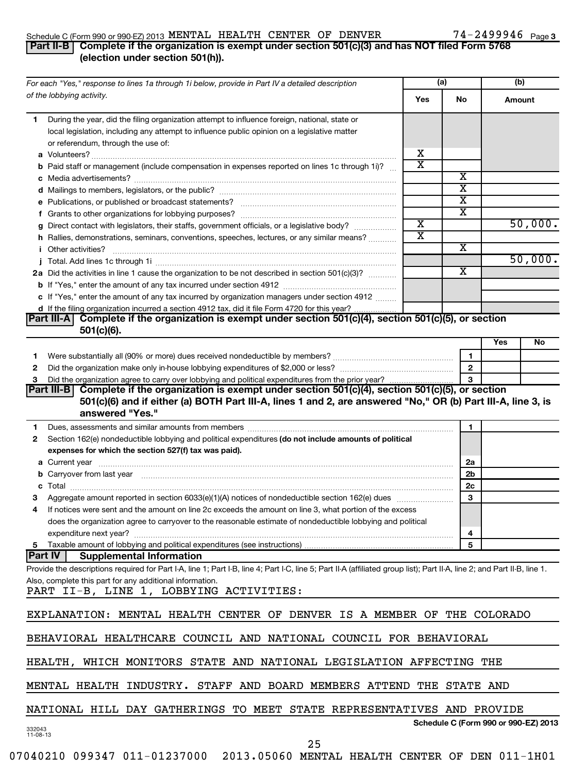#### Schedule C (Form 990 or 990-EZ) 2013 MENTAL HEALTH CENTER OF DENVER / 4-Z4YYY46 Page MENTAL HEALTH CENTER OF DENVER 74-2499946

### 74-2499946 Page 3

#### **Part II-B Complete if the organization is exempt under section 501(c)(3) and has NOT filed Form 5768 (election under section 501(h)).**

| For each "Yes," response to lines 1a through 1i below, provide in Part IV a detailed description                                                                                                                                          |                         | (a)                                  | (b)    |         |
|-------------------------------------------------------------------------------------------------------------------------------------------------------------------------------------------------------------------------------------------|-------------------------|--------------------------------------|--------|---------|
| of the lobbying activity.                                                                                                                                                                                                                 | Yes                     | <b>No</b>                            | Amount |         |
| During the year, did the filing organization attempt to influence foreign, national, state or<br>1.<br>local legislation, including any attempt to influence public opinion on a legislative matter<br>or referendum, through the use of: |                         |                                      |        |         |
|                                                                                                                                                                                                                                           | х                       |                                      |        |         |
| <b>b</b> Paid staff or management (include compensation in expenses reported on lines 1c through 1i)?                                                                                                                                     | $\overline{\text{x}}$   |                                      |        |         |
|                                                                                                                                                                                                                                           |                         | х                                    |        |         |
|                                                                                                                                                                                                                                           |                         | $\overline{\textbf{x}}$              |        |         |
|                                                                                                                                                                                                                                           |                         | $\overline{\text{x}}$                |        |         |
|                                                                                                                                                                                                                                           |                         | $\overline{\textbf{x}}$              |        |         |
| g Direct contact with legislators, their staffs, government officials, or a legislative body?                                                                                                                                             | $\overline{\text{x}}$   |                                      |        | 50,000. |
| h Rallies, demonstrations, seminars, conventions, speeches, lectures, or any similar means?                                                                                                                                               | $\overline{\mathtt{x}}$ |                                      |        |         |
| <i>i</i> Other activities?                                                                                                                                                                                                                |                         | х                                    |        |         |
|                                                                                                                                                                                                                                           |                         |                                      |        | 50,000. |
| 2a Did the activities in line 1 cause the organization to be not described in section 501(c)(3)?                                                                                                                                          |                         | $\overline{\textbf{x}}$              |        |         |
|                                                                                                                                                                                                                                           |                         |                                      |        |         |
| c If "Yes," enter the amount of any tax incurred by organization managers under section 4912                                                                                                                                              |                         |                                      |        |         |
| d If the filing organization incurred a section 4912 tax, did it file Form 4720 for this year?                                                                                                                                            |                         |                                      |        |         |
| Complete if the organization is exempt under section 501(c)(4), section 501(c)(5), or section<br><b>Part III-A</b> l<br>$501(c)(6)$ .                                                                                                     |                         |                                      |        |         |
|                                                                                                                                                                                                                                           |                         |                                      | Yes    | No      |
| 1.                                                                                                                                                                                                                                        |                         | 1                                    |        |         |
| 2                                                                                                                                                                                                                                         |                         | $\overline{2}$                       |        |         |
| Did the organization agree to carry over lobbying and political expenditures from the prior year?<br>3                                                                                                                                    |                         | 3                                    |        |         |
| Complete if the organization is exempt under section 501(c)(4), section 501(c)(5), or section<br> Part III-B <br>501(c)(6) and if either (a) BOTH Part III-A, lines 1 and 2, are answered "No," OR (b) Part III-A, line 3, is             |                         |                                      |        |         |
| answered "Yes."                                                                                                                                                                                                                           |                         |                                      |        |         |
| Dues, assessments and similar amounts from members [111] Dues, assessments and similar and similar amounts from members [111] Dues, assessments and similar amounts from members [11] Dues and Superior and Superior and Super<br>1.      |                         | 1                                    |        |         |
| Section 162(e) nondeductible lobbying and political expenditures (do not include amounts of political<br>2                                                                                                                                |                         |                                      |        |         |
| expenses for which the section 527(f) tax was paid).                                                                                                                                                                                      |                         |                                      |        |         |
|                                                                                                                                                                                                                                           |                         | 2a<br>2 <sub>b</sub>                 |        |         |
| b Carryover from last year manufactured and content to content the content of the content of the content of the content of the content of the content of the content of the content of the content of the content of the conte<br>c       |                         | 2c                                   |        |         |
|                                                                                                                                                                                                                                           |                         | 3                                    |        |         |
| If notices were sent and the amount on line 2c exceeds the amount on line 3, what portion of the excess<br>4                                                                                                                              |                         |                                      |        |         |
| does the organization agree to carryover to the reasonable estimate of nondeductible lobbying and political                                                                                                                               |                         |                                      |        |         |
|                                                                                                                                                                                                                                           |                         | 4                                    |        |         |
| 5 Taxable amount of lobbying and political expenditures (see instructions)                                                                                                                                                                |                         | 5                                    |        |         |
| <b>Part IV</b><br><b>Supplemental Information</b>                                                                                                                                                                                         |                         |                                      |        |         |
| Provide the descriptions required for Part I-A, line 1; Part I-B, line 4; Part I-C, line 5; Part II-A (affiliated group list); Part II-A, line 2; and Part II-B, line 1.                                                                  |                         |                                      |        |         |
| Also, complete this part for any additional information.<br>PART II-B, LINE 1, LOBBYING ACTIVITIES:                                                                                                                                       |                         |                                      |        |         |
| EXPLANATION: MENTAL HEALTH CENTER OF DENVER IS A MEMBER OF THE COLORADO                                                                                                                                                                   |                         |                                      |        |         |
| BEHAVIORAL HEALTHCARE COUNCIL AND NATIONAL COUNCIL FOR BEHAVIORAL                                                                                                                                                                         |                         |                                      |        |         |
| HEALTH, WHICH MONITORS STATE AND NATIONAL LEGISLATION AFFECTING THE                                                                                                                                                                       |                         |                                      |        |         |
| MENTAL HEALTH INDUSTRY. STAFF AND BOARD MEMBERS ATTEND THE STATE AND                                                                                                                                                                      |                         |                                      |        |         |
| NATIONAL HILL DAY GATHERINGS TO MEET STATE REPRESENTATIVES AND PROVIDE                                                                                                                                                                    |                         |                                      |        |         |
| 332043<br>11-08-13                                                                                                                                                                                                                        |                         | Schedule C (Form 990 or 990-EZ) 2013 |        |         |
| 25                                                                                                                                                                                                                                        |                         |                                      |        |         |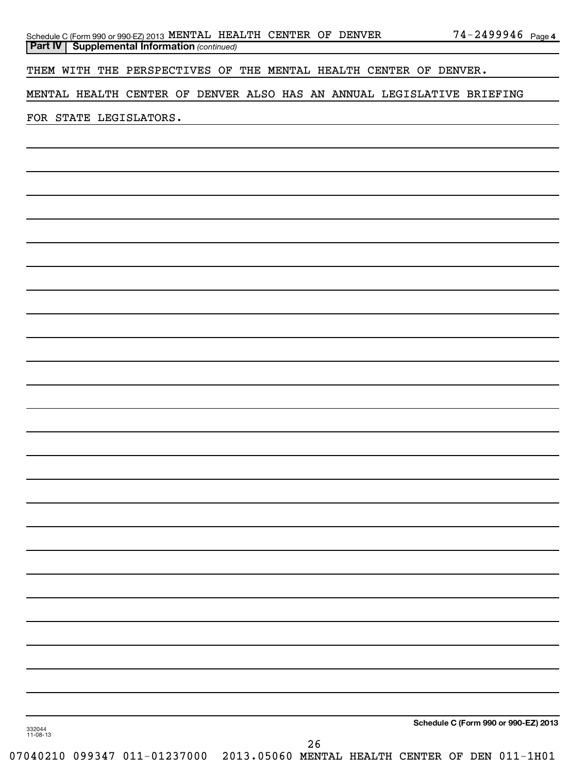| Schedule C (Form 990 or 990-EZ) 2013 MENTAL HEALTH CENTER OF DENVER |  |  | $74 - 2499946$ Page 4 |  |
|---------------------------------------------------------------------|--|--|-----------------------|--|
| <b>Part IV   Supplemental Information (continued)</b>               |  |  |                       |  |

THEM WITH THE PERSPECTIVES OF THE MENTAL HEALTH CENTER OF DENVER.

MENTAL HEALTH CENTER OF DENVER ALSO HAS AN ANNUAL LEGISLATIVE BRIEFING

FOR STATE LEGISLATORS.

**Schedule C (Form 990 or 990-EZ) 2013**

332044 11-08-13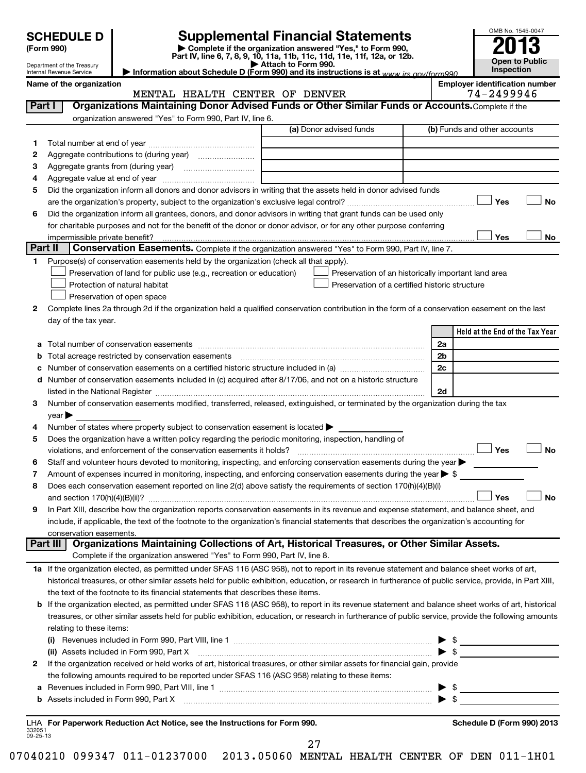| <b>SCHEDULE D</b> |
|-------------------|
|-------------------|

Department of the Treasury

**(Form 990) | Complete if the organization answered "Yes," to Form 990, Part IV, line 6, 7, 8, 9, 10, 11a, 11b, 11c, 11d, 11e, 11f, 12a, or 12b. | Attach to Form 990. | Information about Schedule D (Form 990) and its instructions is at**  *www.irs.gov/form990.* **SCHEDULE D Supplemental Financial Statements**<br> **Form 990 2013**<br>
Part IV line 6.7.8.9.10, 11a, 11b, 11d, 11d, 11d, 11d, 11d, 12a, 0r, 12b

| Internal Revenue Service |  |
|--------------------------|--|
| Namo of the ergenization |  |

**Name of the organization Employer identification number**

| <b>Employer identification number</b> |                    |  |  |
|---------------------------------------|--------------------|--|--|
|                                       | 71 <u>ALAAA 16</u> |  |  |

OMB No. 1545-0047

**Open to Public Inspection**

|                    | MENTAL HEALTH CENTER OF DENVER                                                                                                                                                     | 74-2499946                      |
|--------------------|------------------------------------------------------------------------------------------------------------------------------------------------------------------------------------|---------------------------------|
| Part I             | Organizations Maintaining Donor Advised Funds or Other Similar Funds or Accounts. Complete if the                                                                                  |                                 |
|                    | organization answered "Yes" to Form 990, Part IV, line 6.                                                                                                                          |                                 |
|                    | (a) Donor advised funds                                                                                                                                                            | (b) Funds and other accounts    |
| 1.                 |                                                                                                                                                                                    |                                 |
| 2                  |                                                                                                                                                                                    |                                 |
| З                  |                                                                                                                                                                                    |                                 |
| 4                  |                                                                                                                                                                                    |                                 |
| 5                  | Did the organization inform all donors and donor advisors in writing that the assets held in donor advised funds                                                                   |                                 |
|                    |                                                                                                                                                                                    | Yes<br>No                       |
| 6                  | Did the organization inform all grantees, donors, and donor advisors in writing that grant funds can be used only                                                                  |                                 |
|                    | for charitable purposes and not for the benefit of the donor or donor advisor, or for any other purpose conferring                                                                 |                                 |
|                    |                                                                                                                                                                                    | Yes<br>No                       |
| Part II            | <b>Conservation Easements.</b> Complete if the organization answered "Yes" to Form 990, Part IV, line 7.                                                                           |                                 |
| $\mathbf 1$        | Purpose(s) of conservation easements held by the organization (check all that apply).                                                                                              |                                 |
|                    | Preservation of land for public use (e.g., recreation or education)<br>Preservation of an historically important land area                                                         |                                 |
|                    | Preservation of a certified historic structure<br>Protection of natural habitat                                                                                                    |                                 |
|                    | Preservation of open space                                                                                                                                                         |                                 |
| 2                  | Complete lines 2a through 2d if the organization held a qualified conservation contribution in the form of a conservation easement on the last                                     |                                 |
|                    | day of the tax year.                                                                                                                                                               |                                 |
|                    |                                                                                                                                                                                    | Held at the End of the Tax Year |
| а                  |                                                                                                                                                                                    | 2a                              |
| b                  | Total acreage restricted by conservation easements                                                                                                                                 | 2 <sub>b</sub>                  |
| с                  | Number of conservation easements on a certified historic structure included in (a) manufacture included in (a)                                                                     | 2c                              |
| d                  | Number of conservation easements included in (c) acquired after 8/17/06, and not on a historic structure                                                                           |                                 |
|                    |                                                                                                                                                                                    | 2d                              |
| 3                  | Number of conservation easements modified, transferred, released, extinguished, or terminated by the organization during the tax                                                   |                                 |
|                    | year                                                                                                                                                                               |                                 |
| 4                  | Number of states where property subject to conservation easement is located >                                                                                                      |                                 |
| 5                  | Does the organization have a written policy regarding the periodic monitoring, inspection, handling of                                                                             |                                 |
|                    | violations, and enforcement of the conservation easements it holds?                                                                                                                | Yes<br><b>No</b>                |
| 6                  | Staff and volunteer hours devoted to monitoring, inspecting, and enforcing conservation easements during the year                                                                  |                                 |
| 7                  | Amount of expenses incurred in monitoring, inspecting, and enforcing conservation easements during the year $\triangleright$ \$                                                    |                                 |
| 8                  | Does each conservation easement reported on line 2(d) above satisfy the requirements of section 170(h)(4)(B)(i)                                                                    |                                 |
|                    |                                                                                                                                                                                    | <b>No</b><br>Yes                |
| 9                  | In Part XIII, describe how the organization reports conservation easements in its revenue and expense statement, and balance sheet, and                                            |                                 |
|                    | include, if applicable, the text of the footnote to the organization's financial statements that describes the organization's accounting for                                       |                                 |
|                    | conservation easements.                                                                                                                                                            |                                 |
|                    | Organizations Maintaining Collections of Art, Historical Treasures, or Other Similar Assets.<br>Part III                                                                           |                                 |
|                    | Complete if the organization answered "Yes" to Form 990, Part IV, line 8.                                                                                                          |                                 |
|                    | 1a If the organization elected, as permitted under SFAS 116 (ASC 958), not to report in its revenue statement and balance sheet works of art,                                      |                                 |
|                    | historical treasures, or other similar assets held for public exhibition, education, or research in furtherance of public service, provide, in Part XIII,                          |                                 |
|                    | the text of the footnote to its financial statements that describes these items.                                                                                                   |                                 |
|                    | b If the organization elected, as permitted under SFAS 116 (ASC 958), to report in its revenue statement and balance sheet works of art, historical                                |                                 |
|                    | treasures, or other similar assets held for public exhibition, education, or research in furtherance of public service, provide the following amounts                              |                                 |
|                    | relating to these items:                                                                                                                                                           |                                 |
|                    | (i) Revenues included in Form 990, Part VIII, line 1 $\ldots$ $\ldots$ $\ldots$ $\ldots$ $\ldots$ $\ldots$ $\ldots$ $\ldots$ $\ldots$ $\ldots$ $\ldots$ $\ldots$ $\ldots$ $\ldots$ |                                 |
|                    |                                                                                                                                                                                    |                                 |
| 2                  | If the organization received or held works of art, historical treasures, or other similar assets for financial gain, provide                                                       |                                 |
|                    | the following amounts required to be reported under SFAS 116 (ASC 958) relating to these items:                                                                                    |                                 |
|                    |                                                                                                                                                                                    |                                 |
|                    |                                                                                                                                                                                    |                                 |
|                    |                                                                                                                                                                                    |                                 |
|                    | LHA For Paperwork Reduction Act Notice, see the Instructions for Form 990.                                                                                                         | Schedule D (Form 990) 2013      |
| 332051<br>09-25-13 |                                                                                                                                                                                    |                                 |

27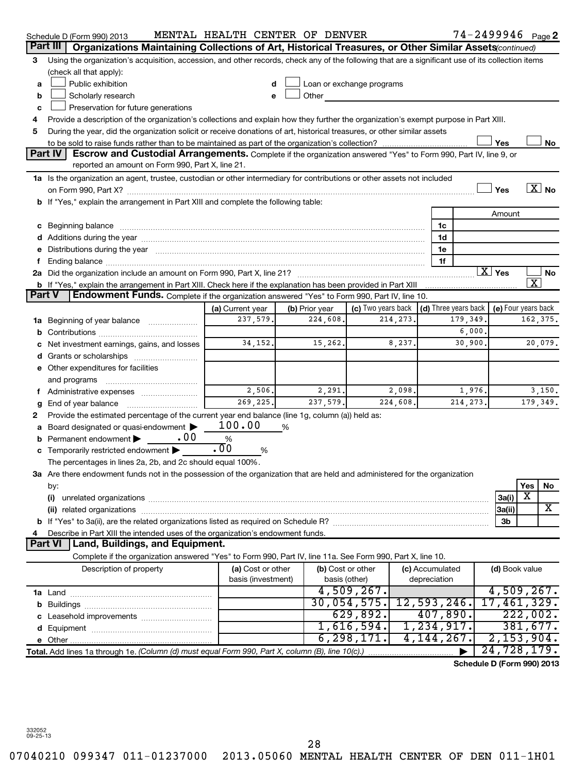|    | Schedule D (Form 990) 2013                                                                                                                                                                                                     | MENTAL HEALTH CENTER OF DENVER |                |                           |                      |           |                     | $74 - 2499946$ Page 2      |
|----|--------------------------------------------------------------------------------------------------------------------------------------------------------------------------------------------------------------------------------|--------------------------------|----------------|---------------------------|----------------------|-----------|---------------------|----------------------------|
|    | Part III<br>Organizations Maintaining Collections of Art, Historical Treasures, or Other Similar Assets (continued)                                                                                                            |                                |                |                           |                      |           |                     |                            |
| 3  | Using the organization's acquisition, accession, and other records, check any of the following that are a significant use of its collection items                                                                              |                                |                |                           |                      |           |                     |                            |
|    | (check all that apply):                                                                                                                                                                                                        |                                |                |                           |                      |           |                     |                            |
| а  | Public exhibition                                                                                                                                                                                                              | d                              |                | Loan or exchange programs |                      |           |                     |                            |
| b  | Scholarly research                                                                                                                                                                                                             | e                              | Other          |                           |                      |           |                     |                            |
| c  | Preservation for future generations                                                                                                                                                                                            |                                |                |                           |                      |           |                     |                            |
| 4  | Provide a description of the organization's collections and explain how they further the organization's exempt purpose in Part XIII.                                                                                           |                                |                |                           |                      |           |                     |                            |
| 5  | During the year, did the organization solicit or receive donations of art, historical treasures, or other similar assets                                                                                                       |                                |                |                           |                      |           |                     |                            |
|    |                                                                                                                                                                                                                                |                                |                |                           |                      |           | Yes                 | No                         |
|    | Part IV<br>Escrow and Custodial Arrangements. Complete if the organization answered "Yes" to Form 990, Part IV, line 9, or                                                                                                     |                                |                |                           |                      |           |                     |                            |
|    | reported an amount on Form 990, Part X, line 21.                                                                                                                                                                               |                                |                |                           |                      |           |                     |                            |
|    | 1a Is the organization an agent, trustee, custodian or other intermediary for contributions or other assets not included                                                                                                       |                                |                |                           |                      |           |                     |                            |
|    |                                                                                                                                                                                                                                |                                |                |                           |                      |           | Yes                 | $\boxed{\text{X}}$ No      |
|    | b If "Yes," explain the arrangement in Part XIII and complete the following table:                                                                                                                                             |                                |                |                           |                      |           |                     |                            |
|    |                                                                                                                                                                                                                                |                                |                |                           |                      |           | Amount              |                            |
| с  | Beginning balance measurements and the contract of the contract of the contract of the contract of the contract of the contract of the contract of the contract of the contract of the contract of the contract of the contrac |                                |                |                           | 1c                   |           |                     |                            |
|    | Additions during the year manufactured and an annual contract to the year manufactured and a set of the year manufactured and a set of the year manufactured and a set of the year manufactured and a set of the set of the se |                                |                |                           | 1d                   |           |                     |                            |
|    | Distributions during the year manufactured and continuum and contained and contained and contained and contained and contained and contained and contained and contained and contained and contained and contained and contain |                                |                |                           | 1e                   |           |                     |                            |
|    |                                                                                                                                                                                                                                |                                |                |                           | 1f                   |           |                     |                            |
|    |                                                                                                                                                                                                                                |                                |                |                           |                      |           | $\overline{X}$ Yes  | No                         |
|    | b If "Yes," explain the arrangement in Part XIII. Check here if the explanation has been provided in Part XIII                                                                                                                 |                                |                |                           |                      |           |                     | $\overline{\textbf{X}}$    |
|    | Part V<br>Endowment Funds. Complete if the organization answered "Yes" to Form 990, Part IV, line 10.                                                                                                                          |                                |                |                           |                      |           |                     |                            |
|    |                                                                                                                                                                                                                                | (a) Current year               | (b) Prior year | (c) Two years back        | (d) Three years back |           | (e) Four years back |                            |
| 1a | Beginning of year balance                                                                                                                                                                                                      | 237,579.                       | 224,608.       | 214, 273.                 |                      | 179,349.  |                     | 162,375.                   |
|    |                                                                                                                                                                                                                                |                                |                |                           |                      | 6,000     |                     |                            |
|    | Net investment earnings, gains, and losses                                                                                                                                                                                     | 34, 152.                       | 15,262.        | 8,237.                    |                      | 30,900    |                     | 20,079.                    |
|    |                                                                                                                                                                                                                                |                                |                |                           |                      |           |                     |                            |
|    | Other expenditures for facilities                                                                                                                                                                                              |                                |                |                           |                      |           |                     |                            |
|    | and programs                                                                                                                                                                                                                   |                                |                |                           |                      |           |                     |                            |
|    | Administrative expenses                                                                                                                                                                                                        | 2,506.                         | 2,291.         | 2,098.                    |                      | 1,976.    |                     | 3,150.                     |
|    | End of year balance                                                                                                                                                                                                            | 269,225.                       | 237,579.       | 224,608.                  |                      | 214, 273, |                     | 179,349.                   |
| 2  | Provide the estimated percentage of the current year end balance (line 1g, column (a)) held as:                                                                                                                                |                                |                |                           |                      |           |                     |                            |
| а  | Board designated or quasi-endowment                                                                                                                                                                                            | 100.00                         | ℅              |                           |                      |           |                     |                            |
|    | .00<br>Permanent endowment                                                                                                                                                                                                     | %                              |                |                           |                      |           |                     |                            |
|    | Temporarily restricted endowment                                                                                                                                                                                               | $\overline{.00}$<br>%          |                |                           |                      |           |                     |                            |
|    | The percentages in lines 2a, 2b, and 2c should equal 100%.                                                                                                                                                                     |                                |                |                           |                      |           |                     |                            |
|    | 3a Are there endowment funds not in the possession of the organization that are held and administered for the organization                                                                                                     |                                |                |                           |                      |           |                     |                            |
|    | by:                                                                                                                                                                                                                            |                                |                |                           |                      |           |                     | Yes<br>No                  |
|    | (i)                                                                                                                                                                                                                            |                                |                |                           |                      |           | 3a(i)               | X                          |
|    |                                                                                                                                                                                                                                |                                |                |                           |                      |           | 3a(ii)              | X                          |
|    |                                                                                                                                                                                                                                |                                |                |                           |                      |           | 3b                  |                            |
|    | Describe in Part XIII the intended uses of the organization's endowment funds.                                                                                                                                                 |                                |                |                           |                      |           |                     |                            |
|    | <b>Part VI</b><br><b>Land, Buildings, and Equipment.</b>                                                                                                                                                                       |                                |                |                           |                      |           |                     |                            |
|    | Complete if the organization answered "Yes" to Form 990, Part IV, line 11a. See Form 990, Part X, line 10.                                                                                                                     |                                |                |                           |                      |           |                     |                            |
|    | Description of property                                                                                                                                                                                                        | (a) Cost or other              |                | (b) Cost or other         | (c) Accumulated      |           | (d) Book value      |                            |
|    |                                                                                                                                                                                                                                | basis (investment)             |                | basis (other)             | depreciation         |           |                     |                            |
|    |                                                                                                                                                                                                                                |                                |                | $4,509,267$ .             |                      |           |                     | 4,509,267.                 |
|    |                                                                                                                                                                                                                                |                                |                | 30,054,575.               | 12,593,246.          |           |                     | 17,461,329.                |
|    |                                                                                                                                                                                                                                |                                |                | 629,892.                  | 407,890.             |           |                     | 222,002.                   |
|    |                                                                                                                                                                                                                                |                                |                | 1,616,594.                | 1,234,917.           |           |                     | 381,677.                   |
|    |                                                                                                                                                                                                                                |                                |                | 6, 298, 171.              | 4,144,267.           |           | 2,153,904.          |                            |
|    | Total. Add lines 1a through 1e. (Column (d) must equal Form 990, Part X, column (B), line 10(c).)                                                                                                                              |                                |                |                           |                      |           |                     | 24,728,179.                |
|    |                                                                                                                                                                                                                                |                                |                |                           |                      |           |                     | Schedule D (Form 990) 2013 |
|    |                                                                                                                                                                                                                                |                                |                |                           |                      |           |                     |                            |

332052 09-25-13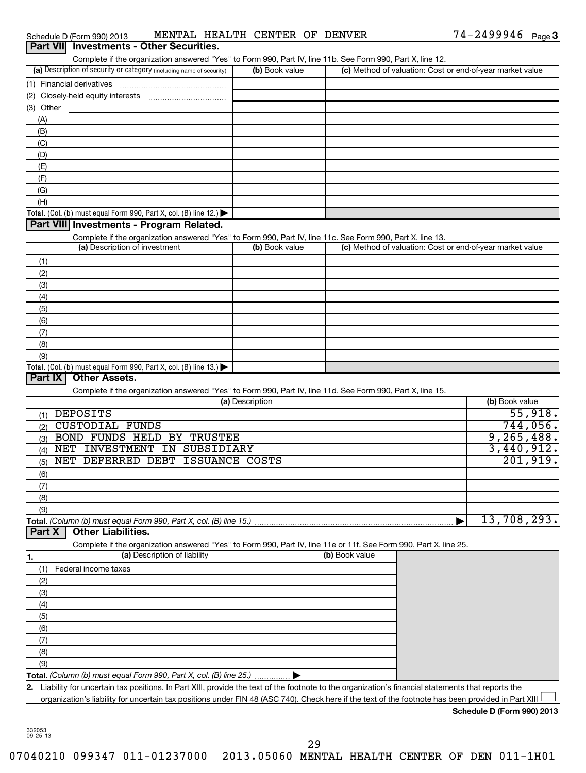| Schedule D (Form 990) 2013                                           | MENTAL HEALTH CENTER OF DENVER                                                                             |                |  | 74-2499946                                                | Page 3 |
|----------------------------------------------------------------------|------------------------------------------------------------------------------------------------------------|----------------|--|-----------------------------------------------------------|--------|
| <b>Part VII</b> Investments - Other Securities.                      |                                                                                                            |                |  |                                                           |        |
|                                                                      | Complete if the organization answered "Yes" to Form 990, Part IV, line 11b. See Form 990, Part X, line 12. |                |  |                                                           |        |
| (a) Description of security or category (including name of security) |                                                                                                            | (b) Book value |  | (c) Method of valuation: Cost or end-of-year market value |        |
| (1) Financial derivatives                                            |                                                                                                            |                |  |                                                           |        |
| $(2)$ Closely hold squity interests                                  |                                                                                                            |                |  |                                                           |        |

| (2) Closely-held equity interests                                                      |  |
|----------------------------------------------------------------------------------------|--|
| (3) Other                                                                              |  |
| (A)                                                                                    |  |
| (B)                                                                                    |  |
| (C)                                                                                    |  |
| (D)                                                                                    |  |
| (E                                                                                     |  |
|                                                                                        |  |
| (G)                                                                                    |  |
| (H)                                                                                    |  |
| Total. (Col. (b) must equal Form 990, Part X, col. (B) line 12.) $\blacktriangleright$ |  |

#### **Part VIII Investments - Program Related.**

| Complete if the organization answered "Yes" to Form 990, Part IV, line 11c. See Form 990, Part X, line 13. |                |                                                           |  |  |  |  |  |  |
|------------------------------------------------------------------------------------------------------------|----------------|-----------------------------------------------------------|--|--|--|--|--|--|
| (a) Description of investment                                                                              | (b) Book value | (c) Method of valuation: Cost or end-of-year market value |  |  |  |  |  |  |
| (1)                                                                                                        |                |                                                           |  |  |  |  |  |  |
| (2)                                                                                                        |                |                                                           |  |  |  |  |  |  |
| (3)                                                                                                        |                |                                                           |  |  |  |  |  |  |
| (4)                                                                                                        |                |                                                           |  |  |  |  |  |  |
| (5)                                                                                                        |                |                                                           |  |  |  |  |  |  |
| (6)                                                                                                        |                |                                                           |  |  |  |  |  |  |
| (7)                                                                                                        |                |                                                           |  |  |  |  |  |  |
| (8)                                                                                                        |                |                                                           |  |  |  |  |  |  |
| (9)                                                                                                        |                |                                                           |  |  |  |  |  |  |
| Total. (Col. (b) must equal Form 990, Part X, col. (B) line $13.$ )                                        |                |                                                           |  |  |  |  |  |  |

#### **Part IX Other Assets.**

Complete if the organization answered "Yes" to Form 990, Part IV, line 11d. See Form 990, Part X, line 15.

| (a) Description                           | (b) Book value |
|-------------------------------------------|----------------|
| DEPOSITS<br>(1)                           | 55,918.        |
| CUSTODIAL FUNDS<br>(2)                    | 744,056.       |
| BOND FUNDS HELD BY TRUSTEE<br>(3)         | 9, 265, 488.   |
| INVESTMENT<br>IN SUBSIDIARY<br>NET<br>(4) | 3,440,912.     |
| NET DEFERRED DEBT ISSUANCE COSTS<br>(5)   | 201,919.       |
| (6)                                       |                |
| (7)                                       |                |
| (8)                                       |                |
| (9)                                       |                |
|                                           | 13,708,293.    |

#### **Part X Other Liabilities.**

Complete if the organization answered "Yes" to Form 990, Part IV, line 11e or 11f. See Form 990, Part X, line 25.

| 1.           | (a) Description of liability                                                                                                                      | (b) Book value |
|--------------|---------------------------------------------------------------------------------------------------------------------------------------------------|----------------|
| (1)          | Federal income taxes                                                                                                                              |                |
| (2)          |                                                                                                                                                   |                |
| (3)          |                                                                                                                                                   |                |
| (4)          |                                                                                                                                                   |                |
| (5)          |                                                                                                                                                   |                |
| (6)          |                                                                                                                                                   |                |
| (7)          |                                                                                                                                                   |                |
| (8)          |                                                                                                                                                   |                |
| (9)          |                                                                                                                                                   |                |
|              |                                                                                                                                                   |                |
| $\mathbf{p}$ | Lighility for uncertain tay positions. In Part XIII, provide the text of the footpote to the organization's financial statements that reports the |                |

**2.** Liability for uncertain tax positions. In Part XIII, provide the text of the footnote to the organization's financial statements that reports the organization's liability for uncertain tax positions under FIN 48 (ASC 740). Check here if the text of the footnote has been provided in Part XIII  $\Box$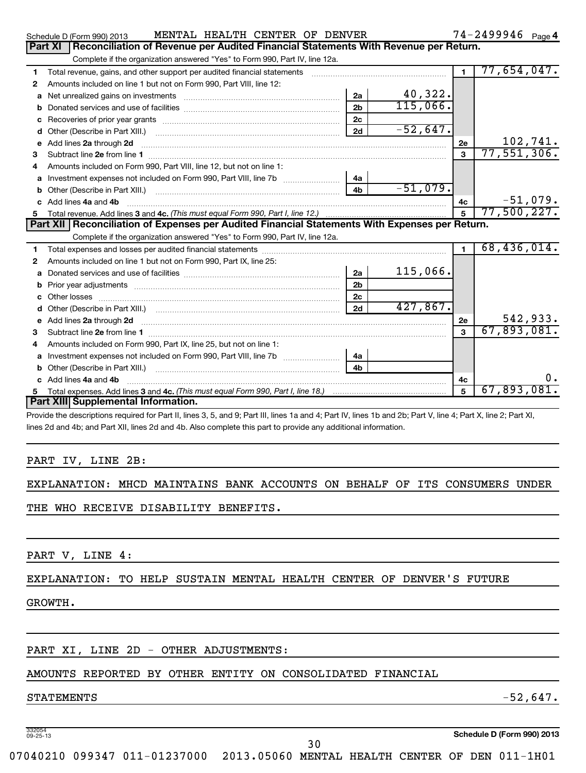|                                                                          |                                                                                                       | Schedule D (Form 990) 2013                                                  |  |  | MENTAL HEALTH CENTER OF DENVER |  |  |    |         |  | $74 - 2499946$ Page 4 |  |
|--------------------------------------------------------------------------|-------------------------------------------------------------------------------------------------------|-----------------------------------------------------------------------------|--|--|--------------------------------|--|--|----|---------|--|-----------------------|--|
|                                                                          | <b>Part XI</b><br>Reconciliation of Revenue per Audited Financial Statements With Revenue per Return. |                                                                             |  |  |                                |  |  |    |         |  |                       |  |
|                                                                          |                                                                                                       | Complete if the organization answered "Yes" to Form 990, Part IV, line 12a. |  |  |                                |  |  |    |         |  |                       |  |
| Total revenue, gains, and other support per audited financial statements |                                                                                                       |                                                                             |  |  | $77,654,047$ .                 |  |  |    |         |  |                       |  |
| $\mathbf{2}$                                                             |                                                                                                       | Amounts included on line 1 but not on Form 990, Part VIII, line 12:         |  |  |                                |  |  |    |         |  |                       |  |
|                                                                          |                                                                                                       | <b>a</b> Net unrealized gains on investments                                |  |  |                                |  |  | 2a | 40,322. |  |                       |  |
|                                                                          |                                                                                                       |                                                                             |  |  |                                |  |  |    |         |  |                       |  |

| a            | Net unrealized gains on investments [111] Net uncontracted and property and the uncontracted metal-                                                                                                                                                                              | 2a             | 40,322.    |                         |             |
|--------------|----------------------------------------------------------------------------------------------------------------------------------------------------------------------------------------------------------------------------------------------------------------------------------|----------------|------------|-------------------------|-------------|
| b            |                                                                                                                                                                                                                                                                                  | 2 <sub>b</sub> | 115,066.   |                         |             |
| с            |                                                                                                                                                                                                                                                                                  | 2 <sub>c</sub> |            |                         |             |
| d            |                                                                                                                                                                                                                                                                                  | 2d             | $-52,647.$ |                         |             |
| е            | Add lines 2a through 2d                                                                                                                                                                                                                                                          |                |            | 2e                      | 102,741.    |
| 3            |                                                                                                                                                                                                                                                                                  |                |            | $\overline{\mathbf{3}}$ | 77,551,306. |
| 4            | Amounts included on Form 990, Part VIII, line 12, but not on line 1:                                                                                                                                                                                                             |                |            |                         |             |
| a            |                                                                                                                                                                                                                                                                                  | 4a             |            |                         |             |
|              |                                                                                                                                                                                                                                                                                  | 4 <sub>b</sub> | $-51,079.$ |                         |             |
| C.           | Add lines 4a and 4b                                                                                                                                                                                                                                                              |                |            | 4с                      | $-51,079.$  |
| 5            |                                                                                                                                                                                                                                                                                  |                |            | 5                       | 77,500,227. |
|              | Part XII   Reconciliation of Expenses per Audited Financial Statements With Expenses per Return.                                                                                                                                                                                 |                |            |                         |             |
|              | Complete if the organization answered "Yes" to Form 990, Part IV, line 12a.                                                                                                                                                                                                      |                |            |                         |             |
| 1            |                                                                                                                                                                                                                                                                                  |                |            | 1                       | 68,436,014. |
| $\mathbf{2}$ | Amounts included on line 1 but not on Form 990, Part IX, line 25:                                                                                                                                                                                                                |                |            |                         |             |
| a            |                                                                                                                                                                                                                                                                                  | 2a             | 115,066.   |                         |             |
| b            |                                                                                                                                                                                                                                                                                  | 2 <sub>b</sub> |            |                         |             |
| c            |                                                                                                                                                                                                                                                                                  | 2c             |            |                         |             |
| d            |                                                                                                                                                                                                                                                                                  | 2d             | 427,867.   |                         |             |
| е            | Add lines 2a through 2d <b>[10]</b> [20] <b>All (20)</b> [20] <b>All (20)</b> [30] <b>All (20)</b> [30] <b>All (20)</b> [30] <b>All (20)</b> [30] <b>All (20)</b> [30] <b>All (20)</b> [30] <b>All (20)</b> [30] <b>All (20)</b> [30] <b>All (20) All (20) All (20) All (20)</b> |                |            | 2e                      | 542,933.    |
| 3            |                                                                                                                                                                                                                                                                                  |                |            | $\mathbf{3}$            | 67,893,081. |
| 4            | Amounts included on Form 990, Part IX, line 25, but not on line 1:                                                                                                                                                                                                               |                |            |                         |             |
| a            |                                                                                                                                                                                                                                                                                  | 4a             |            |                         |             |
| b            |                                                                                                                                                                                                                                                                                  | 4 <sub>b</sub> |            |                         |             |
|              | Add lines 4a and 4b                                                                                                                                                                                                                                                              | 4с             | 0.         |                         |             |
|              |                                                                                                                                                                                                                                                                                  |                | 5          | 67,893,081.             |             |
|              | Part XIII Supplemental Information.                                                                                                                                                                                                                                              |                |            |                         |             |

Provide the descriptions required for Part II, lines 3, 5, and 9; Part III, lines 1a and 4; Part IV, lines 1b and 2b; Part V, line 4; Part X, line 2; Part XI, lines 2d and 4b; and Part XII, lines 2d and 4b. Also complete this part to provide any additional information.

PART IV, LINE 2B:

EXPLANATION: MHCD MAINTAINS BANK ACCOUNTS ON BEHALF OF ITS CONSUMERS UNDER

THE WHO RECEIVE DISABILITY BENEFITS.

PART V, LINE 4:

#### EXPLANATION: TO HELP SUSTAIN MENTAL HEALTH CENTER OF DENVER'S FUTURE

#### GROWTH.

### PART XI, LINE 2D - OTHER ADJUSTMENTS:

### AMOUNTS REPORTED BY OTHER ENTITY ON CONSOLIDATED FINANCIAL

### $S$ TATEMENTS  $-52,647$ .

332054 09-25-13

**Schedule D (Form 990) 2013**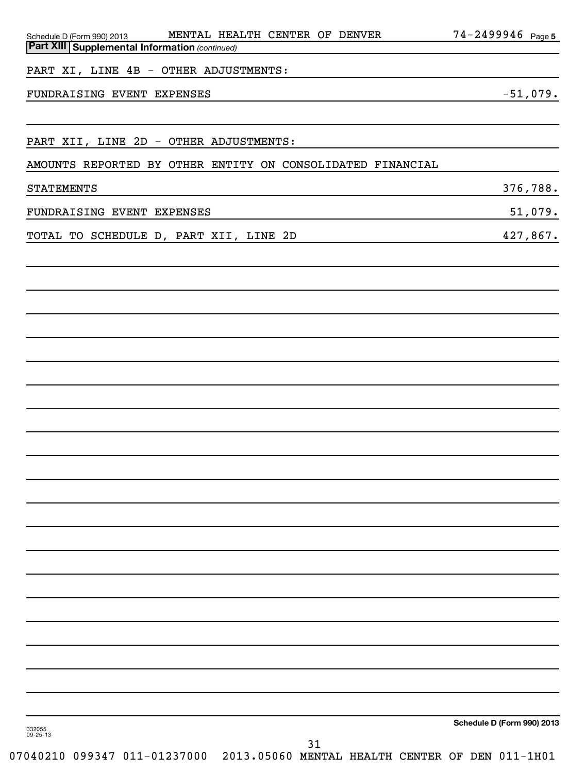| Schedule D (Form 990) 2013 MENTAL HEALTH CENTER OF DENVER                                                                                          | 74-2499946 Page 5                                                                                                    |
|----------------------------------------------------------------------------------------------------------------------------------------------------|----------------------------------------------------------------------------------------------------------------------|
| <b>Part XIII   Supplemental Information (continued)</b>                                                                                            |                                                                                                                      |
| PART XI, LINE 4B - OTHER ADJUSTMENTS:                                                                                                              | <u> 1989 - Johann Stein, marwolaethau a bhann an t-Amhair an t-Amhair an t-Amhair an t-Amhair an t-Amhair an t-A</u> |
| FUNDRAISING EVENT EXPENSES                                                                                                                         | $-51,079.$                                                                                                           |
|                                                                                                                                                    |                                                                                                                      |
| PART XII, LINE 2D - OTHER ADJUSTMENTS:                                                                                                             |                                                                                                                      |
| AMOUNTS REPORTED BY OTHER ENTITY ON CONSOLIDATED FINANCIAL                                                                                         |                                                                                                                      |
| <b>STATEMENTS</b><br><u> 1989 - Johann Stoff, amerikansk politiker (d. 1989)</u>                                                                   | 376,788.                                                                                                             |
| FUNDRAISING EVENT EXPENSES<br><u> 1989 - Johann Stein, marwolaethau a bhann an t-Amhair an t-Amhair an t-Amhair an t-Amhair an t-Amhair an t-A</u> | 51,079.                                                                                                              |
| TOTAL TO SCHEDULE D, PART XII, LINE 2D<br><u> 1989 - Johann Stein, mars an de Brasil</u>                                                           | 427,867.                                                                                                             |
|                                                                                                                                                    |                                                                                                                      |
|                                                                                                                                                    |                                                                                                                      |
|                                                                                                                                                    |                                                                                                                      |
|                                                                                                                                                    |                                                                                                                      |
|                                                                                                                                                    |                                                                                                                      |
|                                                                                                                                                    |                                                                                                                      |
|                                                                                                                                                    |                                                                                                                      |
|                                                                                                                                                    |                                                                                                                      |
|                                                                                                                                                    |                                                                                                                      |
|                                                                                                                                                    |                                                                                                                      |
|                                                                                                                                                    |                                                                                                                      |
|                                                                                                                                                    |                                                                                                                      |
|                                                                                                                                                    |                                                                                                                      |
|                                                                                                                                                    |                                                                                                                      |
|                                                                                                                                                    |                                                                                                                      |
|                                                                                                                                                    |                                                                                                                      |
|                                                                                                                                                    |                                                                                                                      |
|                                                                                                                                                    |                                                                                                                      |
|                                                                                                                                                    |                                                                                                                      |
|                                                                                                                                                    |                                                                                                                      |
|                                                                                                                                                    |                                                                                                                      |
|                                                                                                                                                    | Schedule D (Form 990) 2013                                                                                           |
| 332055<br>09-25-13<br>31                                                                                                                           |                                                                                                                      |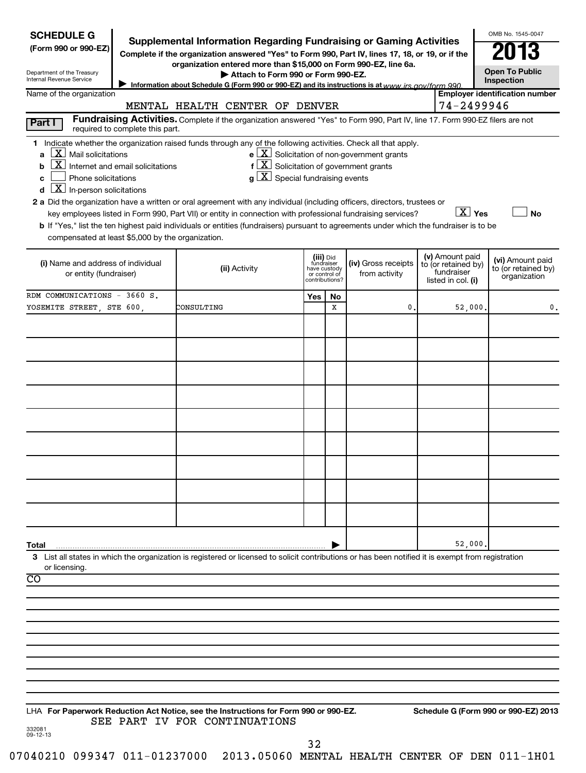| <b>SCHEDULE G</b>                                                                                       | <b>Supplemental Information Regarding Fundraising or Gaming Activities</b>                                                                                                                                                                            |                                                                            |                                                                                                                               |                                                                            | OMB No. 1545-0047                                       |
|---------------------------------------------------------------------------------------------------------|-------------------------------------------------------------------------------------------------------------------------------------------------------------------------------------------------------------------------------------------------------|----------------------------------------------------------------------------|-------------------------------------------------------------------------------------------------------------------------------|----------------------------------------------------------------------------|---------------------------------------------------------|
| (Form 990 or 990-EZ)                                                                                    | Complete if the organization answered "Yes" to Form 990, Part IV, lines 17, 18, or 19, or if the                                                                                                                                                      |                                                                            |                                                                                                                               |                                                                            |                                                         |
| Department of the Treasury<br>Internal Revenue Service                                                  | organization entered more than \$15,000 on Form 990-EZ, line 6a.<br>Attach to Form 990 or Form 990-EZ.<br>Information about Schedule G (Form 990 or 990-EZ) and its instructions is at www irs gov/form 990                                           |                                                                            |                                                                                                                               |                                                                            | <b>Open To Public</b><br>Inspection                     |
| Name of the organization                                                                                |                                                                                                                                                                                                                                                       |                                                                            |                                                                                                                               | 74-2499946                                                                 | <b>Employer identification number</b>                   |
| Part I                                                                                                  | MENTAL HEALTH CENTER OF DENVER<br>Fundraising Activities. Complete if the organization answered "Yes" to Form 990, Part IV, line 17. Form 990-EZ filers are not                                                                                       |                                                                            |                                                                                                                               |                                                                            |                                                         |
| required to complete this part.                                                                         | 1 Indicate whether the organization raised funds through any of the following activities. Check all that apply.                                                                                                                                       |                                                                            |                                                                                                                               |                                                                            |                                                         |
| $\lfloor x \rfloor$ Mail solicitations<br>a<br>$\boxed{\text{X}}$ Internet and email solicitations<br>b |                                                                                                                                                                                                                                                       |                                                                            | $e$ $\boxed{\text{X}}$ Solicitation of non-government grants<br>$f\left[\frac{X}{X}\right]$ Solicitation of government grants |                                                                            |                                                         |
| Phone solicitations<br>C                                                                                | $g\lfloor X \rfloor$ Special fundraising events                                                                                                                                                                                                       |                                                                            |                                                                                                                               |                                                                            |                                                         |
| $ \mathbf{X} $ In-person solicitations<br>d                                                             | 2 a Did the organization have a written or oral agreement with any individual (including officers, directors, trustees or                                                                                                                             |                                                                            |                                                                                                                               |                                                                            |                                                         |
|                                                                                                         | key employees listed in Form 990, Part VII) or entity in connection with professional fundraising services?<br>b If "Yes," list the ten highest paid individuals or entities (fundraisers) pursuant to agreements under which the fundraiser is to be |                                                                            |                                                                                                                               | $\boxed{\text{X}}$ Yes                                                     | No                                                      |
| compensated at least \$5,000 by the organization.                                                       |                                                                                                                                                                                                                                                       |                                                                            |                                                                                                                               |                                                                            |                                                         |
| (i) Name and address of individual<br>or entity (fundraiser)                                            | (ii) Activity                                                                                                                                                                                                                                         | (iii) Did<br>fundraiser<br>have custody<br>or control of<br>contributions? | (iv) Gross receipts<br>from activity                                                                                          | (v) Amount paid<br>to (or retained by)<br>fundraiser<br>listed in col. (i) | (vi) Amount paid<br>to (or retained by)<br>organization |
| RDM COMMUNICATIONS - 3660 S.                                                                            |                                                                                                                                                                                                                                                       | Yes<br>No                                                                  |                                                                                                                               |                                                                            |                                                         |
| YOSEMITE STREET, STE 600,                                                                               | CONSULTING                                                                                                                                                                                                                                            | x                                                                          | $\mathbf{0}$                                                                                                                  | 52,000.                                                                    |                                                         |
|                                                                                                         |                                                                                                                                                                                                                                                       |                                                                            |                                                                                                                               |                                                                            |                                                         |
|                                                                                                         |                                                                                                                                                                                                                                                       |                                                                            |                                                                                                                               |                                                                            |                                                         |
|                                                                                                         |                                                                                                                                                                                                                                                       |                                                                            |                                                                                                                               |                                                                            |                                                         |
|                                                                                                         |                                                                                                                                                                                                                                                       |                                                                            |                                                                                                                               |                                                                            |                                                         |
|                                                                                                         |                                                                                                                                                                                                                                                       |                                                                            |                                                                                                                               |                                                                            |                                                         |
|                                                                                                         |                                                                                                                                                                                                                                                       |                                                                            |                                                                                                                               |                                                                            |                                                         |
|                                                                                                         |                                                                                                                                                                                                                                                       |                                                                            |                                                                                                                               |                                                                            |                                                         |
|                                                                                                         |                                                                                                                                                                                                                                                       |                                                                            |                                                                                                                               |                                                                            |                                                         |
|                                                                                                         |                                                                                                                                                                                                                                                       |                                                                            |                                                                                                                               |                                                                            |                                                         |
|                                                                                                         |                                                                                                                                                                                                                                                       |                                                                            |                                                                                                                               |                                                                            |                                                         |
|                                                                                                         |                                                                                                                                                                                                                                                       |                                                                            |                                                                                                                               |                                                                            |                                                         |
|                                                                                                         |                                                                                                                                                                                                                                                       |                                                                            |                                                                                                                               |                                                                            |                                                         |
| Total                                                                                                   | 3 List all states in which the organization is registered or licensed to solicit contributions or has been notified it is exempt from registration                                                                                                    |                                                                            |                                                                                                                               | 52,000                                                                     |                                                         |
| or licensing.<br>$\overline{CO}$                                                                        |                                                                                                                                                                                                                                                       |                                                                            |                                                                                                                               |                                                                            |                                                         |
|                                                                                                         |                                                                                                                                                                                                                                                       |                                                                            |                                                                                                                               |                                                                            |                                                         |
|                                                                                                         |                                                                                                                                                                                                                                                       |                                                                            |                                                                                                                               |                                                                            |                                                         |
|                                                                                                         |                                                                                                                                                                                                                                                       |                                                                            |                                                                                                                               |                                                                            |                                                         |
|                                                                                                         |                                                                                                                                                                                                                                                       |                                                                            |                                                                                                                               |                                                                            |                                                         |
|                                                                                                         |                                                                                                                                                                                                                                                       |                                                                            |                                                                                                                               |                                                                            |                                                         |
|                                                                                                         |                                                                                                                                                                                                                                                       |                                                                            |                                                                                                                               |                                                                            |                                                         |
|                                                                                                         |                                                                                                                                                                                                                                                       |                                                                            |                                                                                                                               |                                                                            |                                                         |
|                                                                                                         | LHA For Paperwork Reduction Act Notice, see the Instructions for Form 990 or 990-EZ.<br>SEE PART IV FOR CONTINUATIONS                                                                                                                                 |                                                                            |                                                                                                                               |                                                                            | Schedule G (Form 990 or 990-EZ) 2013                    |
| 332081<br>09-12-13                                                                                      |                                                                                                                                                                                                                                                       | 32                                                                         |                                                                                                                               |                                                                            |                                                         |
|                                                                                                         | 07040210 099347 011-01237000 2013.05060 MENTAL HEALTH CENTER OF DEN 011-1H01                                                                                                                                                                          |                                                                            |                                                                                                                               |                                                                            |                                                         |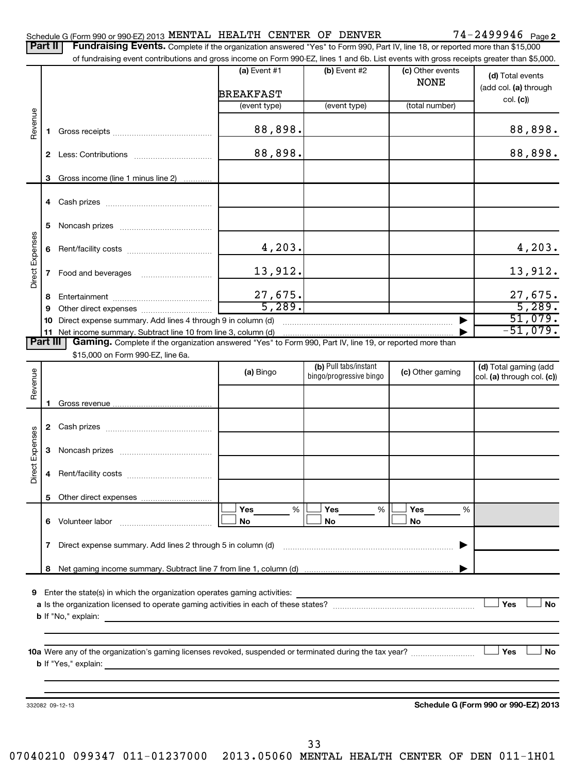|                 | Part II         | Fundraising Events. Complete if the organization answered "Yes" to Form 990, Part IV, line 18, or reported more than \$15,000<br>of fundraising event contributions and gross income on Form 990-EZ, lines 1 and 6b. List events with gross receipts greater than \$5,000. |                                    |                                                  |                                 |                                                     |
|-----------------|-----------------|----------------------------------------------------------------------------------------------------------------------------------------------------------------------------------------------------------------------------------------------------------------------------|------------------------------------|--------------------------------------------------|---------------------------------|-----------------------------------------------------|
|                 |                 |                                                                                                                                                                                                                                                                            | $(a)$ Event #1<br><b>BREAKFAST</b> | (b) Event #2                                     | (c) Other events<br><b>NONE</b> | (d) Total events<br>(add col. (a) through           |
|                 |                 |                                                                                                                                                                                                                                                                            | (event type)                       | (event type)                                     | (total number)                  | col. (c)                                            |
| Revenue         |                 |                                                                                                                                                                                                                                                                            |                                    |                                                  |                                 |                                                     |
|                 | 1.              |                                                                                                                                                                                                                                                                            | 88,898.                            |                                                  |                                 | 88,898.                                             |
|                 | 2               |                                                                                                                                                                                                                                                                            | 88,898.                            |                                                  |                                 | 88,898.                                             |
|                 | 3               | Gross income (line 1 minus line 2)                                                                                                                                                                                                                                         |                                    |                                                  |                                 |                                                     |
|                 |                 |                                                                                                                                                                                                                                                                            |                                    |                                                  |                                 |                                                     |
|                 | 5               |                                                                                                                                                                                                                                                                            |                                    |                                                  |                                 |                                                     |
|                 | 6               |                                                                                                                                                                                                                                                                            | 4,203.                             |                                                  |                                 | 4,203.                                              |
| Direct Expenses | 7               |                                                                                                                                                                                                                                                                            | 13,912.                            |                                                  |                                 | 13,912.                                             |
|                 | 8               |                                                                                                                                                                                                                                                                            | $\frac{27,675.}{5,289.}$           |                                                  |                                 | $\frac{27,675}{5,289}$                              |
|                 | 9               |                                                                                                                                                                                                                                                                            |                                    |                                                  |                                 | 51,079.                                             |
|                 | 10              | Direct expense summary. Add lines 4 through 9 in column (d)<br>11 Net income summary. Subtract line 10 from line 3, column (d)                                                                                                                                             |                                    |                                                  |                                 | $-51,079.$                                          |
|                 | <b>Part III</b> | Gaming. Complete if the organization answered "Yes" to Form 990, Part IV, line 19, or reported more than                                                                                                                                                                   |                                    |                                                  |                                 |                                                     |
|                 |                 | \$15,000 on Form 990-EZ, line 6a.                                                                                                                                                                                                                                          |                                    |                                                  |                                 |                                                     |
| Revenue         |                 |                                                                                                                                                                                                                                                                            | (a) Bingo                          | (b) Pull tabs/instant<br>bingo/progressive bingo | (c) Other gaming                | (d) Total gaming (add<br>col. (a) through col. (c)) |
|                 |                 |                                                                                                                                                                                                                                                                            |                                    |                                                  |                                 |                                                     |
|                 |                 |                                                                                                                                                                                                                                                                            |                                    |                                                  |                                 |                                                     |
| Direct Expenses | 3               |                                                                                                                                                                                                                                                                            |                                    |                                                  |                                 |                                                     |
|                 |                 |                                                                                                                                                                                                                                                                            |                                    |                                                  |                                 |                                                     |
|                 | 5.              |                                                                                                                                                                                                                                                                            |                                    |                                                  |                                 |                                                     |
|                 |                 | 6 Volunteer labor                                                                                                                                                                                                                                                          | Yes<br>%<br>No                     | Yes<br>%<br>No                                   | Yes<br>%<br>No                  |                                                     |
|                 | $\mathbf{7}$    |                                                                                                                                                                                                                                                                            |                                    |                                                  |                                 |                                                     |
|                 |                 |                                                                                                                                                                                                                                                                            |                                    |                                                  |                                 |                                                     |
|                 | 8               |                                                                                                                                                                                                                                                                            |                                    |                                                  |                                 |                                                     |
| 9               |                 | Enter the state(s) in which the organization operates gaming activities:                                                                                                                                                                                                   |                                    |                                                  |                                 | Yes<br><b>No</b>                                    |
|                 |                 |                                                                                                                                                                                                                                                                            |                                    |                                                  |                                 |                                                     |
|                 |                 |                                                                                                                                                                                                                                                                            |                                    |                                                  |                                 | Yes<br><b>No</b>                                    |
|                 |                 |                                                                                                                                                                                                                                                                            |                                    |                                                  |                                 |                                                     |
|                 |                 |                                                                                                                                                                                                                                                                            |                                    |                                                  |                                 |                                                     |
|                 |                 | 332082 09-12-13                                                                                                                                                                                                                                                            |                                    |                                                  |                                 | Schedule G (Form 990 or 990-EZ) 2013                |
|                 |                 |                                                                                                                                                                                                                                                                            |                                    |                                                  |                                 |                                                     |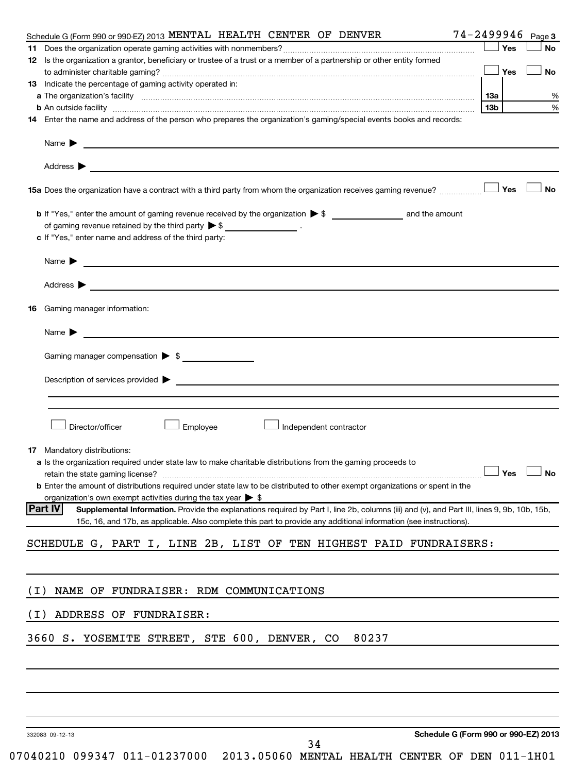| Schedule G (Form 990 or 990-EZ) 2013 MENTAL HEALTH CENTER OF DENVER                                                                                                                                                            |                                      |     |       | 74-2499946 Page 3 |
|--------------------------------------------------------------------------------------------------------------------------------------------------------------------------------------------------------------------------------|--------------------------------------|-----|-------|-------------------|
|                                                                                                                                                                                                                                |                                      |     | ⊥ Yes | No                |
| 12 Is the organization a grantor, beneficiary or trustee of a trust or a member of a partnership or other entity formed                                                                                                        |                                      |     |       |                   |
|                                                                                                                                                                                                                                |                                      |     |       | <b>No</b>         |
| 13 Indicate the percentage of gaming activity operated in:                                                                                                                                                                     |                                      |     |       |                   |
|                                                                                                                                                                                                                                |                                      | 13a |       | %                 |
| <b>b</b> An outside facility <i>www.communicality www.communicality.communicality www.communicality www.communicality.communicality www.communicality.com</i>                                                                  |                                      | 13b |       | %                 |
| 14 Enter the name and address of the person who prepares the organization's gaming/special events books and records:                                                                                                           |                                      |     |       |                   |
|                                                                                                                                                                                                                                |                                      |     |       |                   |
|                                                                                                                                                                                                                                |                                      |     |       |                   |
| 15a Does the organization have a contract with a third party from whom the organization receives gaming revenue?                                                                                                               |                                      |     | Yes   | No                |
|                                                                                                                                                                                                                                |                                      |     |       |                   |
| of gaming revenue retained by the third party $\triangleright$ \$ $\_\_\_\_\_\_\_\_\_\_\_\_\_$ .                                                                                                                               |                                      |     |       |                   |
| c If "Yes," enter name and address of the third party:                                                                                                                                                                         |                                      |     |       |                   |
|                                                                                                                                                                                                                                |                                      |     |       |                   |
|                                                                                                                                                                                                                                |                                      |     |       |                   |
|                                                                                                                                                                                                                                |                                      |     |       |                   |
| <b>16</b> Gaming manager information:                                                                                                                                                                                          |                                      |     |       |                   |
|                                                                                                                                                                                                                                |                                      |     |       |                   |
|                                                                                                                                                                                                                                |                                      |     |       |                   |
| Gaming manager compensation > \$                                                                                                                                                                                               |                                      |     |       |                   |
|                                                                                                                                                                                                                                |                                      |     |       |                   |
|                                                                                                                                                                                                                                |                                      |     |       |                   |
|                                                                                                                                                                                                                                |                                      |     |       |                   |
| Director/officer<br>Employee<br>Independent contractor                                                                                                                                                                         |                                      |     |       |                   |
|                                                                                                                                                                                                                                |                                      |     |       |                   |
| 17 Mandatory distributions:                                                                                                                                                                                                    |                                      |     |       |                   |
| a Is the organization required under state law to make charitable distributions from the gaming proceeds to                                                                                                                    |                                      |     |       |                   |
| retain the state gaming license? $\Box$ No                                                                                                                                                                                     |                                      |     |       |                   |
| <b>b</b> Enter the amount of distributions required under state law to be distributed to other exempt organizations or spent in the                                                                                            |                                      |     |       |                   |
| organization's own exempt activities during the tax year > \$<br><b>Part IV</b><br>Supplemental Information. Provide the explanations required by Part I, line 2b, columns (iii) and (v), and Part III, lines 9, 9b, 10b, 15b, |                                      |     |       |                   |
| 15c, 16, and 17b, as applicable. Also complete this part to provide any additional information (see instructions).                                                                                                             |                                      |     |       |                   |
| SCHEDULE G, PART I, LINE 2B, LIST OF TEN HIGHEST PAID FUNDRAISERS:                                                                                                                                                             |                                      |     |       |                   |
|                                                                                                                                                                                                                                |                                      |     |       |                   |
|                                                                                                                                                                                                                                |                                      |     |       |                   |
| NAME OF FUNDRAISER: RDM COMMUNICATIONS<br>( I )                                                                                                                                                                                |                                      |     |       |                   |
|                                                                                                                                                                                                                                |                                      |     |       |                   |
| ADDRESS OF FUNDRAISER:<br>(I)                                                                                                                                                                                                  |                                      |     |       |                   |
| 3660 S. YOSEMITE STREET, STE 600, DENVER, CO<br>80237                                                                                                                                                                          |                                      |     |       |                   |
|                                                                                                                                                                                                                                |                                      |     |       |                   |
|                                                                                                                                                                                                                                |                                      |     |       |                   |
|                                                                                                                                                                                                                                |                                      |     |       |                   |
|                                                                                                                                                                                                                                |                                      |     |       |                   |
|                                                                                                                                                                                                                                |                                      |     |       |                   |
| 332083 09-12-13<br>34                                                                                                                                                                                                          | Schedule G (Form 990 or 990-EZ) 2013 |     |       |                   |

<sup>07040210 099347 011-01237000 2013.05060</sup> MENTAL HEALTH CENTER OF DEN 011-1H01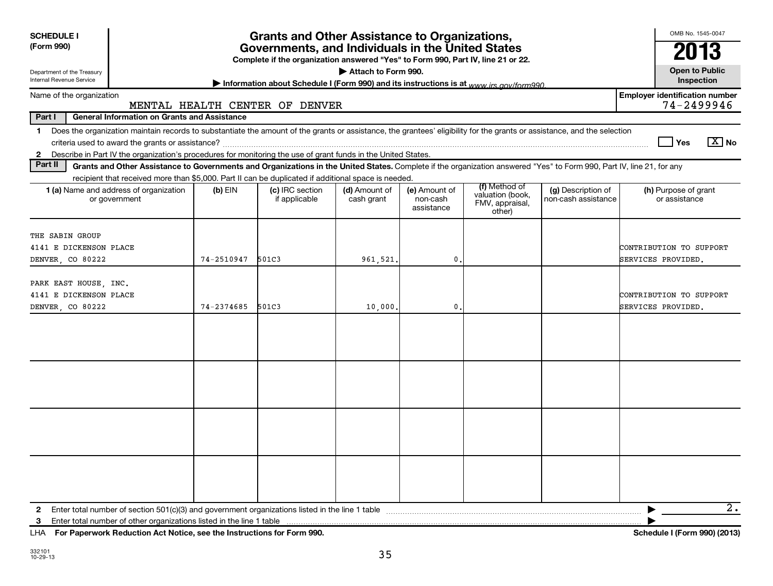| <b>SCHEDULE I</b><br>(Form 990)                                                                                                                                                                                                                                                                             |            | <b>Grants and Other Assistance to Organizations,</b><br>Governments, and Individuals in the United States<br>Complete if the organization answered "Yes" to Form 990, Part IV, line 21 or 22. | Attach to Form 990.         |                                         |                                                                |                                           | OMB No. 1545-0047<br>2013<br><b>Open to Public</b>  |
|-------------------------------------------------------------------------------------------------------------------------------------------------------------------------------------------------------------------------------------------------------------------------------------------------------------|------------|-----------------------------------------------------------------------------------------------------------------------------------------------------------------------------------------------|-----------------------------|-----------------------------------------|----------------------------------------------------------------|-------------------------------------------|-----------------------------------------------------|
| Department of the Treasury<br><b>Internal Revenue Service</b>                                                                                                                                                                                                                                               |            | Information about Schedule I (Form 990) and its instructions is at www.jrs.gov/form990                                                                                                        |                             |                                         |                                                                |                                           | Inspection                                          |
| Name of the organization                                                                                                                                                                                                                                                                                    |            | MENTAL HEALTH CENTER OF DENVER                                                                                                                                                                |                             |                                         |                                                                |                                           | <b>Employer identification number</b><br>74-2499946 |
| <b>General Information on Grants and Assistance</b><br>Part I                                                                                                                                                                                                                                               |            |                                                                                                                                                                                               |                             |                                         |                                                                |                                           |                                                     |
| 1 Does the organization maintain records to substantiate the amount of the grants or assistance, the grantees' eligibility for the grants or assistance, and the selection<br>Describe in Part IV the organization's procedures for monitoring the use of grant funds in the United States.<br>$\mathbf{2}$ |            |                                                                                                                                                                                               |                             |                                         |                                                                |                                           | $\boxed{X}$ No<br><b>Yes</b>                        |
| Part II<br>Grants and Other Assistance to Governments and Organizations in the United States. Complete if the organization answered "Yes" to Form 990, Part IV, line 21, for any                                                                                                                            |            |                                                                                                                                                                                               |                             |                                         |                                                                |                                           |                                                     |
| recipient that received more than \$5,000. Part II can be duplicated if additional space is needed.                                                                                                                                                                                                         |            |                                                                                                                                                                                               |                             |                                         |                                                                |                                           |                                                     |
| 1 (a) Name and address of organization<br>or government                                                                                                                                                                                                                                                     | $(b)$ EIN  | (c) IRC section<br>if applicable                                                                                                                                                              | (d) Amount of<br>cash grant | (e) Amount of<br>non-cash<br>assistance | (f) Method of<br>valuation (book,<br>FMV, appraisal,<br>other) | (g) Description of<br>non-cash assistance | (h) Purpose of grant<br>or assistance               |
| THE SABIN GROUP                                                                                                                                                                                                                                                                                             |            |                                                                                                                                                                                               |                             |                                         |                                                                |                                           |                                                     |
| 4141 E DICKENSON PLACE                                                                                                                                                                                                                                                                                      |            |                                                                                                                                                                                               |                             |                                         |                                                                |                                           | CONTRIBUTION TO SUPPORT                             |
| DENVER, CO 80222                                                                                                                                                                                                                                                                                            | 74-2510947 | 501C3                                                                                                                                                                                         | 961,521.                    | $\mathbf{0}$                            |                                                                |                                           | SERVICES PROVIDED.                                  |
| PARK EAST HOUSE, INC.<br>4141 E DICKENSON PLACE                                                                                                                                                                                                                                                             |            |                                                                                                                                                                                               |                             |                                         |                                                                |                                           | CONTRIBUTION TO SUPPORT                             |
| DENVER, CO 80222                                                                                                                                                                                                                                                                                            | 74-2374685 | 501C3                                                                                                                                                                                         | 10,000.                     | $\mathbf{0}$                            |                                                                |                                           | SERVICES PROVIDED.                                  |
|                                                                                                                                                                                                                                                                                                             |            |                                                                                                                                                                                               |                             |                                         |                                                                |                                           |                                                     |
|                                                                                                                                                                                                                                                                                                             |            |                                                                                                                                                                                               |                             |                                         |                                                                |                                           |                                                     |
|                                                                                                                                                                                                                                                                                                             |            |                                                                                                                                                                                               |                             |                                         |                                                                |                                           |                                                     |
|                                                                                                                                                                                                                                                                                                             |            |                                                                                                                                                                                               |                             |                                         |                                                                |                                           |                                                     |
| 3                                                                                                                                                                                                                                                                                                           |            |                                                                                                                                                                                               |                             |                                         |                                                                |                                           | $\overline{2}$ .<br>▶                               |

**For Paperwork Reduction Act Notice, see the Instructions for Form 990. Schedule I (Form 990) (2013)** LHA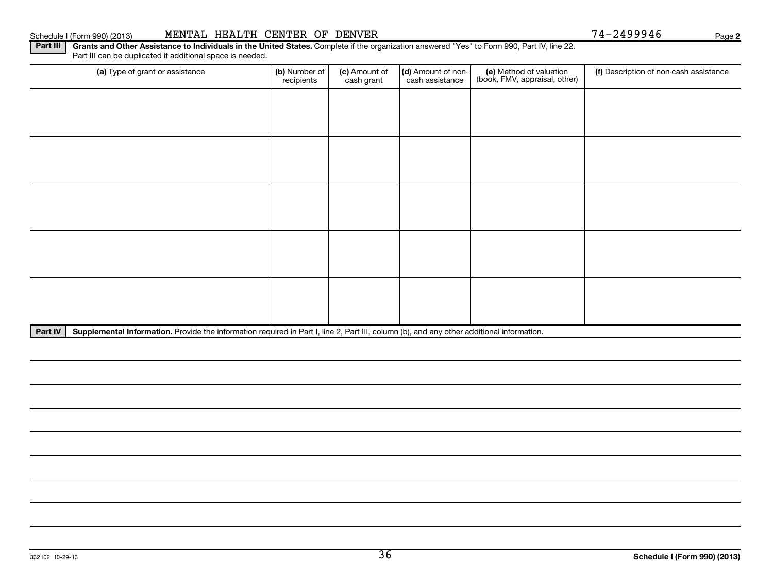#### Schedule I (Form 990) (2013) MENTAL HEALTH CENTER OF DENVER 74-2499946 Page

**2**

Part III | Grants and Other Assistance to Individuals in the United States. Complete if the organization answered "Yes" to Form 990, Part IV, line 22. Part III can be duplicated if additional space is needed.

| (a) Type of grant or assistance | (b) Number of<br>recipients | (c) Amount of<br>cash grant | (d) Amount of non-<br>cash assistance | (e) Method of valuation<br>(book, FMV, appraisal, other) | (f) Description of non-cash assistance |
|---------------------------------|-----------------------------|-----------------------------|---------------------------------------|----------------------------------------------------------|----------------------------------------|
|                                 |                             |                             |                                       |                                                          |                                        |
|                                 |                             |                             |                                       |                                                          |                                        |
|                                 |                             |                             |                                       |                                                          |                                        |
|                                 |                             |                             |                                       |                                                          |                                        |
|                                 |                             |                             |                                       |                                                          |                                        |
|                                 |                             |                             |                                       |                                                          |                                        |
|                                 |                             |                             |                                       |                                                          |                                        |
|                                 |                             |                             |                                       |                                                          |                                        |
|                                 |                             |                             |                                       |                                                          |                                        |
|                                 |                             |                             |                                       |                                                          |                                        |

Part IV | Supplemental Information. Provide the information required in Part I, line 2, Part III, column (b), and any other additional information.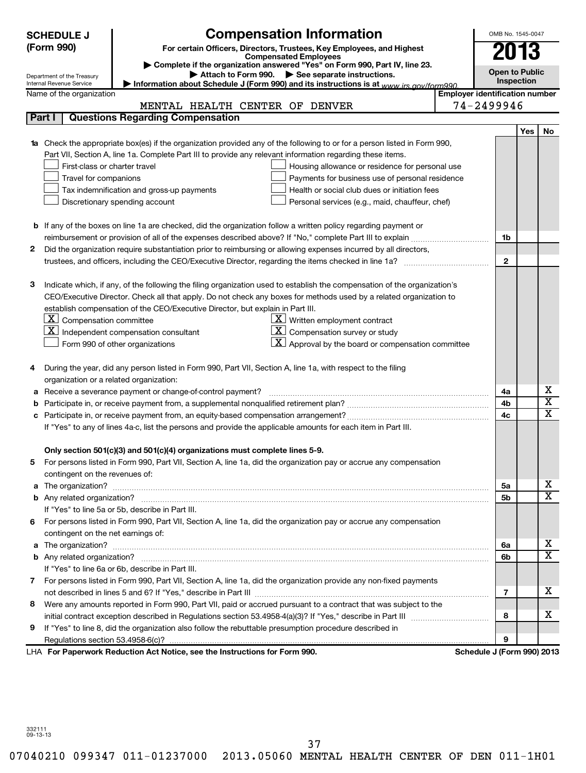|    | <b>SCHEDULE J</b>                                      | <b>Compensation Information</b>                                                                                                  |                                       | OMB No. 1545-0047     |            |                         |
|----|--------------------------------------------------------|----------------------------------------------------------------------------------------------------------------------------------|---------------------------------------|-----------------------|------------|-------------------------|
|    | (Form 990)                                             | For certain Officers, Directors, Trustees, Key Employees, and Highest                                                            |                                       | 2013                  |            |                         |
|    |                                                        | <b>Compensated Employees</b><br>Complete if the organization answered "Yes" on Form 990, Part IV, line 23.                       |                                       |                       |            |                         |
|    | Department of the Treasury                             | Attach to Form 990. See separate instructions.                                                                                   |                                       | <b>Open to Public</b> |            |                         |
|    | Internal Revenue Service                               | Information about Schedule J (Form 990) and its instructions is at www.jrs.gov/form990                                           |                                       | <b>Inspection</b>     |            |                         |
|    | Name of the organization                               |                                                                                                                                  | <b>Employer identification number</b> |                       |            |                         |
|    |                                                        | MENTAL HEALTH CENTER OF DENVER                                                                                                   | 74-2499946                            |                       |            |                         |
|    | Part I                                                 | <b>Questions Regarding Compensation</b>                                                                                          |                                       |                       |            |                         |
|    |                                                        |                                                                                                                                  |                                       |                       | <b>Yes</b> | No                      |
|    |                                                        | <b>1a</b> Check the appropriate box(es) if the organization provided any of the following to or for a person listed in Form 990, |                                       |                       |            |                         |
|    |                                                        | Part VII, Section A, line 1a. Complete Part III to provide any relevant information regarding these items.                       |                                       |                       |            |                         |
|    | First-class or charter travel                          | Housing allowance or residence for personal use                                                                                  |                                       |                       |            |                         |
|    | Travel for companions                                  | Payments for business use of personal residence                                                                                  |                                       |                       |            |                         |
|    |                                                        | Health or social club dues or initiation fees<br>Tax indemnification and gross-up payments                                       |                                       |                       |            |                         |
|    |                                                        | Personal services (e.g., maid, chauffeur, chef)<br>Discretionary spending account                                                |                                       |                       |            |                         |
|    |                                                        |                                                                                                                                  |                                       |                       |            |                         |
|    |                                                        | <b>b</b> If any of the boxes on line 1a are checked, did the organization follow a written policy regarding payment or           |                                       |                       |            |                         |
|    |                                                        |                                                                                                                                  |                                       | 1b                    |            |                         |
| 2  |                                                        | Did the organization require substantiation prior to reimbursing or allowing expenses incurred by all directors,                 |                                       |                       |            |                         |
|    |                                                        |                                                                                                                                  |                                       | $\mathbf{2}$          |            |                         |
|    |                                                        |                                                                                                                                  |                                       |                       |            |                         |
| з  |                                                        | Indicate which, if any, of the following the filing organization used to establish the compensation of the organization's        |                                       |                       |            |                         |
|    |                                                        | CEO/Executive Director. Check all that apply. Do not check any boxes for methods used by a related organization to               |                                       |                       |            |                         |
|    | $\lfloor \underline{x} \rfloor$ Compensation committee | establish compensation of the CEO/Executive Director, but explain in Part III.<br>$\boxed{\text{X}}$ Written employment contract |                                       |                       |            |                         |
|    |                                                        | $\mathbf{X}$ Compensation survey or study<br>$\lfloor x \rfloor$ Independent compensation consultant                             |                                       |                       |            |                         |
|    |                                                        | $\lfloor \underline{\textbf{X}} \rfloor$ Approval by the board or compensation committee<br>Form 990 of other organizations      |                                       |                       |            |                         |
|    |                                                        |                                                                                                                                  |                                       |                       |            |                         |
| 4  |                                                        | During the year, did any person listed in Form 990, Part VII, Section A, line 1a, with respect to the filing                     |                                       |                       |            |                         |
|    | organization or a related organization:                |                                                                                                                                  |                                       |                       |            |                         |
| а  |                                                        | Receive a severance payment or change-of-control payment?                                                                        |                                       | 4a                    |            | х                       |
| b  |                                                        |                                                                                                                                  |                                       | 4b                    |            | $\overline{\texttt{x}}$ |
| с  |                                                        |                                                                                                                                  |                                       | 4 <sub>c</sub>        |            | $\overline{\mathtt{x}}$ |
|    |                                                        | If "Yes" to any of lines 4a-c, list the persons and provide the applicable amounts for each item in Part III.                    |                                       |                       |            |                         |
|    |                                                        |                                                                                                                                  |                                       |                       |            |                         |
|    |                                                        | Only section 501(c)(3) and 501(c)(4) organizations must complete lines 5-9.                                                      |                                       |                       |            |                         |
|    |                                                        | For persons listed in Form 990, Part VII, Section A, line 1a, did the organization pay or accrue any compensation                |                                       |                       |            |                         |
|    | contingent on the revenues of:                         |                                                                                                                                  |                                       |                       |            |                         |
|    |                                                        |                                                                                                                                  |                                       | 5a                    |            | х                       |
|    |                                                        |                                                                                                                                  |                                       | 5 <sub>b</sub>        |            | $\overline{\mathbf{x}}$ |
|    |                                                        | If "Yes" to line 5a or 5b, describe in Part III.                                                                                 |                                       |                       |            |                         |
| 6. |                                                        | For persons listed in Form 990, Part VII, Section A, line 1a, did the organization pay or accrue any compensation                |                                       |                       |            |                         |
|    | contingent on the net earnings of:                     |                                                                                                                                  |                                       |                       |            |                         |
| a  |                                                        |                                                                                                                                  |                                       | 6а                    |            | х                       |
|    |                                                        |                                                                                                                                  |                                       | 6b                    |            | $\overline{\mathbf{x}}$ |
|    |                                                        | If "Yes" to line 6a or 6b, describe in Part III.                                                                                 |                                       |                       |            |                         |
| 7  |                                                        | For persons listed in Form 990, Part VII, Section A, line 1a, did the organization provide any non-fixed payments                |                                       |                       |            |                         |
|    |                                                        |                                                                                                                                  |                                       | 7                     |            | х                       |
| 8  |                                                        | Were any amounts reported in Form 990, Part VII, paid or accrued pursuant to a contract that was subject to the                  |                                       |                       |            |                         |
|    |                                                        |                                                                                                                                  |                                       | 8                     |            | х                       |
| 9  |                                                        | If "Yes" to line 8, did the organization also follow the rebuttable presumption procedure described in                           |                                       |                       |            |                         |
|    |                                                        |                                                                                                                                  |                                       | 9                     |            |                         |
|    |                                                        | LHA For Paperwork Reduction Act Notice, see the Instructions for Form 990.                                                       | Schedule J (Form 990) 2013            |                       |            |                         |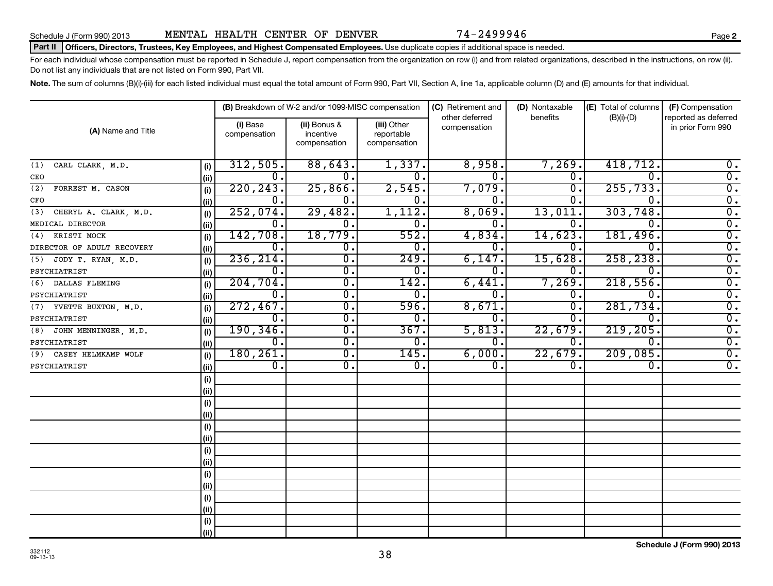#### Schedule J (Form 990) 2013 **MENTAL HEALTH CENTER OF DENVER** 74-2499946

#### Part II | Officers, Directors, Trustees, Key Employees, and Highest Compensated Employees. Use duplicate copies if additional space is needed.

For each individual whose compensation must be reported in Schedule J, report compensation from the organization on row (i) and from related organizations, described in the instructions, on row (ii). Do not list any individuals that are not listed on Form 990, Part VII.

Note. The sum of columns (B)(i)-(iii) for each listed individual must equal the total amount of Form 990, Part VII, Section A, line 1a, applicable column (D) and (E) amounts for that individual.

|                              |      |                          | (B) Breakdown of W-2 and/or 1099-MISC compensation |                                           | (C) Retirement and<br>other deferred | (D) Nontaxable<br>benefits  | (E) Total of columns<br>$(B)(i)-(D)$ | (F) Compensation<br>reported as deferred |
|------------------------------|------|--------------------------|----------------------------------------------------|-------------------------------------------|--------------------------------------|-----------------------------|--------------------------------------|------------------------------------------|
| (A) Name and Title           |      | (i) Base<br>compensation | (ii) Bonus &<br>incentive<br>compensation          | (iii) Other<br>reportable<br>compensation | compensation                         |                             |                                      | in prior Form 990                        |
| CARL CLARK, M.D.<br>(1)      | (i)  | 312,505.                 | 88,643.                                            | 1,337.                                    | 8,958.                               | 7,269.                      | 418,712.                             | $\overline{0}$ .                         |
| CEO                          | (ii) | $\overline{0}$ .         | $\overline{0}$ .                                   | $\overline{0}$ .                          | 0.                                   | $\overline{0}$ .            | $\overline{0}$ .                     | $\overline{0}$ .                         |
| FORREST M. CASON<br>(2)      | (i)  | 220, 243.                | 25,866.                                            | 2,545.                                    | 7,079.                               | $\overline{\mathfrak{o}}$ . | 255,733                              | $\overline{0}$ .                         |
| CFO                          | (ii) | 0.                       | $\overline{0}$ .                                   | $\overline{\mathfrak{o}}$ .               | 0.                                   | О.                          | $\overline{0}$                       | $\overline{0}$ .                         |
| CHERYL A. CLARK, M.D.<br>(3) | (i)  | 252,074.                 | 29,482.                                            | 1,112.                                    | 8,069.                               | 13,011                      | 303,748                              | $\overline{0}$ .                         |
| MEDICAL DIRECTOR             | (ii) | $\overline{0}$ .         | $\overline{0}$ .                                   | $\overline{\mathfrak{o}}$ .               | $\overline{0}$ .                     | 0.                          | $\overline{0}$ .                     | $\overline{0}$ .                         |
| (4) KRISTI MOCK              | (i)  | 142,708.                 | 18,779.                                            | 552.                                      | 4,834.                               | 14,623                      | 181,496.                             | $\overline{0}$ .                         |
| DIRECTOR OF ADULT RECOVERY   | (ii) | $\overline{0}$ .         | $\overline{\mathfrak{o}}$ .                        | $\overline{0}$ .                          | $\overline{0}$ .                     | 0.                          | $\overline{0}$ .                     | $\overline{0}$ .                         |
| (5) JODY T. RYAN, M.D.       | (i)  | 236, 214.                | σ.                                                 | 249.                                      | 6,147.                               | 15,628.                     | 258,238                              | $\overline{0}$ .                         |
| PSYCHIATRIST                 | (ii) | $\overline{0}$ .         | $\overline{\mathfrak{o}}$ .                        | $\overline{0}$ .                          | 0.                                   | 0.                          | $\overline{0}$ .                     | $\overline{0}$ .                         |
| (6) DALLAS FLEMING           | (i)  | 204, 704.                | $\overline{\mathfrak{o}}$ .                        | 142.                                      | 6,441                                | 7,269.                      | 218,556                              | $\overline{0}$ .                         |
| PSYCHIATRIST                 | (ii) | $\overline{0}$ .         | $\overline{\mathfrak{o}}$ .                        | $\overline{0}$ .                          | $\overline{0}$ .                     | 0.                          | $\overline{0}$ .                     | $\overline{0}$ .                         |
| (7) YVETTE BUXTON, M.D.      | (i)  | 272,467.                 | $\overline{\mathfrak{o}}$ .                        | 596.                                      | 8,671.                               | $\overline{0}$ .            | 281,734.                             | $\overline{0}$ .                         |
| PSYCHIATRIST                 | (ii) | $\overline{0}$ .         | $\overline{\mathfrak{o}}$ .                        | $\overline{0}$ .                          | $\overline{0}$ .                     | $\overline{0}$ .            | $\overline{0}$ .                     | $\overline{0}$ .                         |
| (8) JOHN MENNINGER, M.D.     | (i)  | 190, 346.                | $\overline{0}$ .                                   | 367.                                      | 5,813.                               | 22,679.                     | 219,205                              | $\overline{0}$ .                         |
| PSYCHIATRIST                 | (ii) | $\overline{0}$ .         | $\overline{0}$ .                                   | $\overline{0}$ .                          | 0.                                   | $\overline{0}$ .            | $\mathbf 0$ .                        | $\overline{0}$ .                         |
| (9) CASEY HELMKAMP WOLF      | (i)  | 180, 261.                | $\overline{0}$ .                                   | 145.                                      | 6,000.                               | 22,679.                     | 209,085.                             | $\overline{0}$ .                         |
| PSYCHIATRIST                 | (ii) | $\overline{0}$ .         | 0.                                                 | $\overline{0}$ .                          | $\overline{0}$ .                     | $\overline{0}$ .            | 0.                                   | $\overline{0}$ .                         |
|                              | (i)  |                          |                                                    |                                           |                                      |                             |                                      |                                          |
|                              | (ii) |                          |                                                    |                                           |                                      |                             |                                      |                                          |
|                              | (i)  |                          |                                                    |                                           |                                      |                             |                                      |                                          |
|                              | (ii) |                          |                                                    |                                           |                                      |                             |                                      |                                          |
|                              | (i)  |                          |                                                    |                                           |                                      |                             |                                      |                                          |
|                              | (ii) |                          |                                                    |                                           |                                      |                             |                                      |                                          |
|                              | (i)  |                          |                                                    |                                           |                                      |                             |                                      |                                          |
|                              | (ii) |                          |                                                    |                                           |                                      |                             |                                      |                                          |
|                              | (i)  |                          |                                                    |                                           |                                      |                             |                                      |                                          |
|                              | (ii) |                          |                                                    |                                           |                                      |                             |                                      |                                          |
|                              | (i)  |                          |                                                    |                                           |                                      |                             |                                      |                                          |
|                              | (ii) |                          |                                                    |                                           |                                      |                             |                                      |                                          |
|                              | (i)  |                          |                                                    |                                           |                                      |                             |                                      |                                          |
|                              | (ii) |                          |                                                    |                                           |                                      |                             |                                      |                                          |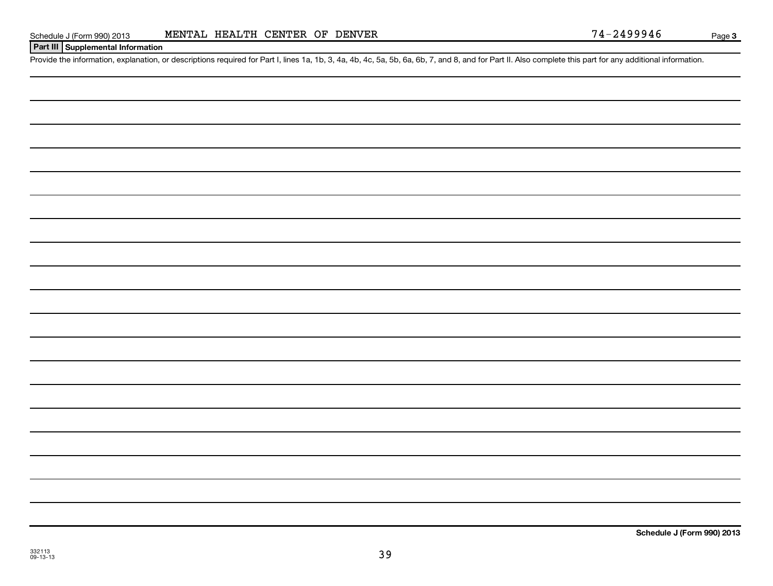| Schedule J (Form 990) 201 |  |  |
|---------------------------|--|--|
|                           |  |  |

#### **Part III Supplemental Information**

Provide the information, explanation, or descriptions required for Part I, lines 1a, 1b, 3, 4a, 4b, 4c, 5a, 5b, 6a, 6b, 7, and 8, and for Part II. Also complete this part for any additional information.

**Schedule J (Form 990) 2013**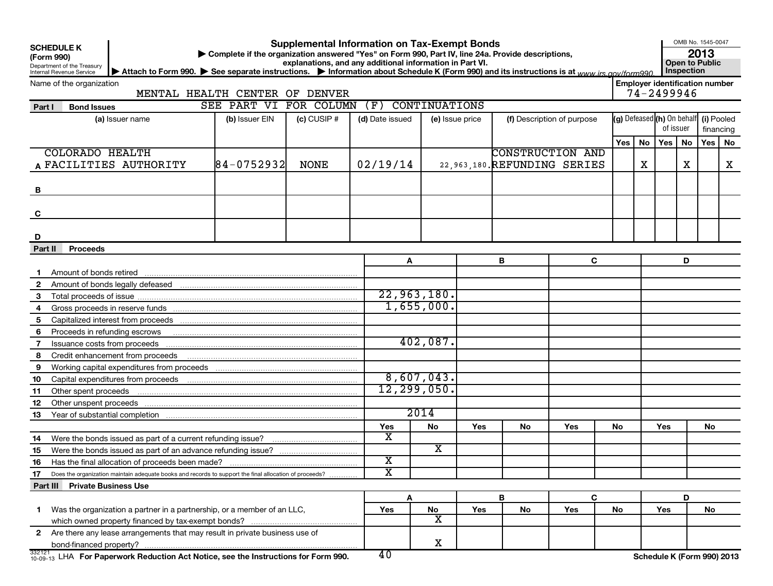| <b>SCHEDULE K</b> |  |  |
|-------------------|--|--|
|                   |  |  |

#### **Supplemental Information on Tax-Exempt Bonds**

**(Form 990) | Complete if the organization answered "Yes" on Form 990, Part IV, line 24a. Provide descriptions,**

**2013**

**Employer identification number**

OMB No. 1545-0047

Department of the Treasury Internal Revenue Service explanations, and any additional information in Part VI.<br>uctions. Information about Schedule K (Form 990) and its instructions is at www.irc.cov/form000. Inspection ▶ Attach to Form 990. ▶ See separate instructions. ▶ Information about Schedule K (Form 990) and its instructions is at <sub>www.irs.gov/form990. │ Inspection</sub>

Name of the organization

MENTAL HEALTH CENTER OF DENVER

SEE PART VI FOR COLUMN (F) CONTINUATIONS

| <b>Bond Issues</b><br>Part I                                                                                          | SEE PART VI FOR COLUMN (F) CONTINUATIONS |                 |                 |                         |     |    |                                |    |   |                            |    |            |           |
|-----------------------------------------------------------------------------------------------------------------------|------------------------------------------|-----------------|-----------------|-------------------------|-----|----|--------------------------------|----|---|----------------------------|----|------------|-----------|
| (a) Issuer name                                                                                                       | (b) Issuer EIN                           | $(c)$ CUSIP $#$ | (d) Date issued | (e) Issue price         |     |    | (f) Description of purpose     |    |   | (g) Defeased (h) On behalf |    | (i) Pooled |           |
|                                                                                                                       |                                          |                 |                 |                         |     |    |                                |    |   | of issuer                  |    |            | financing |
|                                                                                                                       |                                          |                 |                 |                         |     |    |                                |    |   | Yes   No   Yes             | No |            | Yes   No  |
| <b>COLORADO HEALTH</b>                                                                                                |                                          |                 |                 |                         |     |    | <b>CONSTRUCTION AND</b>        |    |   |                            |    |            |           |
| A FACILITIES AUTHORITY                                                                                                | $ 84 - 0752932 $                         | <b>NONE</b>     | 02/19/14        |                         |     |    | 22, 963, 180. REFUNDING SERIES |    | X |                            | X  |            | X         |
|                                                                                                                       |                                          |                 |                 |                         |     |    |                                |    |   |                            |    |            |           |
| B                                                                                                                     |                                          |                 |                 |                         |     |    |                                |    |   |                            |    |            |           |
|                                                                                                                       |                                          |                 |                 |                         |     |    |                                |    |   |                            |    |            |           |
| C                                                                                                                     |                                          |                 |                 |                         |     |    |                                |    |   |                            |    |            |           |
|                                                                                                                       |                                          |                 |                 |                         |     |    |                                |    |   |                            |    |            |           |
| D                                                                                                                     |                                          |                 |                 |                         |     |    |                                |    |   |                            |    |            |           |
| Part II<br><b>Proceeds</b>                                                                                            |                                          |                 |                 |                         |     |    |                                |    |   |                            |    |            |           |
|                                                                                                                       |                                          |                 | Α               |                         |     | В  | C                              |    |   |                            | D  |            |           |
| Amount of bonds retired                                                                                               |                                          |                 |                 |                         |     |    |                                |    |   |                            |    |            |           |
| $\mathbf{2}$                                                                                                          |                                          |                 |                 |                         |     |    |                                |    |   |                            |    |            |           |
| 3                                                                                                                     |                                          |                 |                 | 22,963,180.             |     |    |                                |    |   |                            |    |            |           |
| 4                                                                                                                     |                                          |                 |                 | 1,655,000.              |     |    |                                |    |   |                            |    |            |           |
| 5                                                                                                                     |                                          |                 |                 |                         |     |    |                                |    |   |                            |    |            |           |
| Proceeds in refunding escrows <b>contained and the contained and allegated and proceeds in refunding escrows</b><br>6 |                                          |                 |                 |                         |     |    |                                |    |   |                            |    |            |           |
| 7                                                                                                                     |                                          |                 |                 | 402,087.                |     |    |                                |    |   |                            |    |            |           |
| 8                                                                                                                     |                                          |                 |                 |                         |     |    |                                |    |   |                            |    |            |           |
| 9                                                                                                                     |                                          |                 |                 |                         |     |    |                                |    |   |                            |    |            |           |
| 10                                                                                                                    |                                          |                 |                 | 8,607,043.              |     |    |                                |    |   |                            |    |            |           |
| 11                                                                                                                    |                                          |                 |                 | 12, 299, 050.           |     |    |                                |    |   |                            |    |            |           |
| 12                                                                                                                    |                                          |                 |                 |                         |     |    |                                |    |   |                            |    |            |           |
| 13                                                                                                                    |                                          |                 |                 | 2014                    |     |    |                                |    |   |                            |    |            |           |
|                                                                                                                       |                                          |                 | Yes             | <b>No</b>               | Yes | No | Yes                            | No |   | Yes                        |    | No         |           |
| 14                                                                                                                    |                                          |                 | X               |                         |     |    |                                |    |   |                            |    |            |           |
| 15                                                                                                                    |                                          |                 |                 | $\overline{\mathbf{x}}$ |     |    |                                |    |   |                            |    |            |           |
| 16                                                                                                                    |                                          |                 | x               |                         |     |    |                                |    |   |                            |    |            |           |
| Does the organization maintain adequate books and records to support the final allocation of proceeds?<br>17          |                                          |                 | x               |                         |     |    |                                |    |   |                            |    |            |           |
| Part III Private Business Use                                                                                         |                                          |                 |                 |                         |     |    |                                |    |   |                            |    |            |           |
|                                                                                                                       |                                          |                 | A               |                         |     | B  | C                              |    |   |                            | D  |            |           |
| 1 Was the organization a partner in a partnership, or a member of an LLC,                                             |                                          |                 | Yes             | <b>No</b>               | Yes | No | Yes                            | No |   | Yes                        |    | No         |           |
|                                                                                                                       |                                          |                 |                 | $\overline{\textbf{x}}$ |     |    |                                |    |   |                            |    |            |           |
| 2 Are there any lease arrangements that may result in private business use of                                         |                                          |                 |                 |                         |     |    |                                |    |   |                            |    |            |           |
| bond-financed property?                                                                                               |                                          |                 |                 | $\mathbf X$             |     |    |                                |    |   |                            |    |            |           |
| 332121 LHA For Paperwork Reduction Act Notice, see the Instructions for Form 990.                                     |                                          |                 | 40              |                         |     |    |                                |    |   | Schedule K (Form 990) 2013 |    |            |           |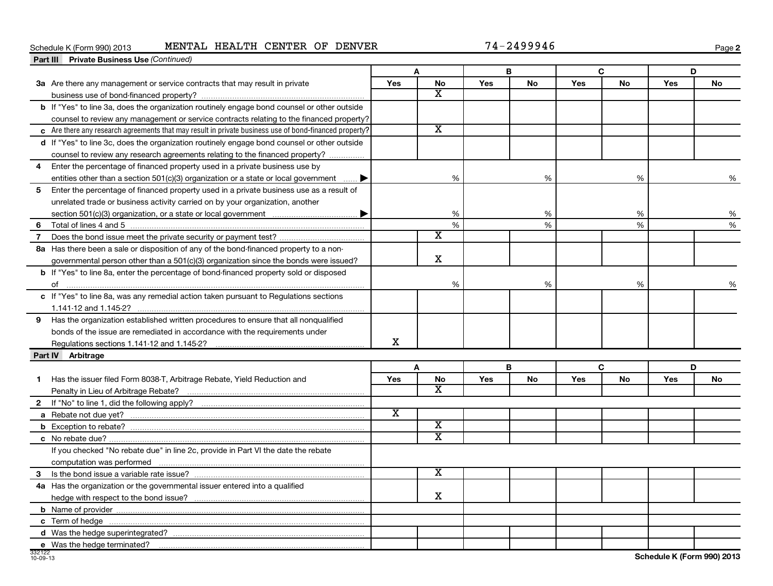#### Schedule K (Form 990) 2013 **MENTAL HEALTH CENTER OF DENVER** 74-2499946

**2**

|                | Part III Private Business Use (Continued)                                                                       |                         |                         |            |           |     |           |     |    |
|----------------|-----------------------------------------------------------------------------------------------------------------|-------------------------|-------------------------|------------|-----------|-----|-----------|-----|----|
|                |                                                                                                                 |                         | A                       |            | B         |     | C         | D   |    |
|                | 3a Are there any management or service contracts that may result in private                                     | Yes                     | <b>No</b>               | <b>Yes</b> | No        | Yes | No        | Yes | No |
|                |                                                                                                                 |                         | x                       |            |           |     |           |     |    |
|                | b If "Yes" to line 3a, does the organization routinely engage bond counsel or other outside                     |                         |                         |            |           |     |           |     |    |
|                | counsel to review any management or service contracts relating to the financed property?                        |                         |                         |            |           |     |           |     |    |
|                | $\epsilon$ Are there any research agreements that may result in private business use of bond-financed property? |                         | $\overline{\textbf{x}}$ |            |           |     |           |     |    |
|                | d If "Yes" to line 3c, does the organization routinely engage bond counsel or other outside                     |                         |                         |            |           |     |           |     |    |
|                | counsel to review any research agreements relating to the financed property?                                    |                         |                         |            |           |     |           |     |    |
| 4              | Enter the percentage of financed property used in a private business use by                                     |                         |                         |            |           |     |           |     |    |
|                | entities other than a section 501(c)(3) organization or a state or local government                             |                         | %                       |            | %         |     | %         |     | %  |
| 5              | Enter the percentage of financed property used in a private business use as a result of                         |                         |                         |            |           |     |           |     |    |
|                | unrelated trade or business activity carried on by your organization, another                                   |                         |                         |            |           |     |           |     |    |
|                |                                                                                                                 |                         | %                       |            | %         |     | %         |     | %  |
| 6              | Total of lines 4 and 5                                                                                          |                         | $\%$                    |            | %         |     | %         |     | %  |
| $\overline{7}$ |                                                                                                                 |                         | X                       |            |           |     |           |     |    |
|                | 8a Has there been a sale or disposition of any of the bond-financed property to a non-                          |                         |                         |            |           |     |           |     |    |
|                | governmental person other than a $501(c)(3)$ organization since the bonds were issued?                          |                         | X                       |            |           |     |           |     |    |
|                | <b>b</b> If "Yes" to line 8a, enter the percentage of bond-financed property sold or disposed                   |                         |                         |            |           |     |           |     |    |
|                | of                                                                                                              |                         | $\%$                    |            | %         |     | %         |     | %  |
|                | c If "Yes" to line 8a, was any remedial action taken pursuant to Regulations sections                           |                         |                         |            |           |     |           |     |    |
|                |                                                                                                                 |                         |                         |            |           |     |           |     |    |
| 9              | Has the organization established written procedures to ensure that all nonqualified                             |                         |                         |            |           |     |           |     |    |
|                | bonds of the issue are remediated in accordance with the requirements under                                     |                         |                         |            |           |     |           |     |    |
|                | Regulations sections 1.141-12 and 1.145-2?                                                                      | X                       |                         |            |           |     |           |     |    |
|                | Part IV Arbitrage                                                                                               |                         |                         |            |           |     |           |     |    |
|                |                                                                                                                 |                         | A                       |            | B         |     | C         | D   |    |
| 1.             | Has the issuer filed Form 8038-T, Arbitrage Rebate, Yield Reduction and                                         | <b>Yes</b>              | No                      | Yes        | <b>No</b> | Yes | <b>No</b> | Yes | No |
|                |                                                                                                                 |                         | $\overline{\textbf{x}}$ |            |           |     |           |     |    |
|                |                                                                                                                 |                         |                         |            |           |     |           |     |    |
|                |                                                                                                                 | $\overline{\mathbf{x}}$ |                         |            |           |     |           |     |    |
|                |                                                                                                                 |                         | $\overline{\textbf{x}}$ |            |           |     |           |     |    |
|                |                                                                                                                 |                         | $\overline{\text{x}}$   |            |           |     |           |     |    |
|                | If you checked "No rebate due" in line 2c, provide in Part VI the date the rebate                               |                         |                         |            |           |     |           |     |    |
|                |                                                                                                                 |                         |                         |            |           |     |           |     |    |
| 3              |                                                                                                                 |                         | Χ                       |            |           |     |           |     |    |
|                | 4a Has the organization or the governmental issuer entered into a qualified                                     |                         |                         |            |           |     |           |     |    |
|                |                                                                                                                 |                         | X                       |            |           |     |           |     |    |
|                |                                                                                                                 |                         |                         |            |           |     |           |     |    |
|                |                                                                                                                 |                         |                         |            |           |     |           |     |    |
|                |                                                                                                                 |                         |                         |            |           |     |           |     |    |
|                | e Was the hedge terminated?                                                                                     |                         |                         |            |           |     |           |     |    |

 $\overline{\phantom{a}}$ 

J.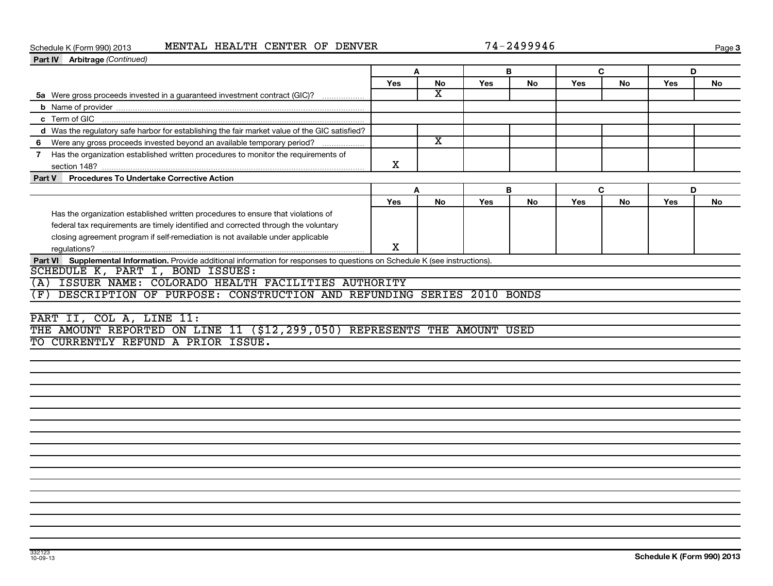#### Schedule K (Form 990) 2013 **MENTAL HEALTH CENTER OF DENVER** 74-2499946

| 74-249994 |  |  |  |  |
|-----------|--|--|--|--|
|-----------|--|--|--|--|

| Part IV Arbitrage (Continued)                                                                                                 |        |                         |            |           |            |           |            |           |  |
|-------------------------------------------------------------------------------------------------------------------------------|--------|-------------------------|------------|-----------|------------|-----------|------------|-----------|--|
|                                                                                                                               | B<br>A |                         |            |           | C          |           | D          |           |  |
|                                                                                                                               | Yes    | No                      | <b>Yes</b> | No        | <b>Yes</b> | No        | Yes        | No        |  |
| 5a Were gross proceeds invested in a guaranteed investment contract (GIC)?                                                    |        | $\overline{\text{x}}$   |            |           |            |           |            |           |  |
|                                                                                                                               |        |                         |            |           |            |           |            |           |  |
|                                                                                                                               |        |                         |            |           |            |           |            |           |  |
| d Was the regulatory safe harbor for establishing the fair market value of the GIC satisfied?                                 |        |                         |            |           |            |           |            |           |  |
| 6 Were any gross proceeds invested beyond an available temporary period?                                                      |        | $\overline{\mathbf{x}}$ |            |           |            |           |            |           |  |
| 7 Has the organization established written procedures to monitor the requirements of                                          |        |                         |            |           |            |           |            |           |  |
|                                                                                                                               | X      |                         |            |           |            |           |            |           |  |
| <b>Procedures To Undertake Corrective Action</b><br>Part V                                                                    |        |                         |            |           |            |           |            |           |  |
|                                                                                                                               | A      |                         |            | B         | C          |           | D          |           |  |
|                                                                                                                               | Yes    | <b>No</b>               | Yes        | <b>No</b> | Yes        | <b>No</b> | <b>Yes</b> | <b>No</b> |  |
| Has the organization established written procedures to ensure that violations of                                              |        |                         |            |           |            |           |            |           |  |
| federal tax requirements are timely identified and corrected through the voluntary                                            |        |                         |            |           |            |           |            |           |  |
| closing agreement program if self-remediation is not available under applicable                                               |        |                         |            |           |            |           |            |           |  |
|                                                                                                                               | X      |                         |            |           |            |           |            |           |  |
| Part VI Supplemental Information. Provide additional information for responses to questions on Schedule K (see instructions). |        |                         |            |           |            |           |            |           |  |
| SCHEDULE K, PART I, BOND ISSUES:                                                                                              |        |                         |            |           |            |           |            |           |  |
| (A) ISSUER NAME: COLORADO HEALTH FACILITIES AUTHORITY                                                                         |        |                         |            |           |            |           |            |           |  |
| DESCRIPTION OF PURPOSE: CONSTRUCTION AND REFUNDING SERIES 2010 BONDS<br>(F)                                                   |        |                         |            |           |            |           |            |           |  |
|                                                                                                                               |        |                         |            |           |            |           |            |           |  |
| PART II, COL A, LINE 11:                                                                                                      |        |                         |            |           |            |           |            |           |  |
| THE AMOUNT REPORTED ON LINE 11 (\$12,299,050) REPRESENTS THE AMOUNT USED                                                      |        |                         |            |           |            |           |            |           |  |
| TO CURRENTLY REFUND A PRIOR ISSUE.                                                                                            |        |                         |            |           |            |           |            |           |  |
|                                                                                                                               |        |                         |            |           |            |           |            |           |  |
|                                                                                                                               |        |                         |            |           |            |           |            |           |  |
|                                                                                                                               |        |                         |            |           |            |           |            |           |  |
|                                                                                                                               |        |                         |            |           |            |           |            |           |  |
|                                                                                                                               |        |                         |            |           |            |           |            |           |  |
|                                                                                                                               |        |                         |            |           |            |           |            |           |  |
|                                                                                                                               |        |                         |            |           |            |           |            |           |  |
|                                                                                                                               |        |                         |            |           |            |           |            |           |  |
|                                                                                                                               |        |                         |            |           |            |           |            |           |  |
|                                                                                                                               |        |                         |            |           |            |           |            |           |  |
|                                                                                                                               |        |                         |            |           |            |           |            |           |  |
|                                                                                                                               |        |                         |            |           |            |           |            |           |  |
|                                                                                                                               |        |                         |            |           |            |           |            |           |  |
|                                                                                                                               |        |                         |            |           |            |           |            |           |  |
|                                                                                                                               |        |                         |            |           |            |           |            |           |  |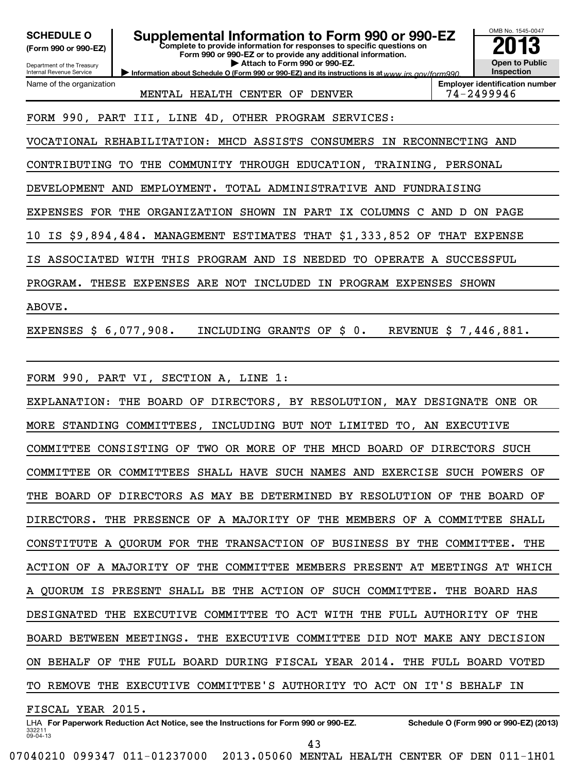| <b>SCHEDULE O</b><br>Supplemental Information to Form 990 or 990-EZ<br>Complete to provide information for responses to specific questions on<br>(Form 990 or 990-EZ)<br>Form 990 or 990-EZ or to provide any additional information.<br>Attach to Form 990 or 990-EZ.<br>Department of the Treasury<br>Internal Revenue Service<br>Information about Schedule O (Form 990 or 990-EZ) and its instructions is at www.jrs.cov/form990 | OMB No. 1545-0047<br><b>Open to Public</b><br>Inspection |  |  |  |  |  |  |  |  |  |  |  |
|--------------------------------------------------------------------------------------------------------------------------------------------------------------------------------------------------------------------------------------------------------------------------------------------------------------------------------------------------------------------------------------------------------------------------------------|----------------------------------------------------------|--|--|--|--|--|--|--|--|--|--|--|
| Name of the organization<br>MENTAL HEALTH CENTER OF DENVER                                                                                                                                                                                                                                                                                                                                                                           | <b>Employer identification number</b><br>74-2499946      |  |  |  |  |  |  |  |  |  |  |  |
| FORM 990, PART III, LINE 4D, OTHER PROGRAM SERVICES:                                                                                                                                                                                                                                                                                                                                                                                 |                                                          |  |  |  |  |  |  |  |  |  |  |  |
| VOCATIONAL REHABILITATION: MHCD ASSISTS CONSUMERS<br>IN RECONNECTING AND                                                                                                                                                                                                                                                                                                                                                             |                                                          |  |  |  |  |  |  |  |  |  |  |  |
| CONTRIBUTING TO THE COMMUNITY THROUGH EDUCATION, TRAINING, PERSONAL                                                                                                                                                                                                                                                                                                                                                                  |                                                          |  |  |  |  |  |  |  |  |  |  |  |
| DEVELOPMENT AND EMPLOYMENT. TOTAL ADMINISTRATIVE AND FUNDRAISING                                                                                                                                                                                                                                                                                                                                                                     |                                                          |  |  |  |  |  |  |  |  |  |  |  |
| EXPENSES FOR THE ORGANIZATION SHOWN IN PART IX COLUMNS C AND D ON PAGE                                                                                                                                                                                                                                                                                                                                                               |                                                          |  |  |  |  |  |  |  |  |  |  |  |
| IS \$9,894,484. MANAGEMENT ESTIMATES THAT \$1,333,852 OF THAT EXPENSE<br>10                                                                                                                                                                                                                                                                                                                                                          |                                                          |  |  |  |  |  |  |  |  |  |  |  |
| ASSOCIATED WITH THIS PROGRAM AND IS NEEDED TO OPERATE A SUCCESSFUL<br>ΙS                                                                                                                                                                                                                                                                                                                                                             |                                                          |  |  |  |  |  |  |  |  |  |  |  |
| PROGRAM. THESE EXPENSES ARE NOT INCLUDED IN PROGRAM EXPENSES SHOWN                                                                                                                                                                                                                                                                                                                                                                   |                                                          |  |  |  |  |  |  |  |  |  |  |  |
| ABOVE.                                                                                                                                                                                                                                                                                                                                                                                                                               |                                                          |  |  |  |  |  |  |  |  |  |  |  |
| EXPENSES \$ 6,077,908.<br>INCLUDING GRANTS OF \$ 0.                                                                                                                                                                                                                                                                                                                                                                                  | REVENUE \$ 7,446,881.                                    |  |  |  |  |  |  |  |  |  |  |  |
|                                                                                                                                                                                                                                                                                                                                                                                                                                      |                                                          |  |  |  |  |  |  |  |  |  |  |  |
| FORM 990, PART VI, SECTION A, LINE 1:                                                                                                                                                                                                                                                                                                                                                                                                |                                                          |  |  |  |  |  |  |  |  |  |  |  |
| EXPLANATION: THE BOARD OF DIRECTORS, BY RESOLUTION, MAY DESIGNATE ONE OR                                                                                                                                                                                                                                                                                                                                                             |                                                          |  |  |  |  |  |  |  |  |  |  |  |
| MORE STANDING COMMITTEES,<br>INCLUDING BUT NOT LIMITED TO, AN EXECUTIVE                                                                                                                                                                                                                                                                                                                                                              |                                                          |  |  |  |  |  |  |  |  |  |  |  |
| COMMITTEE CONSISTING OF<br>TWO OR MORE<br>OF THE MHCD BOARD OF DIRECTORS SUCH                                                                                                                                                                                                                                                                                                                                                        |                                                          |  |  |  |  |  |  |  |  |  |  |  |
| COMMITTEE OR COMMITTEES SHALL HAVE SUCH NAMES AND EXERCISE SUCH POWERS OF                                                                                                                                                                                                                                                                                                                                                            |                                                          |  |  |  |  |  |  |  |  |  |  |  |
| THE BOARD OF DIRECTORS AS MAY BE DETERMINED BY RESOLUTION OF THE BOARD OF                                                                                                                                                                                                                                                                                                                                                            |                                                          |  |  |  |  |  |  |  |  |  |  |  |
| DIRECTORS.<br>THE PRESENCE OF A MAJORITY OF THE MEMBERS OF A COMMITTEE SHALL                                                                                                                                                                                                                                                                                                                                                         |                                                          |  |  |  |  |  |  |  |  |  |  |  |
| CONSTITUTE A QUORUM FOR THE TRANSACTION OF BUSINESS BY THE COMMITTEE.                                                                                                                                                                                                                                                                                                                                                                | THE                                                      |  |  |  |  |  |  |  |  |  |  |  |
| ACTION OF A MAJORITY OF THE COMMITTEE MEMBERS PRESENT AT MEETINGS AT WHICH                                                                                                                                                                                                                                                                                                                                                           |                                                          |  |  |  |  |  |  |  |  |  |  |  |
| A QUORUM IS PRESENT SHALL BE THE ACTION OF SUCH COMMITTEE. THE BOARD HAS                                                                                                                                                                                                                                                                                                                                                             |                                                          |  |  |  |  |  |  |  |  |  |  |  |
| DESIGNATED THE EXECUTIVE COMMITTEE TO ACT WITH THE FULL AUTHORITY OF                                                                                                                                                                                                                                                                                                                                                                 | THE                                                      |  |  |  |  |  |  |  |  |  |  |  |
| BOARD BETWEEN MEETINGS. THE EXECUTIVE COMMITTEE DID NOT MAKE ANY DECISION                                                                                                                                                                                                                                                                                                                                                            |                                                          |  |  |  |  |  |  |  |  |  |  |  |
| ON BEHALF OF THE FULL BOARD DURING FISCAL YEAR 2014. THE FULL BOARD VOTED                                                                                                                                                                                                                                                                                                                                                            |                                                          |  |  |  |  |  |  |  |  |  |  |  |
| TO REMOVE THE EXECUTIVE COMMITTEE'S AUTHORITY TO ACT ON IT'S BEHALF                                                                                                                                                                                                                                                                                                                                                                  | IN                                                       |  |  |  |  |  |  |  |  |  |  |  |
| FISCAL YEAR 2015.                                                                                                                                                                                                                                                                                                                                                                                                                    |                                                          |  |  |  |  |  |  |  |  |  |  |  |

332211 09-04-13 LHA For Paperwork Reduction Act Notice, see the Instructions for Form 990 or 990-EZ. Schedule O (Form 990 or 990-EZ) (2013) 43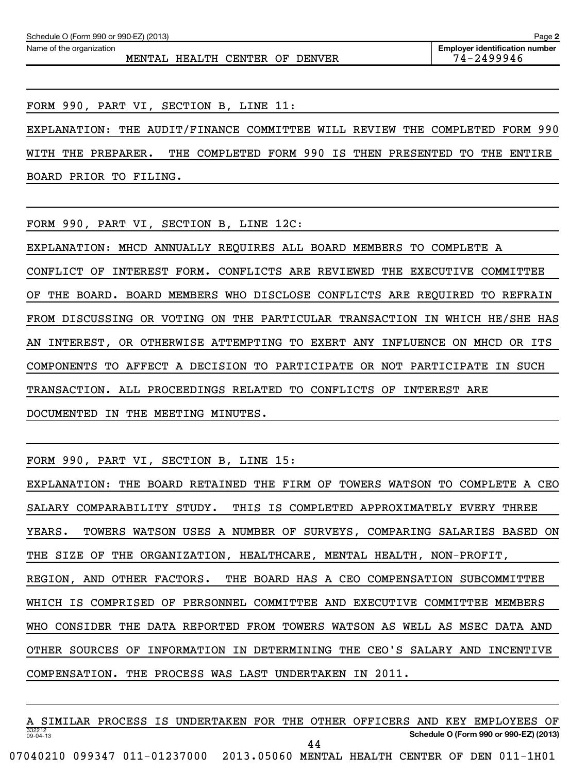Name of the organization

MENTAL HEALTH CENTER OF DENVER THE 74-2499946

FORM 990, PART VI, SECTION B, LINE 11:

EXPLANATION: THE AUDIT/FINANCE COMMITTEE WILL REVIEW THE COMPLETED FORM 990 WITH THE PREPARER. THE COMPLETED FORM 990 IS THEN PRESENTED TO THE ENTIRE BOARD PRIOR TO FILING.

FORM 990, PART VI, SECTION B, LINE 12C:

EXPLANATION: MHCD ANNUALLY REQUIRES ALL BOARD MEMBERS TO COMPLETE A CONFLICT OF INTEREST FORM. CONFLICTS ARE REVIEWED THE EXECUTIVE COMMITTEE OF THE BOARD. BOARD MEMBERS WHO DISCLOSE CONFLICTS ARE REQUIRED TO REFRAIN FROM DISCUSSING OR VOTING ON THE PARTICULAR TRANSACTION IN WHICH HE/SHE HAS AN INTEREST, OR OTHERWISE ATTEMPTING TO EXERT ANY INFLUENCE ON MHCD OR ITS COMPONENTS TO AFFECT A DECISION TO PARTICIPATE OR NOT PARTICIPATE IN SUCH TRANSACTION. ALL PROCEEDINGS RELATED TO CONFLICTS OF INTEREST ARE DOCUMENTED IN THE MEETING MINUTES.

FORM 990, PART VI, SECTION B, LINE 15:

EXPLANATION: THE BOARD RETAINED THE FIRM OF TOWERS WATSON TO COMPLETE A CEO SALARY COMPARABILITY STUDY. THIS IS COMPLETED APPROXIMATELY EVERY THREE YEARS. TOWERS WATSON USES A NUMBER OF SURVEYS, COMPARING SALARIES BASED ON THE SIZE OF THE ORGANIZATION, HEALTHCARE, MENTAL HEALTH, NON-PROFIT, REGION, AND OTHER FACTORS. THE BOARD HAS A CEO COMPENSATION SUBCOMMITTEE WHICH IS COMPRISED OF PERSONNEL COMMITTEE AND EXECUTIVE COMMITTEE MEMBERS WHO CONSIDER THE DATA REPORTED FROM TOWERS WATSON AS WELL AS MSEC DATA AND OTHER SOURCES OF INFORMATION IN DETERMINING THE CEO'S SALARY AND INCENTIVE COMPENSATION. THE PROCESS WAS LAST UNDERTAKEN IN 2011.

332212 09-04-13 **Schedule O (Form 990 or 990-EZ) (2013)** A SIMILAR PROCESS IS UNDERTAKEN FOR THE OTHER OFFICERS AND KEY EMPLOYEES OF 44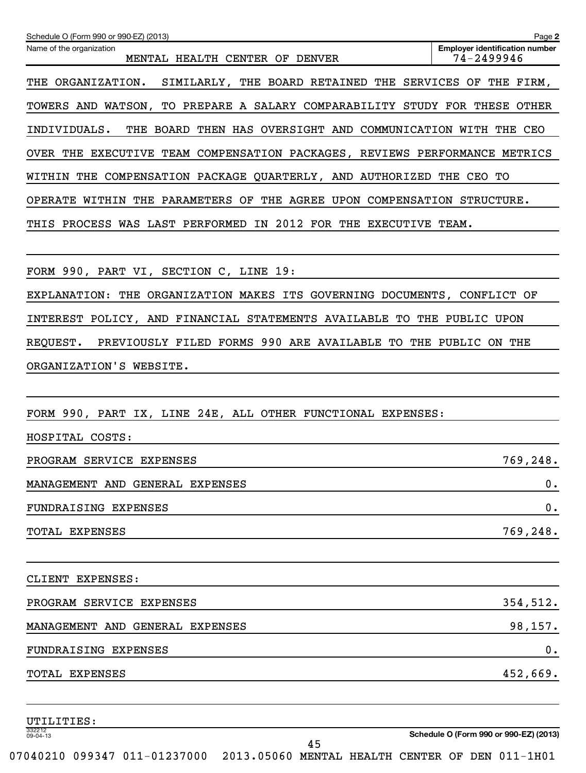| Schedule O (Form 990 or 990-EZ) (2013)                                      | Page 2                                              |
|-----------------------------------------------------------------------------|-----------------------------------------------------|
| Name of the organization<br>MENTAL HEALTH CENTER OF DENVER                  | <b>Employer identification number</b><br>74-2499946 |
| THE ORGANIZATION. SIMILARLY, THE BOARD RETAINED THE SERVICES OF THE FIRM,   |                                                     |
| TOWERS AND WATSON, TO PREPARE A SALARY COMPARABILITY STUDY FOR THESE OTHER  |                                                     |
| INDIVIDUALS.<br>THE BOARD THEN HAS OVERSIGHT AND COMMUNICATION WITH THE CEO |                                                     |
| OVER THE EXECUTIVE TEAM COMPENSATION PACKAGES, REVIEWS PERFORMANCE METRICS  |                                                     |
| WITHIN THE COMPENSATION PACKAGE QUARTERLY, AND AUTHORIZED THE CEO TO        |                                                     |
| OPERATE WITHIN THE PARAMETERS OF THE AGREE UPON COMPENSATION STRUCTURE.     |                                                     |
| THIS PROCESS WAS LAST PERFORMED IN 2012 FOR THE EXECUTIVE TEAM.             |                                                     |
|                                                                             |                                                     |
| FORM 990, PART VI, SECTION C, LINE 19:                                      |                                                     |
| EXPLANATION: THE ORGANIZATION MAKES ITS GOVERNING DOCUMENTS, CONFLICT OF    |                                                     |
| INTEREST POLICY, AND FINANCIAL STATEMENTS AVAILABLE TO THE PUBLIC UPON      |                                                     |
| PREVIOUSLY FILED FORMS 990 ARE AVAILABLE TO THE PUBLIC ON THE<br>REQUEST.   |                                                     |
| ORGANIZATION'S WEBSITE.                                                     |                                                     |
|                                                                             |                                                     |
| FORM 990, PART IX, LINE 24E, ALL OTHER FUNCTIONAL EXPENSES:                 |                                                     |
| HOSPITAL COSTS:                                                             |                                                     |
| PROGRAM SERVICE EXPENSES                                                    | 769,248.                                            |
| MANAGEMENT AND GENERAL EXPENSES                                             | 0.                                                  |
| FUNDRAISING EXPENSES                                                        | 0.                                                  |
| <b>TOTAL EXPENSES</b>                                                       | 769,248.                                            |
|                                                                             |                                                     |
| CLIENT EXPENSES:                                                            |                                                     |
| PROGRAM SERVICE EXPENSES                                                    | 354,512.                                            |
| MANAGEMENT AND GENERAL EXPENSES                                             | 98,157.                                             |
| FUNDRAISING EXPENSES                                                        | 0.                                                  |
| <b>TOTAL EXPENSES</b>                                                       | 452,669.                                            |
|                                                                             |                                                     |
| UTILITIES:                                                                  |                                                     |
| 332212<br>09-04-13                                                          | Schedule O (Form 990 or 990-EZ) (2013)              |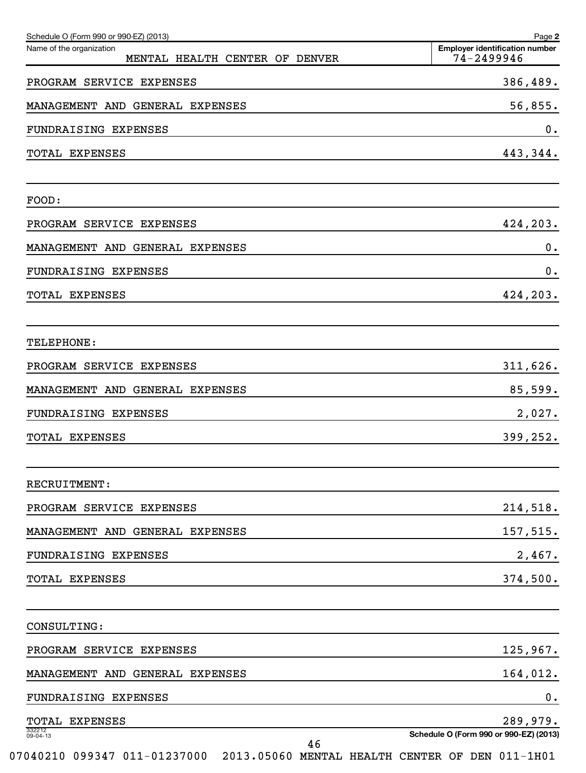| Schedule O (Form 990 or 990-EZ) (2013)                     | Page 2                                              |
|------------------------------------------------------------|-----------------------------------------------------|
| Name of the organization<br>MENTAL HEALTH CENTER OF DENVER | <b>Emplover identification number</b><br>74-2499946 |
| PROGRAM SERVICE EXPENSES                                   | 386,489.                                            |
| MANAGEMENT AND GENERAL EXPENSES                            | 56,855.                                             |
| FUNDRAISING EXPENSES                                       | 0.                                                  |
| TOTAL EXPENSES                                             | 443,344.                                            |
| FOOD:                                                      |                                                     |
| PROGRAM SERVICE EXPENSES                                   | 424,203.                                            |
| MANAGEMENT AND GENERAL EXPENSES                            | 0.                                                  |
| FUNDRAISING EXPENSES                                       | 0.                                                  |
| TOTAL EXPENSES                                             | 424,203.                                            |
| TELEPHONE:                                                 |                                                     |
| PROGRAM SERVICE EXPENSES                                   | 311,626.                                            |
| MANAGEMENT AND GENERAL EXPENSES                            | 85,599.                                             |
| <b>FUNDRAISING EXPENSES</b>                                | 2,027.                                              |
| TOTAL EXPENSES                                             | 399,252.                                            |
| RECRUITMENT:                                               |                                                     |
| PROGRAM SERVICE EXPENSES                                   | 214,518.                                            |
| MANAGEMENT AND GENERAL EXPENSES                            | 157,515.                                            |
| FUNDRAISING EXPENSES                                       | 2,467.                                              |
| TOTAL EXPENSES                                             | 374,500.                                            |
| CONSULTING:                                                |                                                     |
| PROGRAM SERVICE EXPENSES                                   | 125,967.                                            |
| MANAGEMENT AND GENERAL EXPENSES                            | 164,012.                                            |
| FUNDRAISING EXPENSES                                       | 0.                                                  |
| TOTAL EXPENSES                                             | 289,979.                                            |
| 332212<br>09-04-13<br>46                                   | Schedule O (Form 990 or 990-EZ) (2013)              |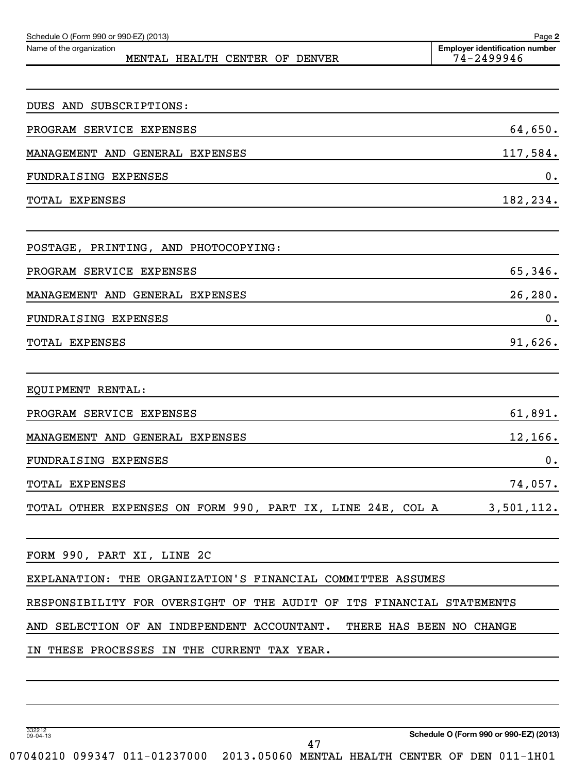| Schedule O (Form 990 or 990-EZ) (2013)<br>Name of the organization      | Page 2<br><b>Employer identification number</b> |
|-------------------------------------------------------------------------|-------------------------------------------------|
| MENTAL HEALTH CENTER OF DENVER                                          | 74-2499946                                      |
|                                                                         |                                                 |
| DUES AND SUBSCRIPTIONS:                                                 |                                                 |
| PROGRAM SERVICE EXPENSES                                                | 64,650.                                         |
| MANAGEMENT AND GENERAL EXPENSES                                         | 117,584.                                        |
| FUNDRAISING EXPENSES                                                    | 0.                                              |
| TOTAL EXPENSES                                                          | 182,234.                                        |
| POSTAGE, PRINTING, AND PHOTOCOPYING:                                    |                                                 |
| PROGRAM SERVICE EXPENSES                                                | 65,346.                                         |
| MANAGEMENT AND GENERAL EXPENSES                                         | 26,280.                                         |
| FUNDRAISING EXPENSES                                                    | 0.                                              |
| TOTAL EXPENSES                                                          | 91,626.                                         |
|                                                                         |                                                 |
| EQUIPMENT RENTAL:                                                       |                                                 |
| PROGRAM SERVICE EXPENSES                                                | 61,891.                                         |
| MANAGEMENT AND GENERAL EXPENSES                                         | 12,166.                                         |
| FUNDRAISING EXPENSES                                                    | 0.                                              |
| <b>TOTAL EXPENSES</b>                                                   | 74,057.                                         |
| TOTAL OTHER EXPENSES ON FORM 990, PART IX, LINE 24E, COL A              | 3,501,112.                                      |
| FORM 990, PART XI, LINE 2C                                              |                                                 |
| EXPLANATION: THE ORGANIZATION'S FINANCIAL COMMITTEE ASSUMES             |                                                 |
| RESPONSIBILITY FOR OVERSIGHT OF THE AUDIT OF ITS FINANCIAL STATEMENTS   |                                                 |
| AND SELECTION OF AN INDEPENDENT ACCOUNTANT.<br>THERE HAS BEEN NO CHANGE |                                                 |
| IN THESE PROCESSES IN THE CURRENT TAX YEAR.                             |                                                 |
|                                                                         |                                                 |
|                                                                         |                                                 |

332212 09-04-13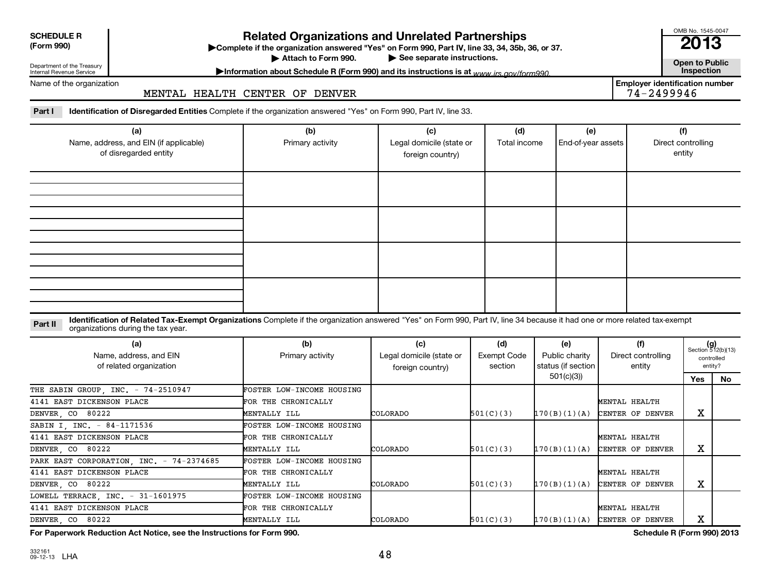| <b>SCHEDULE R</b> |  |
|-------------------|--|
| $(T - 0.00)$      |  |

**(Form 990) Complete if the organizations and Unrelated Partnerships**<br> **Related Organization answered "Yes" on Form 990, Part IV, line 33, 34, 35b, 36, or 37.**<br>
■ 2013

Attach to Form 990.

▶ See separate instructions.<br> **Attachment instructions is at unusuite and form 990. Contract instructions is at unusuite and form 990. Contract inspection** 

OMB No. 1545-0047

Department of the Treasury Internal Revenue Service

Name of the organization

# Information about Schedule R (Form 990) and its instructions is at <sub>www</sub> irs.gov/form990.

**Employer identification number**<br>74-2499946

Part I lentification of Disregarded Entities Complete if the organization answered "Yes" on Form 990, Part IV, line 33. MENTAL HEALTH CENTER OF DENVER

| (a)<br>Name, address, and EIN (if applicable)<br>of disregarded entity | (b)<br>Primary activity | (c)<br>Legal domicile (state or<br>foreign country) | (d)<br>Total income | (e)<br>End-of-year assets | (f)<br>Direct controlling<br>entity |
|------------------------------------------------------------------------|-------------------------|-----------------------------------------------------|---------------------|---------------------------|-------------------------------------|
|                                                                        |                         |                                                     |                     |                           |                                     |
|                                                                        |                         |                                                     |                     |                           |                                     |
|                                                                        |                         |                                                     |                     |                           |                                     |
|                                                                        |                         |                                                     |                     |                           |                                     |

Part II ldentification of Related Tax-Exempt Organizations Complete if the organization answered "Yes" on Form 990, Part IV, line 34 because it had one or more related tax-exempt<br>Complete it is a seminary way were presente organizations during the tax year.

| (a)<br>Name, address, and EIN<br>of related organization | (b)<br>Primary activity          | (c)<br>Legal domicile (state or<br>foreign country) | (d)<br>Exempt Code<br>section | (e)<br>Public charity<br>status (if section | (f)<br>Direct controlling<br>entity | $(g)$<br>Section 512(b)(13)<br>controlled<br>entity? |    |
|----------------------------------------------------------|----------------------------------|-----------------------------------------------------|-------------------------------|---------------------------------------------|-------------------------------------|------------------------------------------------------|----|
|                                                          |                                  |                                                     |                               | 501(c)(3))                                  |                                     | Yes                                                  | No |
| THE SABIN GROUP, INC. - 74-2510947                       | <b>FOSTER LOW-INCOME HOUSING</b> |                                                     |                               |                                             |                                     |                                                      |    |
| 4141 EAST DICKENSON PLACE                                | FOR THE CHRONICALLY              |                                                     |                               |                                             | MENTAL HEALTH                       |                                                      |    |
| DENVER, CO 80222                                         | MENTALLY ILL                     | <b>COLORADO</b>                                     | 501(C)(3)                     | 170(B)(1)(A)                                | CENTER OF DENVER                    | х                                                    |    |
| SABIN I, INC. - 84-1171536                               | <b>FOSTER LOW-INCOME HOUSING</b> |                                                     |                               |                                             |                                     |                                                      |    |
| 4141 EAST DICKENSON PLACE                                | FOR THE CHRONICALLY              |                                                     |                               |                                             | MENTAL HEALTH                       |                                                      |    |
| DENVER, CO 80222                                         | MENTALLY ILL                     | <b>COLORADO</b>                                     | 501(C)(3)                     | 170(B)(1)(A)                                | CENTER OF DENVER                    | х                                                    |    |
| PARK EAST CORPORATION, INC. - 74-2374685                 | FOSTER LOW-INCOME HOUSING        |                                                     |                               |                                             |                                     |                                                      |    |
| 4141 EAST DICKENSON PLACE                                | FOR THE CHRONICALLY              |                                                     |                               |                                             | MENTAL HEALTH                       |                                                      |    |
| DENVER, CO 80222                                         | MENTALLY ILL                     | <b>COLORADO</b>                                     | 501(C)(3)                     | 170(B)(1)(A)                                | CENTER OF DENVER                    | х                                                    |    |
| LOWELL TERRACE, INC. - 31-1601975                        | FOSTER LOW-INCOME HOUSING        |                                                     |                               |                                             |                                     |                                                      |    |
| 4141 EAST DICKENSON PLACE                                | FOR THE CHRONICALLY              |                                                     |                               |                                             | MENTAL HEALTH                       |                                                      |    |
| DENVER, CO 80222                                         | MENTALLY ILL                     | <b>COLORADO</b>                                     | 501(C)(3)                     |                                             | $170(B)(1)(A)$ CENTER OF DENVER     | х                                                    |    |

**For Paperwork Reduction Act Notice, see the Instructions for Form 990. Schedule R (Form 990) 2013**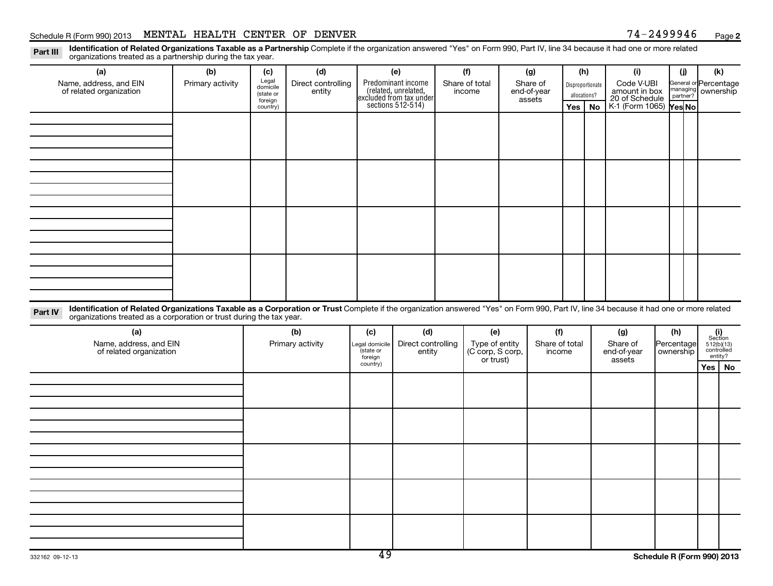#### Schedule R (Form 990) 2013 MENTAL HEALTH CENTER OF DENVER  $74-2499946$  Page

**2**

Part III Identification of Related Organizations Taxable as a Partnership Complete if the organization answered "Yes" on Form 990, Part IV, line 34 because it had one or more related<br>Read to consistions tracted as a partne organizations treated as a partnership during the tax year.

| (a)                                                                                                                                                                                                                                                                       | (b)              | (c)                     | (d)                |                                        | (e)                                                                   |  | (f)            |  | (g)                                                       | (h) |                  | (i)                         | (j)                        | (k)                                                                                                           |              |                                          |
|---------------------------------------------------------------------------------------------------------------------------------------------------------------------------------------------------------------------------------------------------------------------------|------------------|-------------------------|--------------------|----------------------------------------|-----------------------------------------------------------------------|--|----------------|--|-----------------------------------------------------------|-----|------------------|-----------------------------|----------------------------|---------------------------------------------------------------------------------------------------------------|--------------|------------------------------------------|
| Name, address, and EIN<br>of related organization                                                                                                                                                                                                                         | Primary activity | Legal<br>domicile       | Direct controlling |                                        | Predominant income<br>(related, unrelated,<br>excluded from tax under |  | Share of total |  | Share of<br>end-of-year<br>assets                         |     | Disproportionate | Code V-UBI<br>amount in box | General or Percentage      |                                                                                                               |              |                                          |
|                                                                                                                                                                                                                                                                           |                  | (state or<br>foreign    | entity             |                                        |                                                                       |  | income         |  |                                                           |     |                  |                             |                            |                                                                                                               | allocations? | 20 of Schedule<br>K-1 (Form 1065) Yes No |
|                                                                                                                                                                                                                                                                           |                  | country)                |                    |                                        | sections $512-514$ )                                                  |  |                |  |                                                           | Yes | No               |                             |                            |                                                                                                               |              |                                          |
|                                                                                                                                                                                                                                                                           |                  |                         |                    |                                        |                                                                       |  |                |  |                                                           |     |                  |                             |                            |                                                                                                               |              |                                          |
|                                                                                                                                                                                                                                                                           |                  |                         |                    |                                        |                                                                       |  |                |  |                                                           |     |                  |                             |                            |                                                                                                               |              |                                          |
|                                                                                                                                                                                                                                                                           |                  |                         |                    |                                        |                                                                       |  |                |  |                                                           |     |                  |                             |                            |                                                                                                               |              |                                          |
|                                                                                                                                                                                                                                                                           |                  |                         |                    |                                        |                                                                       |  |                |  |                                                           |     |                  |                             |                            |                                                                                                               |              |                                          |
|                                                                                                                                                                                                                                                                           |                  |                         |                    |                                        |                                                                       |  |                |  |                                                           |     |                  |                             |                            |                                                                                                               |              |                                          |
|                                                                                                                                                                                                                                                                           |                  |                         |                    |                                        |                                                                       |  |                |  |                                                           |     |                  |                             |                            |                                                                                                               |              |                                          |
|                                                                                                                                                                                                                                                                           |                  |                         |                    |                                        |                                                                       |  |                |  |                                                           |     |                  |                             |                            |                                                                                                               |              |                                          |
|                                                                                                                                                                                                                                                                           |                  |                         |                    |                                        |                                                                       |  |                |  |                                                           |     |                  |                             |                            |                                                                                                               |              |                                          |
|                                                                                                                                                                                                                                                                           |                  |                         |                    |                                        |                                                                       |  |                |  |                                                           |     |                  |                             |                            |                                                                                                               |              |                                          |
|                                                                                                                                                                                                                                                                           |                  |                         |                    |                                        |                                                                       |  |                |  |                                                           |     |                  |                             |                            |                                                                                                               |              |                                          |
|                                                                                                                                                                                                                                                                           |                  |                         |                    |                                        |                                                                       |  |                |  |                                                           |     |                  |                             |                            |                                                                                                               |              |                                          |
|                                                                                                                                                                                                                                                                           |                  |                         |                    |                                        |                                                                       |  |                |  |                                                           |     |                  |                             |                            |                                                                                                               |              |                                          |
|                                                                                                                                                                                                                                                                           |                  |                         |                    |                                        |                                                                       |  |                |  |                                                           |     |                  |                             |                            |                                                                                                               |              |                                          |
|                                                                                                                                                                                                                                                                           |                  |                         |                    |                                        |                                                                       |  |                |  |                                                           |     |                  |                             |                            |                                                                                                               |              |                                          |
| Identification of Related Organizations Taxable as a Corporation or Trust Complete if the organization answered "Yes" on Form 990, Part IV, line 34 because it had one or more related<br>Part IV<br>organizations treated as a corporation or trust during the tax year. |                  |                         |                    |                                        |                                                                       |  |                |  |                                                           |     |                  |                             |                            |                                                                                                               |              |                                          |
| (a)                                                                                                                                                                                                                                                                       |                  |                         |                    |                                        | (d)                                                                   |  | (e)            |  | (f)                                                       |     |                  | (g)                         | (h)                        |                                                                                                               |              |                                          |
| Name, address, and EIN                                                                                                                                                                                                                                                    |                  | (b)<br>Primary activity |                    | (c)                                    | Direct controlling                                                    |  |                |  | Share of total                                            |     |                  | Share of                    | Percentage                 | $\begin{array}{c} \textbf{(i)}\\ \text{Section}\\ 512 \text{(b)} \text{(13)}\\ \text{controlled} \end{array}$ |              |                                          |
| of related organization                                                                                                                                                                                                                                                   |                  |                         |                    | Legal domicile<br>(state or<br>foreign | entity                                                                |  |                |  | Type of entity<br>(C corp, S corp,<br>income<br>or trust) |     |                  | end-of-year<br>assets       | ownership                  | entity?                                                                                                       |              |                                          |
|                                                                                                                                                                                                                                                                           |                  |                         |                    | country)                               |                                                                       |  |                |  |                                                           |     |                  |                             |                            | Yes   No                                                                                                      |              |                                          |
|                                                                                                                                                                                                                                                                           |                  |                         |                    |                                        |                                                                       |  |                |  |                                                           |     |                  |                             |                            |                                                                                                               |              |                                          |
|                                                                                                                                                                                                                                                                           |                  |                         |                    |                                        |                                                                       |  |                |  |                                                           |     |                  |                             |                            |                                                                                                               |              |                                          |
|                                                                                                                                                                                                                                                                           |                  |                         |                    |                                        |                                                                       |  |                |  |                                                           |     |                  |                             |                            |                                                                                                               |              |                                          |
|                                                                                                                                                                                                                                                                           |                  |                         |                    |                                        |                                                                       |  |                |  |                                                           |     |                  |                             |                            |                                                                                                               |              |                                          |
|                                                                                                                                                                                                                                                                           |                  |                         |                    |                                        |                                                                       |  |                |  |                                                           |     |                  |                             |                            |                                                                                                               |              |                                          |
|                                                                                                                                                                                                                                                                           |                  |                         |                    |                                        |                                                                       |  |                |  |                                                           |     |                  |                             |                            |                                                                                                               |              |                                          |
|                                                                                                                                                                                                                                                                           |                  |                         |                    |                                        |                                                                       |  |                |  |                                                           |     |                  |                             |                            |                                                                                                               |              |                                          |
|                                                                                                                                                                                                                                                                           |                  |                         |                    |                                        |                                                                       |  |                |  |                                                           |     |                  |                             |                            |                                                                                                               |              |                                          |
|                                                                                                                                                                                                                                                                           |                  |                         |                    |                                        |                                                                       |  |                |  |                                                           |     |                  |                             |                            |                                                                                                               |              |                                          |
|                                                                                                                                                                                                                                                                           |                  |                         |                    |                                        |                                                                       |  |                |  |                                                           |     |                  |                             |                            |                                                                                                               |              |                                          |
|                                                                                                                                                                                                                                                                           |                  |                         |                    |                                        |                                                                       |  |                |  |                                                           |     |                  |                             |                            |                                                                                                               |              |                                          |
|                                                                                                                                                                                                                                                                           |                  |                         |                    |                                        |                                                                       |  |                |  |                                                           |     |                  |                             |                            |                                                                                                               |              |                                          |
|                                                                                                                                                                                                                                                                           |                  |                         |                    |                                        |                                                                       |  |                |  |                                                           |     |                  |                             |                            |                                                                                                               |              |                                          |
| 332162 09-12-13                                                                                                                                                                                                                                                           |                  |                         |                    | 49                                     |                                                                       |  |                |  |                                                           |     |                  |                             | Schedule R (Form 990) 2013 |                                                                                                               |              |                                          |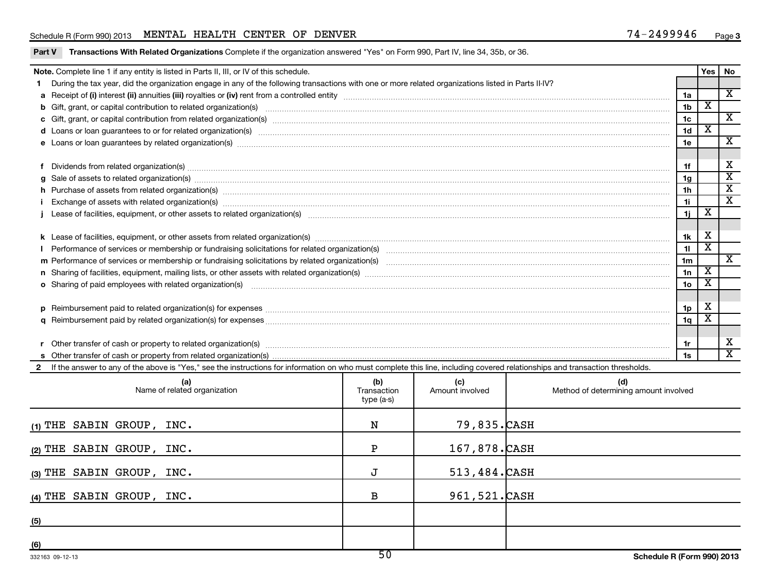#### Schedule R (Form 990) 2013 MENTAL HEALTH CENTER OF DENVER  $74-2499946$  Page

|  |  |  | <b>Part V</b> Transactions With Related Organizations Complete if the organization answered "Yes" on Form 990, Part IV, line 34, 35b, or 36. |
|--|--|--|----------------------------------------------------------------------------------------------------------------------------------------------|
|--|--|--|----------------------------------------------------------------------------------------------------------------------------------------------|

|     | Note. Complete line 1 if any entity is listed in Parts II, III, or IV of this schedule.                                                                                                                                        |                                  |                        |                                              |                 | Yes                     | No                      |  |  |  |  |
|-----|--------------------------------------------------------------------------------------------------------------------------------------------------------------------------------------------------------------------------------|----------------------------------|------------------------|----------------------------------------------|-----------------|-------------------------|-------------------------|--|--|--|--|
|     | During the tax year, did the organization engage in any of the following transactions with one or more related organizations listed in Parts II-IV?                                                                            |                                  |                        |                                              |                 |                         | $\overline{\mathbf{X}}$ |  |  |  |  |
|     |                                                                                                                                                                                                                                |                                  |                        |                                              |                 |                         |                         |  |  |  |  |
|     |                                                                                                                                                                                                                                |                                  |                        |                                              |                 |                         |                         |  |  |  |  |
|     | c Gift, grant, or capital contribution from related organization(s) manufaction(s) and contained a substitution of the set of the set of the set of the set of the set of the set of the set of the set of the set of the set  |                                  |                        |                                              |                 |                         |                         |  |  |  |  |
|     | d Loans or loan guarantees to or for related organization(s) mature material content to content the content of the content of the content of the content of the content of the content of the content of the content of the co |                                  |                        |                                              |                 |                         |                         |  |  |  |  |
|     | e Loans or loan guarantees by related organization(s) manufaction contracts and an account of the contract of the contract or contract or contract or contract or contract or contract or contract or contract or contract or  |                                  |                        |                                              | 1e              |                         | $\overline{\mathbf{X}}$ |  |  |  |  |
|     |                                                                                                                                                                                                                                |                                  |                        |                                              |                 |                         | X                       |  |  |  |  |
|     |                                                                                                                                                                                                                                |                                  |                        |                                              |                 |                         |                         |  |  |  |  |
|     |                                                                                                                                                                                                                                |                                  |                        |                                              | 1 <sub>a</sub>  |                         | $\overline{\text{x}}$   |  |  |  |  |
|     | h Purchase of assets from related organization(s) manufactured and content to content the content of assets from related organization(s) manufactured and content and content and content and content and content and content  |                                  |                        |                                              | 1 <sub>h</sub>  |                         | $\overline{\text{x}}$   |  |  |  |  |
|     |                                                                                                                                                                                                                                |                                  |                        |                                              | 1i              |                         | $\overline{\texttt{x}}$ |  |  |  |  |
|     |                                                                                                                                                                                                                                |                                  |                        |                                              | 1j              | $\overline{\mathbf{X}}$ |                         |  |  |  |  |
|     |                                                                                                                                                                                                                                |                                  |                        |                                              |                 |                         |                         |  |  |  |  |
|     |                                                                                                                                                                                                                                |                                  |                        |                                              | 1k              | X                       |                         |  |  |  |  |
|     | I Performance of services or membership or fundraising solicitations for related organization(s) manufaction manufactured content and the services or membership or fundraising solicitations for related organization(s) manu |                                  |                        |                                              | 11              | $\overline{\mathbf{x}}$ |                         |  |  |  |  |
|     |                                                                                                                                                                                                                                |                                  |                        |                                              | 1 <sub>m</sub>  | $\overline{\mathbf{X}}$ | X                       |  |  |  |  |
|     |                                                                                                                                                                                                                                |                                  |                        |                                              |                 |                         |                         |  |  |  |  |
|     | o Sharing of paid employees with related organization(s) manufaction(s) and contain a substitution of the state or state or state or state or state or state or state or state or state or state or state or state or state or |                                  |                        |                                              | 10 <sub>o</sub> | $\overline{\textbf{x}}$ |                         |  |  |  |  |
|     |                                                                                                                                                                                                                                |                                  |                        |                                              |                 |                         |                         |  |  |  |  |
|     |                                                                                                                                                                                                                                |                                  |                        |                                              | 1p              | X                       |                         |  |  |  |  |
|     |                                                                                                                                                                                                                                |                                  |                        |                                              | 1q              | $\overline{\textbf{x}}$ |                         |  |  |  |  |
|     |                                                                                                                                                                                                                                |                                  |                        |                                              |                 |                         |                         |  |  |  |  |
|     |                                                                                                                                                                                                                                |                                  |                        |                                              | 1r              |                         | x                       |  |  |  |  |
|     |                                                                                                                                                                                                                                |                                  |                        |                                              | 1s              |                         | $\overline{\mathbf{x}}$ |  |  |  |  |
|     | If the answer to any of the above is "Yes," see the instructions for information on who must complete this line, including covered relationships and transaction thresholds.                                                   |                                  |                        |                                              |                 |                         |                         |  |  |  |  |
|     | (a)<br>Name of related organization                                                                                                                                                                                            | (b)<br>Transaction<br>type (a-s) | (c)<br>Amount involved | (d)<br>Method of determining amount involved |                 |                         |                         |  |  |  |  |
|     | $(1)$ THE SABIN GROUP, INC.                                                                                                                                                                                                    | N                                | 79,835.CASH            |                                              |                 |                         |                         |  |  |  |  |
|     | (2) THE SABIN GROUP, INC.                                                                                                                                                                                                      | P                                | 167,878.CASH           |                                              |                 |                         |                         |  |  |  |  |
|     | (3) THE SABIN GROUP, INC.                                                                                                                                                                                                      | J                                | 513,484.CASH           |                                              |                 |                         |                         |  |  |  |  |
|     | (4) THE SABIN GROUP, INC.                                                                                                                                                                                                      | B                                | 961,521.CASH           |                                              |                 |                         |                         |  |  |  |  |
| (5) |                                                                                                                                                                                                                                |                                  |                        |                                              |                 |                         |                         |  |  |  |  |
|     |                                                                                                                                                                                                                                |                                  |                        |                                              |                 |                         |                         |  |  |  |  |

**(6)**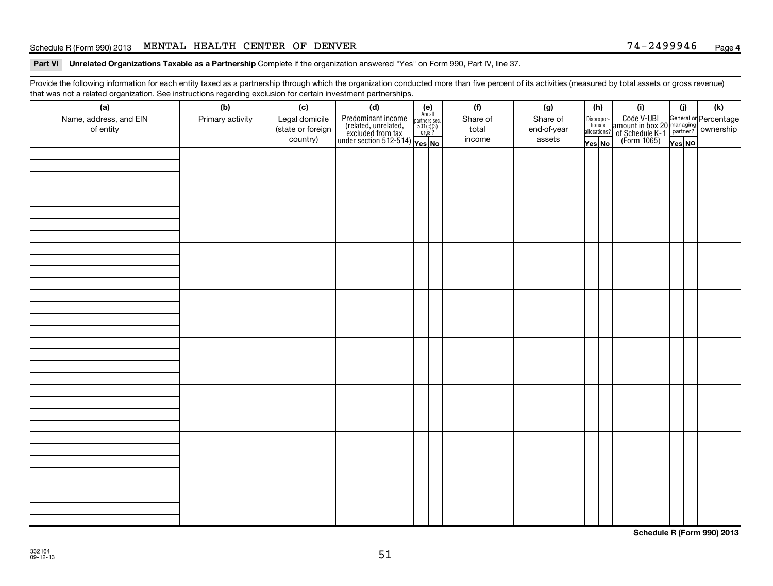#### Schedule R (Form 990) 2013 MENTAL HEALTH CENTER OF DENVER  $74-2499946$  Page

Part VI Unrelated Organizations Taxable as a Partnership Complete if the organization answered "Yes" on Form 990, Part IV, line 37.

Provide the following information for each entity taxed as a partnership through which the organization conducted more than five percent of its activities (measured by total assets or gross revenue) that was not a related organization. See instructions regarding exclusion for certain investment partnerships.

| (a)<br>Name, address, and EIN<br>of entity | (b)<br>Primary activity | (c)<br>Legal domicile<br>(state or foreign<br>country) | (d)<br>$\begin{array}{ l l } \hline \text{Predominant income} & \text{Area} \\ \hline \text{(related, unrelated,} & \text{501(c)(3)} \\ \text{excluded from tax} & \text{501(c)(3)} \\ \text{under section 512-514)} & \text{Yes. No} \\\hline \end{array}$ | $(e)$<br>Are all<br>partners sec.<br>$501(c)(3)$<br>orgs.? | (f)<br>Share of<br>total<br>income | (g)<br>Share of<br>end-of-year<br>assets | (h) | Yes No | (i)<br>Dispropor-<br>Code V-UBI<br>dionate amount in box 20 managing<br>allocations? of Schedule K-1<br>Yes No (Form 1065)<br>Yes No | (i)<br>Yes NO | (k) |
|--------------------------------------------|-------------------------|--------------------------------------------------------|-------------------------------------------------------------------------------------------------------------------------------------------------------------------------------------------------------------------------------------------------------------|------------------------------------------------------------|------------------------------------|------------------------------------------|-----|--------|--------------------------------------------------------------------------------------------------------------------------------------|---------------|-----|
|                                            |                         |                                                        |                                                                                                                                                                                                                                                             |                                                            |                                    |                                          |     |        |                                                                                                                                      |               |     |
|                                            |                         |                                                        |                                                                                                                                                                                                                                                             |                                                            |                                    |                                          |     |        |                                                                                                                                      |               |     |
|                                            |                         |                                                        |                                                                                                                                                                                                                                                             |                                                            |                                    |                                          |     |        |                                                                                                                                      |               |     |
|                                            |                         |                                                        |                                                                                                                                                                                                                                                             |                                                            |                                    |                                          |     |        |                                                                                                                                      |               |     |
|                                            |                         |                                                        |                                                                                                                                                                                                                                                             |                                                            |                                    |                                          |     |        |                                                                                                                                      |               |     |
|                                            |                         |                                                        |                                                                                                                                                                                                                                                             |                                                            |                                    |                                          |     |        |                                                                                                                                      |               |     |
|                                            |                         |                                                        |                                                                                                                                                                                                                                                             |                                                            |                                    |                                          |     |        |                                                                                                                                      |               |     |
|                                            |                         |                                                        |                                                                                                                                                                                                                                                             |                                                            |                                    |                                          |     |        |                                                                                                                                      |               |     |

**Schedule R (Form 990) 2013**